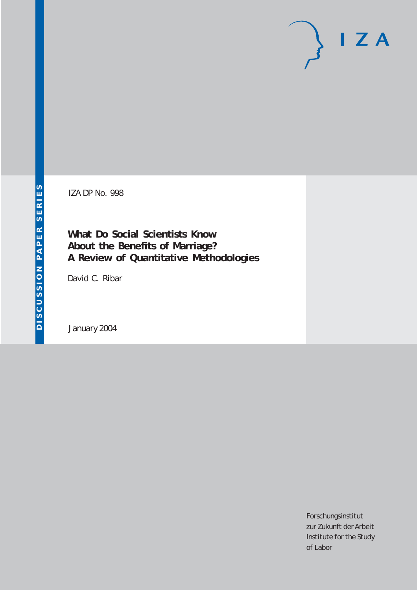# $I Z A$

IZA DP No. 998

**What Do Social Scientists Know About the Benefits of Marriage? A Review of Quantitative Methodologies**

David C. Ribar

January 2004

Forschungsinstitut zur Zukunft der Arbeit Institute for the Study of Labor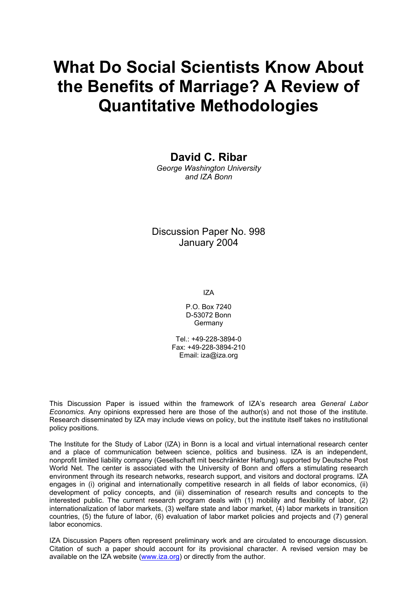# **What Do Social Scientists Know About the Benefits of Marriage? A Review of Quantitative Methodologies**

**David C. Ribar** 

*George Washington University and IZA Bonn* 

Discussion Paper No. 998 January 2004

IZA

P.O. Box 7240 D-53072 Bonn Germany

Tel.: +49-228-3894-0 Fax: +49-228-3894-210 Email: [iza@iza.org](mailto:iza@iza.org)

This Discussion Paper is issued within the framework of IZA's research area *General Labor Economics.* Any opinions expressed here are those of the author(s) and not those of the institute. Research disseminated by IZA may include views on policy, but the institute itself takes no institutional policy positions.

The Institute for the Study of Labor (IZA) in Bonn is a local and virtual international research center and a place of communication between science, politics and business. IZA is an independent, nonprofit limited liability company (Gesellschaft mit beschränkter Haftung) supported by Deutsche Post World Net. The center is associated with the University of Bonn and offers a stimulating research environment through its research networks, research support, and visitors and doctoral programs. IZA engages in (i) original and internationally competitive research in all fields of labor economics, (ii) development of policy concepts, and (iii) dissemination of research results and concepts to the interested public. The current research program deals with (1) mobility and flexibility of labor, (2) internationalization of labor markets, (3) welfare state and labor market, (4) labor markets in transition countries, (5) the future of labor, (6) evaluation of labor market policies and projects and (7) general labor economics.

IZA Discussion Papers often represent preliminary work and are circulated to encourage discussion. Citation of such a paper should account for its provisional character. A revised version may be available on the IZA website ([www.iza.org](http://www.iza.org/)) or directly from the author.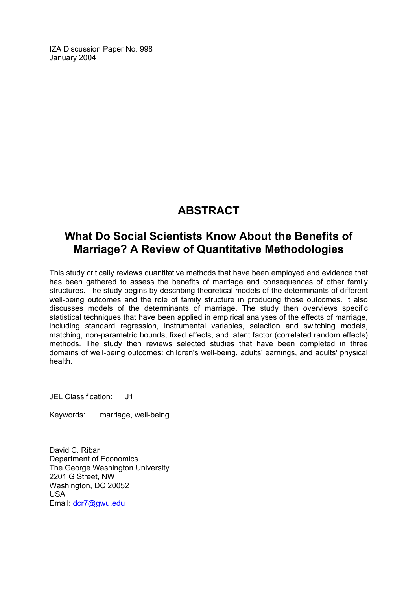IZA Discussion Paper No. 998 January 2004

# **ABSTRACT**

## **What Do Social Scientists Know About the Benefits of Marriage? A Review of Quantitative Methodologies**

This study critically reviews quantitative methods that have been employed and evidence that has been gathered to assess the benefits of marriage and consequences of other family structures. The study begins by describing theoretical models of the determinants of different well-being outcomes and the role of family structure in producing those outcomes. It also discusses models of the determinants of marriage. The study then overviews specific statistical techniques that have been applied in empirical analyses of the effects of marriage, including standard regression, instrumental variables, selection and switching models, matching, non-parametric bounds, fixed effects, and latent factor (correlated random effects) methods. The study then reviews selected studies that have been completed in three domains of well-being outcomes: children's well-being, adults' earnings, and adults' physical health.

JEL Classification: J1

Keywords: marriage, well-being

David C. Ribar Department of Economics The George Washington University 2201 G Street, NW Washington, DC 20052 USA Email: [dcr7@gwu.edu](mailto:dcr7@gwu.edu)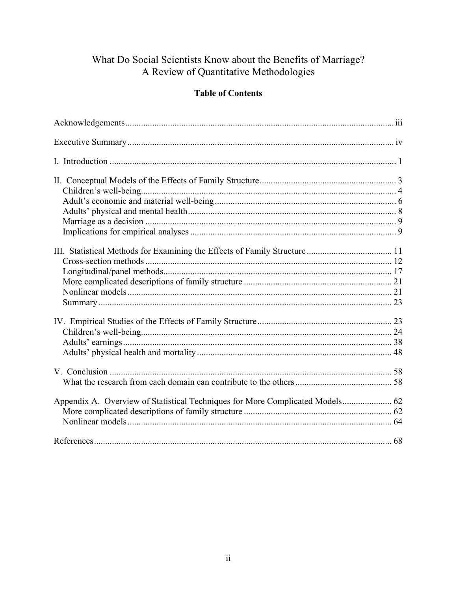# What Do Social Scientists Know about the Benefits of Marriage?<br>A Review of Quantitative Methodologies

## **Table of Contents**

| Appendix A. Overview of Statistical Techniques for More Complicated Models 62 |  |
|-------------------------------------------------------------------------------|--|
|                                                                               |  |
|                                                                               |  |
|                                                                               |  |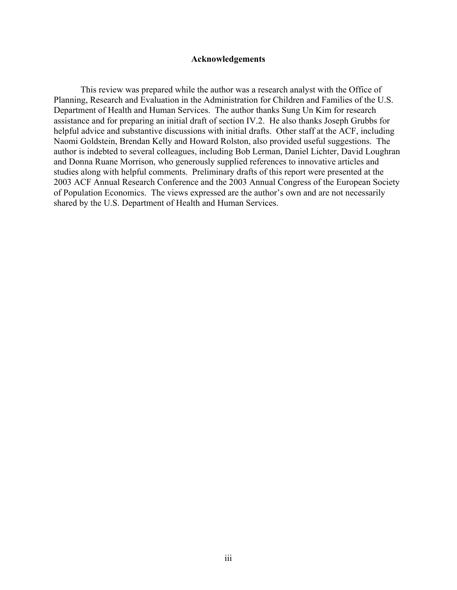#### **Acknowledgements**

This review was prepared while the author was a research analyst with the Office of Planning, Research and Evaluation in the Administration for Children and Families of the U.S. Department of Health and Human Services. The author thanks Sung Un Kim for research assistance and for preparing an initial draft of section IV.2. He also thanks Joseph Grubbs for helpful advice and substantive discussions with initial drafts. Other staff at the ACF, including Naomi Goldstein, Brendan Kelly and Howard Rolston, also provided useful suggestions. The author is indebted to several colleagues, including Bob Lerman, Daniel Lichter, David Loughran and Donna Ruane Morrison, who generously supplied references to innovative articles and studies along with helpful comments. Preliminary drafts of this report were presented at the 2003 ACF Annual Research Conference and the 2003 Annual Congress of the European Society of Population Economics. The views expressed are the author's own and are not necessarily shared by the U.S. Department of Health and Human Services.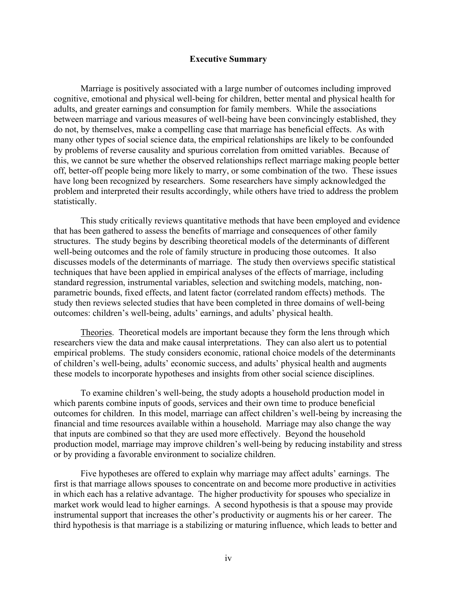#### **Executive Summary**

Marriage is positively associated with a large number of outcomes including improved cognitive, emotional and physical well-being for children, better mental and physical health for adults, and greater earnings and consumption for family members. While the associations between marriage and various measures of well-being have been convincingly established, they do not, by themselves, make a compelling case that marriage has beneficial effects. As with many other types of social science data, the empirical relationships are likely to be confounded by problems of reverse causality and spurious correlation from omitted variables. Because of this, we cannot be sure whether the observed relationships reflect marriage making people better off, better-off people being more likely to marry, or some combination of the two. These issues have long been recognized by researchers. Some researchers have simply acknowledged the problem and interpreted their results accordingly, while others have tried to address the problem statistically.

This study critically reviews quantitative methods that have been employed and evidence that has been gathered to assess the benefits of marriage and consequences of other family structures. The study begins by describing theoretical models of the determinants of different well-being outcomes and the role of family structure in producing those outcomes. It also discusses models of the determinants of marriage. The study then overviews specific statistical techniques that have been applied in empirical analyses of the effects of marriage, including standard regression, instrumental variables, selection and switching models, matching, nonparametric bounds, fixed effects, and latent factor (correlated random effects) methods. The study then reviews selected studies that have been completed in three domains of well-being outcomes: children's well-being, adults' earnings, and adults' physical health.

Theories. Theoretical models are important because they form the lens through which researchers view the data and make causal interpretations. They can also alert us to potential empirical problems. The study considers economic, rational choice models of the determinants of children's well-being, adults' economic success, and adults' physical health and augments these models to incorporate hypotheses and insights from other social science disciplines.

To examine children's well-being, the study adopts a household production model in which parents combine inputs of goods, services and their own time to produce beneficial outcomes for children. In this model, marriage can affect children's well-being by increasing the financial and time resources available within a household. Marriage may also change the way that inputs are combined so that they are used more effectively. Beyond the household production model, marriage may improve children's well-being by reducing instability and stress or by providing a favorable environment to socialize children.

Five hypotheses are offered to explain why marriage may affect adults' earnings. The first is that marriage allows spouses to concentrate on and become more productive in activities in which each has a relative advantage. The higher productivity for spouses who specialize in market work would lead to higher earnings. A second hypothesis is that a spouse may provide instrumental support that increases the other's productivity or augments his or her career. The third hypothesis is that marriage is a stabilizing or maturing influence, which leads to better and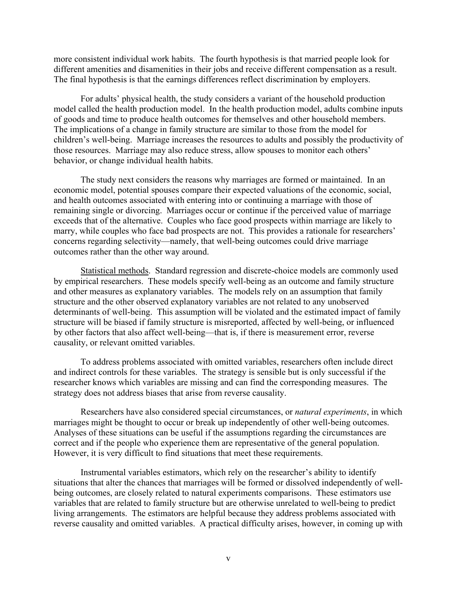more consistent individual work habits. The fourth hypothesis is that married people look for different amenities and disamenities in their jobs and receive different compensation as a result. The final hypothesis is that the earnings differences reflect discrimination by employers.

For adults' physical health, the study considers a variant of the household production model called the health production model. In the health production model, adults combine inputs of goods and time to produce health outcomes for themselves and other household members. The implications of a change in family structure are similar to those from the model for children's well-being. Marriage increases the resources to adults and possibly the productivity of those resources. Marriage may also reduce stress, allow spouses to monitor each others' behavior, or change individual health habits.

The study next considers the reasons why marriages are formed or maintained. In an economic model, potential spouses compare their expected valuations of the economic, social, and health outcomes associated with entering into or continuing a marriage with those of remaining single or divorcing. Marriages occur or continue if the perceived value of marriage exceeds that of the alternative. Couples who face good prospects within marriage are likely to marry, while couples who face bad prospects are not. This provides a rationale for researchers' concerns regarding selectivity—namely, that well-being outcomes could drive marriage outcomes rather than the other way around.

Statistical methods. Standard regression and discrete-choice models are commonly used by empirical researchers. These models specify well-being as an outcome and family structure and other measures as explanatory variables. The models rely on an assumption that family structure and the other observed explanatory variables are not related to any unobserved determinants of well-being. This assumption will be violated and the estimated impact of family structure will be biased if family structure is misreported, affected by well-being, or influenced by other factors that also affect well-being—that is, if there is measurement error, reverse causality, or relevant omitted variables.

To address problems associated with omitted variables, researchers often include direct and indirect controls for these variables. The strategy is sensible but is only successful if the researcher knows which variables are missing and can find the corresponding measures. The strategy does not address biases that arise from reverse causality.

Researchers have also considered special circumstances, or *natural experiments*, in which marriages might be thought to occur or break up independently of other well-being outcomes. Analyses of these situations can be useful if the assumptions regarding the circumstances are correct and if the people who experience them are representative of the general population. However, it is very difficult to find situations that meet these requirements.

Instrumental variables estimators, which rely on the researcher's ability to identify situations that alter the chances that marriages will be formed or dissolved independently of wellbeing outcomes, are closely related to natural experiments comparisons. These estimators use variables that are related to family structure but are otherwise unrelated to well-being to predict living arrangements. The estimators are helpful because they address problems associated with reverse causality and omitted variables. A practical difficulty arises, however, in coming up with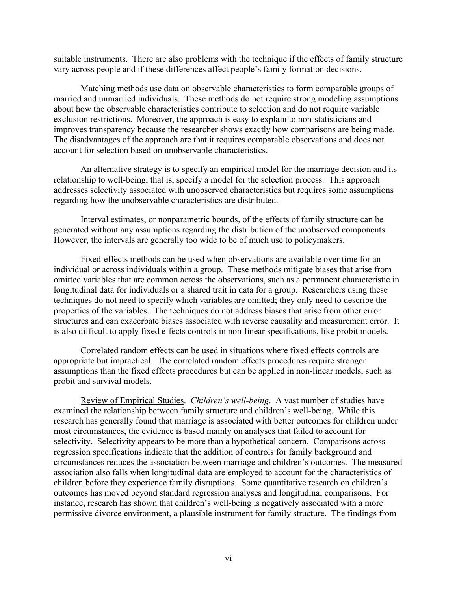suitable instruments. There are also problems with the technique if the effects of family structure vary across people and if these differences affect people's family formation decisions.

Matching methods use data on observable characteristics to form comparable groups of married and unmarried individuals. These methods do not require strong modeling assumptions about how the observable characteristics contribute to selection and do not require variable exclusion restrictions. Moreover, the approach is easy to explain to non-statisticians and improves transparency because the researcher shows exactly how comparisons are being made. The disadvantages of the approach are that it requires comparable observations and does not account for selection based on unobservable characteristics.

An alternative strategy is to specify an empirical model for the marriage decision and its relationship to well-being, that is, specify a model for the selection process. This approach addresses selectivity associated with unobserved characteristics but requires some assumptions regarding how the unobservable characteristics are distributed.

Interval estimates, or nonparametric bounds, of the effects of family structure can be generated without any assumptions regarding the distribution of the unobserved components. However, the intervals are generally too wide to be of much use to policymakers.

Fixed-effects methods can be used when observations are available over time for an individual or across individuals within a group. These methods mitigate biases that arise from omitted variables that are common across the observations, such as a permanent characteristic in longitudinal data for individuals or a shared trait in data for a group. Researchers using these techniques do not need to specify which variables are omitted; they only need to describe the properties of the variables. The techniques do not address biases that arise from other error structures and can exacerbate biases associated with reverse causality and measurement error. It is also difficult to apply fixed effects controls in non-linear specifications, like probit models.

Correlated random effects can be used in situations where fixed effects controls are appropriate but impractical. The correlated random effects procedures require stronger assumptions than the fixed effects procedures but can be applied in non-linear models, such as probit and survival models.

Review of Empirical Studies. *Children's well-being*. A vast number of studies have examined the relationship between family structure and children's well-being. While this research has generally found that marriage is associated with better outcomes for children under most circumstances, the evidence is based mainly on analyses that failed to account for selectivity. Selectivity appears to be more than a hypothetical concern. Comparisons across regression specifications indicate that the addition of controls for family background and circumstances reduces the association between marriage and children's outcomes. The measured association also falls when longitudinal data are employed to account for the characteristics of children before they experience family disruptions. Some quantitative research on children's outcomes has moved beyond standard regression analyses and longitudinal comparisons. For instance, research has shown that children's well-being is negatively associated with a more permissive divorce environment, a plausible instrument for family structure. The findings from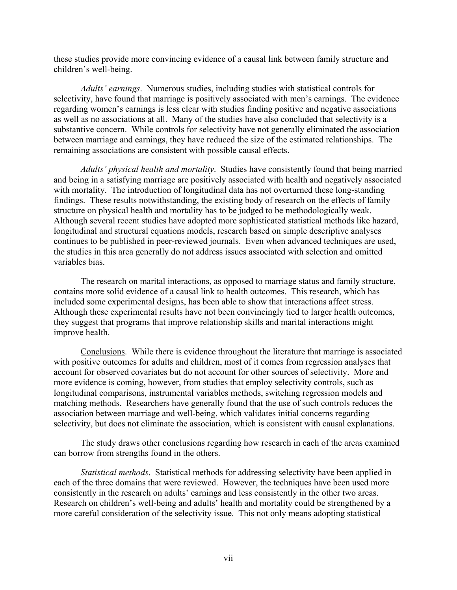these studies provide more convincing evidence of a causal link between family structure and children's well-being.

*Adults' earnings*. Numerous studies, including studies with statistical controls for selectivity, have found that marriage is positively associated with men's earnings. The evidence regarding women's earnings is less clear with studies finding positive and negative associations as well as no associations at all. Many of the studies have also concluded that selectivity is a substantive concern. While controls for selectivity have not generally eliminated the association between marriage and earnings, they have reduced the size of the estimated relationships. The remaining associations are consistent with possible causal effects.

*Adults' physical health and mortality*. Studies have consistently found that being married and being in a satisfying marriage are positively associated with health and negatively associated with mortality. The introduction of longitudinal data has not overturned these long-standing findings. These results notwithstanding, the existing body of research on the effects of family structure on physical health and mortality has to be judged to be methodologically weak. Although several recent studies have adopted more sophisticated statistical methods like hazard, longitudinal and structural equations models, research based on simple descriptive analyses continues to be published in peer-reviewed journals. Even when advanced techniques are used, the studies in this area generally do not address issues associated with selection and omitted variables bias.

The research on marital interactions, as opposed to marriage status and family structure, contains more solid evidence of a causal link to health outcomes. This research, which has included some experimental designs, has been able to show that interactions affect stress. Although these experimental results have not been convincingly tied to larger health outcomes, they suggest that programs that improve relationship skills and marital interactions might improve health.

Conclusions. While there is evidence throughout the literature that marriage is associated with positive outcomes for adults and children, most of it comes from regression analyses that account for observed covariates but do not account for other sources of selectivity. More and more evidence is coming, however, from studies that employ selectivity controls, such as longitudinal comparisons, instrumental variables methods, switching regression models and matching methods. Researchers have generally found that the use of such controls reduces the association between marriage and well-being, which validates initial concerns regarding selectivity, but does not eliminate the association, which is consistent with causal explanations.

The study draws other conclusions regarding how research in each of the areas examined can borrow from strengths found in the others.

*Statistical methods*. Statistical methods for addressing selectivity have been applied in each of the three domains that were reviewed. However, the techniques have been used more consistently in the research on adults' earnings and less consistently in the other two areas. Research on children's well-being and adults' health and mortality could be strengthened by a more careful consideration of the selectivity issue. This not only means adopting statistical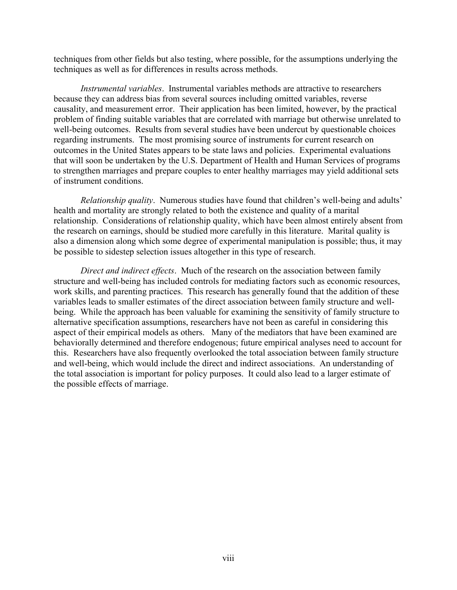techniques from other fields but also testing, where possible, for the assumptions underlying the techniques as well as for differences in results across methods.

*Instrumental variables*. Instrumental variables methods are attractive to researchers because they can address bias from several sources including omitted variables, reverse causality, and measurement error. Their application has been limited, however, by the practical problem of finding suitable variables that are correlated with marriage but otherwise unrelated to well-being outcomes. Results from several studies have been undercut by questionable choices regarding instruments. The most promising source of instruments for current research on outcomes in the United States appears to be state laws and policies. Experimental evaluations that will soon be undertaken by the U.S. Department of Health and Human Services of programs to strengthen marriages and prepare couples to enter healthy marriages may yield additional sets of instrument conditions.

*Relationship quality*. Numerous studies have found that children's well-being and adults' health and mortality are strongly related to both the existence and quality of a marital relationship. Considerations of relationship quality, which have been almost entirely absent from the research on earnings, should be studied more carefully in this literature. Marital quality is also a dimension along which some degree of experimental manipulation is possible; thus, it may be possible to sidestep selection issues altogether in this type of research.

*Direct and indirect effects*. Much of the research on the association between family structure and well-being has included controls for mediating factors such as economic resources, work skills, and parenting practices. This research has generally found that the addition of these variables leads to smaller estimates of the direct association between family structure and wellbeing. While the approach has been valuable for examining the sensitivity of family structure to alternative specification assumptions, researchers have not been as careful in considering this aspect of their empirical models as others. Many of the mediators that have been examined are behaviorally determined and therefore endogenous; future empirical analyses need to account for this. Researchers have also frequently overlooked the total association between family structure and well-being, which would include the direct and indirect associations. An understanding of the total association is important for policy purposes. It could also lead to a larger estimate of the possible effects of marriage.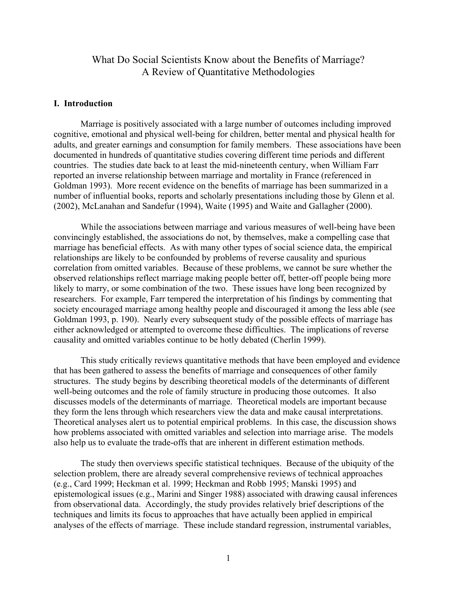### What Do Social Scientists Know about the Benefits of Marriage? A Review of Quantitative Methodologies

#### **I. Introduction**

Marriage is positively associated with a large number of outcomes including improved cognitive, emotional and physical well-being for children, better mental and physical health for adults, and greater earnings and consumption for family members. These associations have been documented in hundreds of quantitative studies covering different time periods and different countries. The studies date back to at least the mid-nineteenth century, when William Farr reported an inverse relationship between marriage and mortality in France (referenced in Goldman 1993). More recent evidence on the benefits of marriage has been summarized in a number of influential books, reports and scholarly presentations including those by Glenn et al. (2002), McLanahan and Sandefur (1994), Waite (1995) and Waite and Gallagher (2000).

While the associations between marriage and various measures of well-being have been convincingly established, the associations do not, by themselves, make a compelling case that marriage has beneficial effects. As with many other types of social science data, the empirical relationships are likely to be confounded by problems of reverse causality and spurious correlation from omitted variables. Because of these problems, we cannot be sure whether the observed relationships reflect marriage making people better off, better-off people being more likely to marry, or some combination of the two. These issues have long been recognized by researchers. For example, Farr tempered the interpretation of his findings by commenting that society encouraged marriage among healthy people and discouraged it among the less able (see Goldman 1993, p. 190). Nearly every subsequent study of the possible effects of marriage has either acknowledged or attempted to overcome these difficulties. The implications of reverse causality and omitted variables continue to be hotly debated (Cherlin 1999).

This study critically reviews quantitative methods that have been employed and evidence that has been gathered to assess the benefits of marriage and consequences of other family structures. The study begins by describing theoretical models of the determinants of different well-being outcomes and the role of family structure in producing those outcomes. It also discusses models of the determinants of marriage. Theoretical models are important because they form the lens through which researchers view the data and make causal interpretations. Theoretical analyses alert us to potential empirical problems. In this case, the discussion shows how problems associated with omitted variables and selection into marriage arise. The models also help us to evaluate the trade-offs that are inherent in different estimation methods.

The study then overviews specific statistical techniques. Because of the ubiquity of the selection problem, there are already several comprehensive reviews of technical approaches (e.g., Card 1999; Heckman et al. 1999; Heckman and Robb 1995; Manski 1995) and epistemological issues (e.g., Marini and Singer 1988) associated with drawing causal inferences from observational data. Accordingly, the study provides relatively brief descriptions of the techniques and limits its focus to approaches that have actually been applied in empirical analyses of the effects of marriage. These include standard regression, instrumental variables,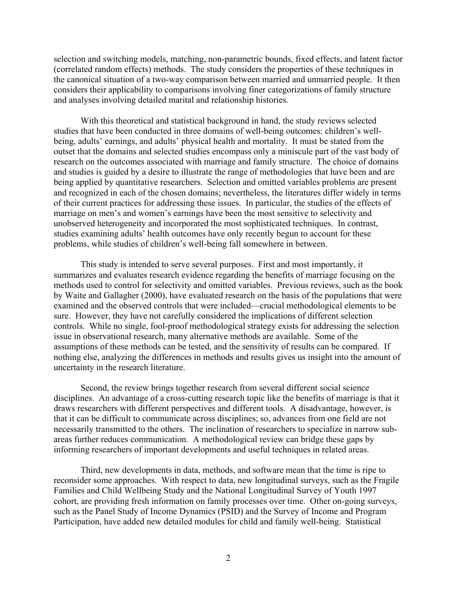selection and switching models, matching, non-parametric bounds, fixed effects, and latent factor (correlated random effects) methods. The study considers the properties of these techniques in the canonical situation of a two-way comparison between married and unmarried people. It then considers their applicability to comparisons involving finer categorizations of family structure and analyses involving detailed marital and relationship histories.

With this theoretical and statistical background in hand, the study reviews selected studies that have been conducted in three domains of well-being outcomes: children's wellbeing, adults' earnings, and adults' physical health and mortality. It must be stated from the outset that the domains and selected studies encompass only a miniscule part of the vast body of research on the outcomes associated with marriage and family structure. The choice of domains and studies is guided by a desire to illustrate the range of methodologies that have been and are being applied by quantitative researchers. Selection and omitted variables problems are present and recognized in each of the chosen domains; nevertheless, the literatures differ widely in terms of their current practices for addressing these issues. In particular, the studies of the effects of marriage on men's and women's earnings have been the most sensitive to selectivity and unobserved heterogeneity and incorporated the most sophisticated techniques. In contrast, studies examining adults' health outcomes have only recently begun to account for these problems, while studies of children's well-being fall somewhere in between.

This study is intended to serve several purposes. First and most importantly, it summarizes and evaluates research evidence regarding the benefits of marriage focusing on the methods used to control for selectivity and omitted variables. Previous reviews, such as the book by Waite and Gallagher (2000), have evaluated research on the basis of the populations that were examined and the observed controls that were included—crucial methodological elements to be sure. However, they have not carefully considered the implications of different selection controls. While no single, fool-proof methodological strategy exists for addressing the selection issue in observational research, many alternative methods are available. Some of the assumptions of these methods can be tested, and the sensitivity of results can be compared. If nothing else, analyzing the differences in methods and results gives us insight into the amount of uncertainty in the research literature.

Second, the review brings together research from several different social science disciplines. An advantage of a cross-cutting research topic like the benefits of marriage is that it draws researchers with different perspectives and different tools. A disadvantage, however, is that it can be difficult to communicate across disciplines; so, advances from one field are not necessarily transmitted to the others. The inclination of researchers to specialize in narrow subareas further reduces communication. A methodological review can bridge these gaps by informing researchers of important developments and useful techniques in related areas.

Third, new developments in data, methods, and software mean that the time is ripe to reconsider some approaches. With respect to data, new longitudinal surveys, such as the Fragile Families and Child Wellbeing Study and the National Longitudinal Survey of Youth 1997 cohort, are providing fresh information on family processes over time. Other on-going surveys, such as the Panel Study of Income Dynamics (PSID) and the Survey of Income and Program Participation, have added new detailed modules for child and family well-being. Statistical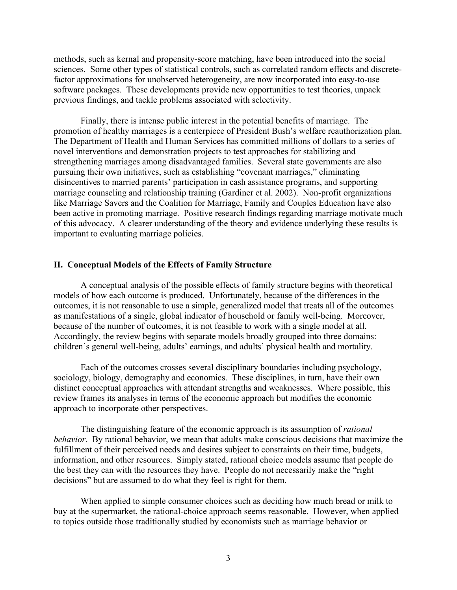methods, such as kernal and propensity-score matching, have been introduced into the social sciences. Some other types of statistical controls, such as correlated random effects and discretefactor approximations for unobserved heterogeneity, are now incorporated into easy-to-use software packages. These developments provide new opportunities to test theories, unpack previous findings, and tackle problems associated with selectivity.

Finally, there is intense public interest in the potential benefits of marriage. The promotion of healthy marriages is a centerpiece of President Bush's welfare reauthorization plan. The Department of Health and Human Services has committed millions of dollars to a series of novel interventions and demonstration projects to test approaches for stabilizing and strengthening marriages among disadvantaged families. Several state governments are also pursuing their own initiatives, such as establishing "covenant marriages," eliminating disincentives to married parents' participation in cash assistance programs, and supporting marriage counseling and relationship training (Gardiner et al. 2002). Non-profit organizations like Marriage Savers and the Coalition for Marriage, Family and Couples Education have also been active in promoting marriage. Positive research findings regarding marriage motivate much of this advocacy. A clearer understanding of the theory and evidence underlying these results is important to evaluating marriage policies.

#### **II. Conceptual Models of the Effects of Family Structure**

 A conceptual analysis of the possible effects of family structure begins with theoretical models of how each outcome is produced. Unfortunately, because of the differences in the outcomes, it is not reasonable to use a simple, generalized model that treats all of the outcomes as manifestations of a single, global indicator of household or family well-being. Moreover, because of the number of outcomes, it is not feasible to work with a single model at all. Accordingly, the review begins with separate models broadly grouped into three domains: children's general well-being, adults' earnings, and adults' physical health and mortality.

 Each of the outcomes crosses several disciplinary boundaries including psychology, sociology, biology, demography and economics. These disciplines, in turn, have their own distinct conceptual approaches with attendant strengths and weaknesses. Where possible, this review frames its analyses in terms of the economic approach but modifies the economic approach to incorporate other perspectives.

The distinguishing feature of the economic approach is its assumption of *rational behavior*. By rational behavior, we mean that adults make conscious decisions that maximize the fulfillment of their perceived needs and desires subject to constraints on their time, budgets, information, and other resources. Simply stated, rational choice models assume that people do the best they can with the resources they have. People do not necessarily make the "right decisions" but are assumed to do what they feel is right for them.

 When applied to simple consumer choices such as deciding how much bread or milk to buy at the supermarket, the rational-choice approach seems reasonable. However, when applied to topics outside those traditionally studied by economists such as marriage behavior or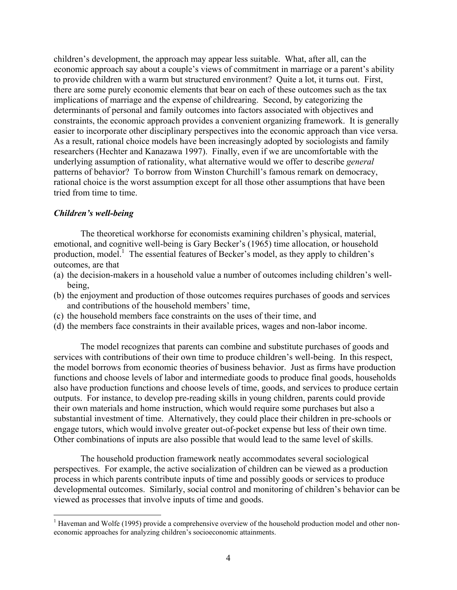children's development, the approach may appear less suitable. What, after all, can the economic approach say about a couple's views of commitment in marriage or a parent's ability to provide children with a warm but structured environment? Quite a lot, it turns out. First, there are some purely economic elements that bear on each of these outcomes such as the tax implications of marriage and the expense of childrearing. Second, by categorizing the determinants of personal and family outcomes into factors associated with objectives and constraints, the economic approach provides a convenient organizing framework. It is generally easier to incorporate other disciplinary perspectives into the economic approach than vice versa. As a result, rational choice models have been increasingly adopted by sociologists and family researchers (Hechter and Kanazawa 1997). Finally, even if we are uncomfortable with the underlying assumption of rationality, what alternative would we offer to describe *general* patterns of behavior? To borrow from Winston Churchill's famous remark on democracy, rational choice is the worst assumption except for all those other assumptions that have been tried from time to time.

#### *Children's well-being*

1

 The theoretical workhorse for economists examining children's physical, material, emotional, and cognitive well-being is Gary Becker's (1965) time allocation, or household production, model.<sup>1</sup> The essential features of Becker's model, as they apply to children's outcomes, are that

- (a) the decision-makers in a household value a number of outcomes including children's wellbeing,
- (b) the enjoyment and production of those outcomes requires purchases of goods and services and contributions of the household members' time,
- (c) the household members face constraints on the uses of their time, and
- (d) the members face constraints in their available prices, wages and non-labor income.

The model recognizes that parents can combine and substitute purchases of goods and services with contributions of their own time to produce children's well-being. In this respect, the model borrows from economic theories of business behavior. Just as firms have production functions and choose levels of labor and intermediate goods to produce final goods, households also have production functions and choose levels of time, goods, and services to produce certain outputs. For instance, to develop pre-reading skills in young children, parents could provide their own materials and home instruction, which would require some purchases but also a substantial investment of time. Alternatively, they could place their children in pre-schools or engage tutors, which would involve greater out-of-pocket expense but less of their own time. Other combinations of inputs are also possible that would lead to the same level of skills.

The household production framework neatly accommodates several sociological perspectives. For example, the active socialization of children can be viewed as a production process in which parents contribute inputs of time and possibly goods or services to produce developmental outcomes. Similarly, social control and monitoring of children's behavior can be viewed as processes that involve inputs of time and goods.

<sup>&</sup>lt;sup>1</sup> Haveman and Wolfe (1995) provide a comprehensive overview of the household production model and other noneconomic approaches for analyzing children's socioeconomic attainments.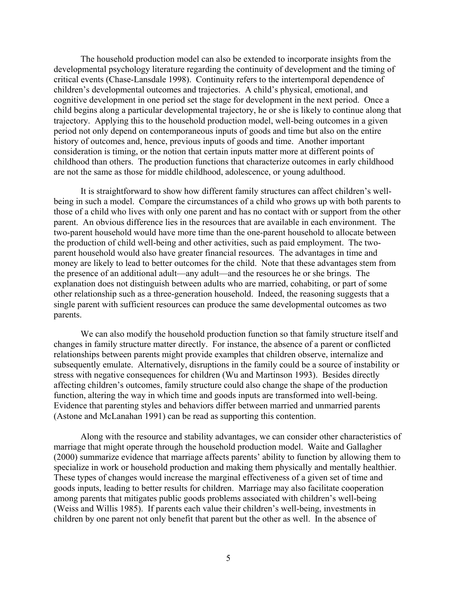The household production model can also be extended to incorporate insights from the developmental psychology literature regarding the continuity of development and the timing of critical events (Chase-Lansdale 1998). Continuity refers to the intertemporal dependence of children's developmental outcomes and trajectories. A child's physical, emotional, and cognitive development in one period set the stage for development in the next period. Once a child begins along a particular developmental trajectory, he or she is likely to continue along that trajectory. Applying this to the household production model, well-being outcomes in a given period not only depend on contemporaneous inputs of goods and time but also on the entire history of outcomes and, hence, previous inputs of goods and time. Another important consideration is timing, or the notion that certain inputs matter more at different points of childhood than others. The production functions that characterize outcomes in early childhood are not the same as those for middle childhood, adolescence, or young adulthood.

It is straightforward to show how different family structures can affect children's wellbeing in such a model. Compare the circumstances of a child who grows up with both parents to those of a child who lives with only one parent and has no contact with or support from the other parent. An obvious difference lies in the resources that are available in each environment. The two-parent household would have more time than the one-parent household to allocate between the production of child well-being and other activities, such as paid employment. The twoparent household would also have greater financial resources. The advantages in time and money are likely to lead to better outcomes for the child. Note that these advantages stem from the presence of an additional adult—any adult—and the resources he or she brings. The explanation does not distinguish between adults who are married, cohabiting, or part of some other relationship such as a three-generation household. Indeed, the reasoning suggests that a single parent with sufficient resources can produce the same developmental outcomes as two parents.

We can also modify the household production function so that family structure itself and changes in family structure matter directly. For instance, the absence of a parent or conflicted relationships between parents might provide examples that children observe, internalize and subsequently emulate. Alternatively, disruptions in the family could be a source of instability or stress with negative consequences for children (Wu and Martinson 1993). Besides directly affecting children's outcomes, family structure could also change the shape of the production function, altering the way in which time and goods inputs are transformed into well-being. Evidence that parenting styles and behaviors differ between married and unmarried parents (Astone and McLanahan 1991) can be read as supporting this contention.

Along with the resource and stability advantages, we can consider other characteristics of marriage that might operate through the household production model. Waite and Gallagher (2000) summarize evidence that marriage affects parents' ability to function by allowing them to specialize in work or household production and making them physically and mentally healthier. These types of changes would increase the marginal effectiveness of a given set of time and goods inputs, leading to better results for children. Marriage may also facilitate cooperation among parents that mitigates public goods problems associated with children's well-being (Weiss and Willis 1985). If parents each value their children's well-being, investments in children by one parent not only benefit that parent but the other as well. In the absence of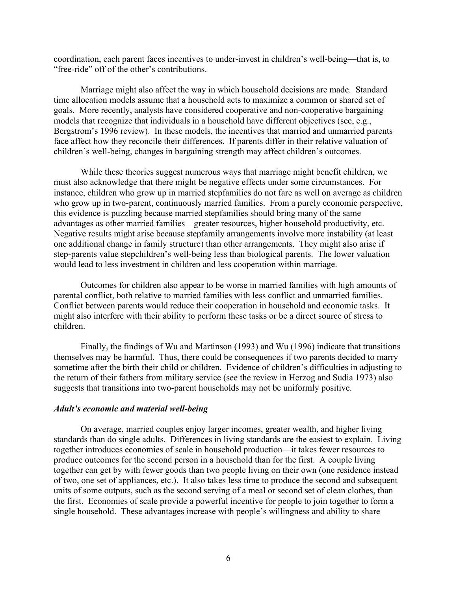coordination, each parent faces incentives to under-invest in children's well-being—that is, to "free-ride" off of the other's contributions.

Marriage might also affect the way in which household decisions are made. Standard time allocation models assume that a household acts to maximize a common or shared set of goals. More recently, analysts have considered cooperative and non-cooperative bargaining models that recognize that individuals in a household have different objectives (see, e.g., Bergstrom's 1996 review). In these models, the incentives that married and unmarried parents face affect how they reconcile their differences. If parents differ in their relative valuation of children's well-being, changes in bargaining strength may affect children's outcomes.

While these theories suggest numerous ways that marriage might benefit children, we must also acknowledge that there might be negative effects under some circumstances. For instance, children who grow up in married stepfamilies do not fare as well on average as children who grow up in two-parent, continuously married families. From a purely economic perspective, this evidence is puzzling because married stepfamilies should bring many of the same advantages as other married families—greater resources, higher household productivity, etc. Negative results might arise because stepfamily arrangements involve more instability (at least one additional change in family structure) than other arrangements. They might also arise if step-parents value stepchildren's well-being less than biological parents. The lower valuation would lead to less investment in children and less cooperation within marriage.

Outcomes for children also appear to be worse in married families with high amounts of parental conflict, both relative to married families with less conflict and unmarried families. Conflict between parents would reduce their cooperation in household and economic tasks. It might also interfere with their ability to perform these tasks or be a direct source of stress to children.

Finally, the findings of Wu and Martinson (1993) and Wu (1996) indicate that transitions themselves may be harmful. Thus, there could be consequences if two parents decided to marry sometime after the birth their child or children. Evidence of children's difficulties in adjusting to the return of their fathers from military service (see the review in Herzog and Sudia 1973) also suggests that transitions into two-parent households may not be uniformly positive.

#### *Adult's economic and material well-being*

On average, married couples enjoy larger incomes, greater wealth, and higher living standards than do single adults. Differences in living standards are the easiest to explain. Living together introduces economies of scale in household production—it takes fewer resources to produce outcomes for the second person in a household than for the first. A couple living together can get by with fewer goods than two people living on their own (one residence instead of two, one set of appliances, etc.). It also takes less time to produce the second and subsequent units of some outputs, such as the second serving of a meal or second set of clean clothes, than the first. Economies of scale provide a powerful incentive for people to join together to form a single household. These advantages increase with people's willingness and ability to share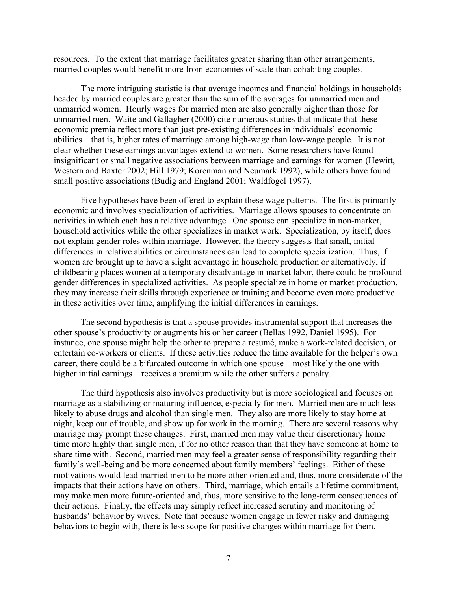resources. To the extent that marriage facilitates greater sharing than other arrangements, married couples would benefit more from economies of scale than cohabiting couples.

The more intriguing statistic is that average incomes and financial holdings in households headed by married couples are greater than the sum of the averages for unmarried men and unmarried women. Hourly wages for married men are also generally higher than those for unmarried men. Waite and Gallagher (2000) cite numerous studies that indicate that these economic premia reflect more than just pre-existing differences in individuals' economic abilities—that is, higher rates of marriage among high-wage than low-wage people. It is not clear whether these earnings advantages extend to women. Some researchers have found insignificant or small negative associations between marriage and earnings for women (Hewitt, Western and Baxter 2002; Hill 1979; Korenman and Neumark 1992), while others have found small positive associations (Budig and England 2001; Waldfogel 1997).

Five hypotheses have been offered to explain these wage patterns. The first is primarily economic and involves specialization of activities. Marriage allows spouses to concentrate on activities in which each has a relative advantage. One spouse can specialize in non-market, household activities while the other specializes in market work. Specialization, by itself, does not explain gender roles within marriage. However, the theory suggests that small, initial differences in relative abilities or circumstances can lead to complete specialization. Thus, if women are brought up to have a slight advantage in household production or alternatively, if childbearing places women at a temporary disadvantage in market labor, there could be profound gender differences in specialized activities. As people specialize in home or market production, they may increase their skills through experience or training and become even more productive in these activities over time, amplifying the initial differences in earnings.

The second hypothesis is that a spouse provides instrumental support that increases the other spouse's productivity or augments his or her career (Bellas 1992, Daniel 1995). For instance, one spouse might help the other to prepare a resumé, make a work-related decision, or entertain co-workers or clients. If these activities reduce the time available for the helper's own career, there could be a bifurcated outcome in which one spouse—most likely the one with higher initial earnings—receives a premium while the other suffers a penalty.

The third hypothesis also involves productivity but is more sociological and focuses on marriage as a stabilizing or maturing influence, especially for men. Married men are much less likely to abuse drugs and alcohol than single men. They also are more likely to stay home at night, keep out of trouble, and show up for work in the morning. There are several reasons why marriage may prompt these changes. First, married men may value their discretionary home time more highly than single men, if for no other reason than that they have someone at home to share time with. Second, married men may feel a greater sense of responsibility regarding their family's well-being and be more concerned about family members' feelings. Either of these motivations would lead married men to be more other-oriented and, thus, more considerate of the impacts that their actions have on others. Third, marriage, which entails a lifetime commitment, may make men more future-oriented and, thus, more sensitive to the long-term consequences of their actions. Finally, the effects may simply reflect increased scrutiny and monitoring of husbands' behavior by wives. Note that because women engage in fewer risky and damaging behaviors to begin with, there is less scope for positive changes within marriage for them.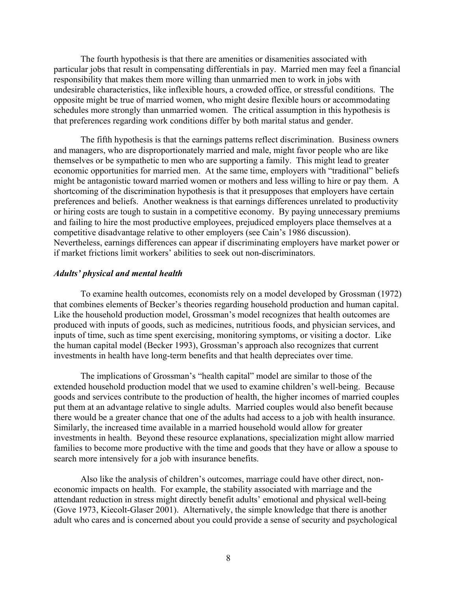The fourth hypothesis is that there are amenities or disamenities associated with particular jobs that result in compensating differentials in pay. Married men may feel a financial responsibility that makes them more willing than unmarried men to work in jobs with undesirable characteristics, like inflexible hours, a crowded office, or stressful conditions. The opposite might be true of married women, who might desire flexible hours or accommodating schedules more strongly than unmarried women. The critical assumption in this hypothesis is that preferences regarding work conditions differ by both marital status and gender.

The fifth hypothesis is that the earnings patterns reflect discrimination. Business owners and managers, who are disproportionately married and male, might favor people who are like themselves or be sympathetic to men who are supporting a family. This might lead to greater economic opportunities for married men. At the same time, employers with "traditional" beliefs might be antagonistic toward married women or mothers and less willing to hire or pay them. A shortcoming of the discrimination hypothesis is that it presupposes that employers have certain preferences and beliefs. Another weakness is that earnings differences unrelated to productivity or hiring costs are tough to sustain in a competitive economy. By paying unnecessary premiums and failing to hire the most productive employees, prejudiced employers place themselves at a competitive disadvantage relative to other employers (see Cain's 1986 discussion). Nevertheless, earnings differences can appear if discriminating employers have market power or if market frictions limit workers' abilities to seek out non-discriminators.

#### *Adults' physical and mental health*

To examine health outcomes, economists rely on a model developed by Grossman (1972) that combines elements of Becker's theories regarding household production and human capital. Like the household production model, Grossman's model recognizes that health outcomes are produced with inputs of goods, such as medicines, nutritious foods, and physician services, and inputs of time, such as time spent exercising, monitoring symptoms, or visiting a doctor. Like the human capital model (Becker 1993), Grossman's approach also recognizes that current investments in health have long-term benefits and that health depreciates over time.

The implications of Grossman's "health capital" model are similar to those of the extended household production model that we used to examine children's well-being. Because goods and services contribute to the production of health, the higher incomes of married couples put them at an advantage relative to single adults. Married couples would also benefit because there would be a greater chance that one of the adults had access to a job with health insurance. Similarly, the increased time available in a married household would allow for greater investments in health. Beyond these resource explanations, specialization might allow married families to become more productive with the time and goods that they have or allow a spouse to search more intensively for a job with insurance benefits.

Also like the analysis of children's outcomes, marriage could have other direct, noneconomic impacts on health. For example, the stability associated with marriage and the attendant reduction in stress might directly benefit adults' emotional and physical well-being (Gove 1973, Kiecolt-Glaser 2001). Alternatively, the simple knowledge that there is another adult who cares and is concerned about you could provide a sense of security and psychological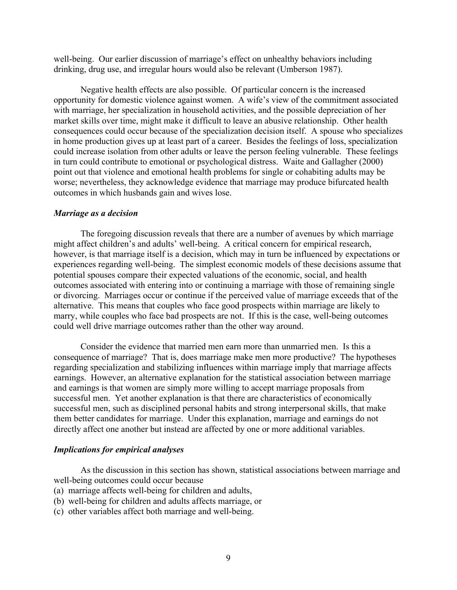well-being. Our earlier discussion of marriage's effect on unhealthy behaviors including drinking, drug use, and irregular hours would also be relevant (Umberson 1987).

Negative health effects are also possible. Of particular concern is the increased opportunity for domestic violence against women. A wife's view of the commitment associated with marriage, her specialization in household activities, and the possible depreciation of her market skills over time, might make it difficult to leave an abusive relationship. Other health consequences could occur because of the specialization decision itself. A spouse who specializes in home production gives up at least part of a career. Besides the feelings of loss, specialization could increase isolation from other adults or leave the person feeling vulnerable. These feelings in turn could contribute to emotional or psychological distress. Waite and Gallagher (2000) point out that violence and emotional health problems for single or cohabiting adults may be worse; nevertheless, they acknowledge evidence that marriage may produce bifurcated health outcomes in which husbands gain and wives lose.

#### *Marriage as a decision*

The foregoing discussion reveals that there are a number of avenues by which marriage might affect children's and adults' well-being. A critical concern for empirical research, however, is that marriage itself is a decision, which may in turn be influenced by expectations or experiences regarding well-being. The simplest economic models of these decisions assume that potential spouses compare their expected valuations of the economic, social, and health outcomes associated with entering into or continuing a marriage with those of remaining single or divorcing. Marriages occur or continue if the perceived value of marriage exceeds that of the alternative. This means that couples who face good prospects within marriage are likely to marry, while couples who face bad prospects are not. If this is the case, well-being outcomes could well drive marriage outcomes rather than the other way around.

Consider the evidence that married men earn more than unmarried men. Is this a consequence of marriage? That is, does marriage make men more productive? The hypotheses regarding specialization and stabilizing influences within marriage imply that marriage affects earnings. However, an alternative explanation for the statistical association between marriage and earnings is that women are simply more willing to accept marriage proposals from successful men. Yet another explanation is that there are characteristics of economically successful men, such as disciplined personal habits and strong interpersonal skills, that make them better candidates for marriage. Under this explanation, marriage and earnings do not directly affect one another but instead are affected by one or more additional variables.

#### *Implications for empirical analyses*

As the discussion in this section has shown, statistical associations between marriage and well-being outcomes could occur because

- (a) marriage affects well-being for children and adults,
- (b) well-being for children and adults affects marriage, or
- (c) other variables affect both marriage and well-being.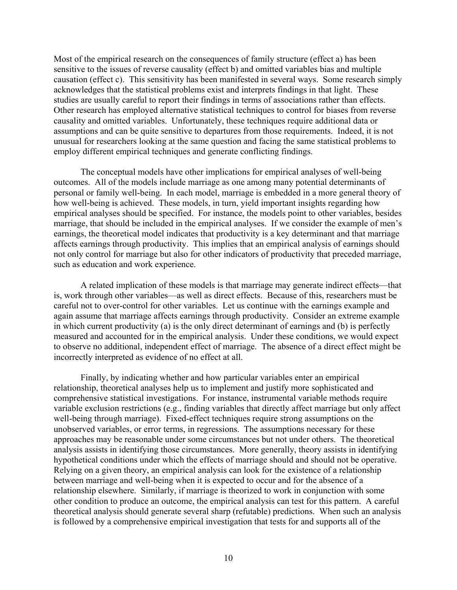Most of the empirical research on the consequences of family structure (effect a) has been sensitive to the issues of reverse causality (effect b) and omitted variables bias and multiple causation (effect c). This sensitivity has been manifested in several ways. Some research simply acknowledges that the statistical problems exist and interprets findings in that light. These studies are usually careful to report their findings in terms of associations rather than effects. Other research has employed alternative statistical techniques to control for biases from reverse causality and omitted variables. Unfortunately, these techniques require additional data or assumptions and can be quite sensitive to departures from those requirements. Indeed, it is not unusual for researchers looking at the same question and facing the same statistical problems to employ different empirical techniques and generate conflicting findings.

The conceptual models have other implications for empirical analyses of well-being outcomes. All of the models include marriage as one among many potential determinants of personal or family well-being. In each model, marriage is embedded in a more general theory of how well-being is achieved. These models, in turn, yield important insights regarding how empirical analyses should be specified. For instance, the models point to other variables, besides marriage, that should be included in the empirical analyses. If we consider the example of men's earnings, the theoretical model indicates that productivity is a key determinant and that marriage affects earnings through productivity. This implies that an empirical analysis of earnings should not only control for marriage but also for other indicators of productivity that preceded marriage, such as education and work experience.

A related implication of these models is that marriage may generate indirect effects—that is, work through other variables—as well as direct effects. Because of this, researchers must be careful not to over-control for other variables. Let us continue with the earnings example and again assume that marriage affects earnings through productivity. Consider an extreme example in which current productivity (a) is the only direct determinant of earnings and (b) is perfectly measured and accounted for in the empirical analysis. Under these conditions, we would expect to observe no additional, independent effect of marriage. The absence of a direct effect might be incorrectly interpreted as evidence of no effect at all.

Finally, by indicating whether and how particular variables enter an empirical relationship, theoretical analyses help us to implement and justify more sophisticated and comprehensive statistical investigations. For instance, instrumental variable methods require variable exclusion restrictions (e.g., finding variables that directly affect marriage but only affect well-being through marriage). Fixed-effect techniques require strong assumptions on the unobserved variables, or error terms, in regressions. The assumptions necessary for these approaches may be reasonable under some circumstances but not under others. The theoretical analysis assists in identifying those circumstances. More generally, theory assists in identifying hypothetical conditions under which the effects of marriage should and should not be operative. Relying on a given theory, an empirical analysis can look for the existence of a relationship between marriage and well-being when it is expected to occur and for the absence of a relationship elsewhere. Similarly, if marriage is theorized to work in conjunction with some other condition to produce an outcome, the empirical analysis can test for this pattern. A careful theoretical analysis should generate several sharp (refutable) predictions. When such an analysis is followed by a comprehensive empirical investigation that tests for and supports all of the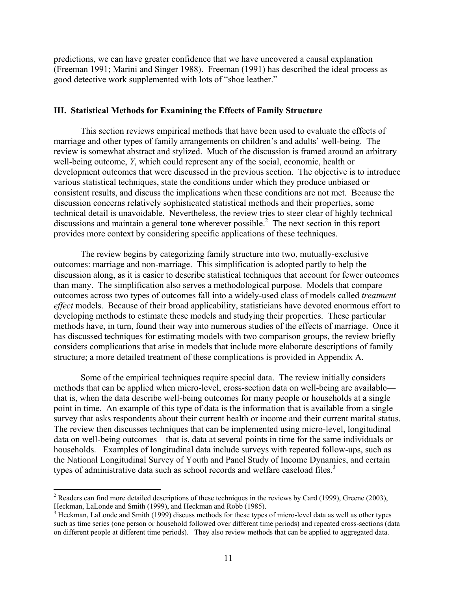predictions, we can have greater confidence that we have uncovered a causal explanation (Freeman 1991; Marini and Singer 1988). Freeman (1991) has described the ideal process as good detective work supplemented with lots of "shoe leather."

#### **III. Statistical Methods for Examining the Effects of Family Structure**

This section reviews empirical methods that have been used to evaluate the effects of marriage and other types of family arrangements on children's and adults' well-being. The review is somewhat abstract and stylized. Much of the discussion is framed around an arbitrary well-being outcome, *Y*, which could represent any of the social, economic, health or development outcomes that were discussed in the previous section. The objective is to introduce various statistical techniques, state the conditions under which they produce unbiased or consistent results, and discuss the implications when these conditions are not met. Because the discussion concerns relatively sophisticated statistical methods and their properties, some technical detail is unavoidable. Nevertheless, the review tries to steer clear of highly technical discussions and maintain a general tone wherever possible.<sup>2</sup> The next section in this report provides more context by considering specific applications of these techniques.

The review begins by categorizing family structure into two, mutually-exclusive outcomes: marriage and non-marriage. This simplification is adopted partly to help the discussion along, as it is easier to describe statistical techniques that account for fewer outcomes than many. The simplification also serves a methodological purpose. Models that compare outcomes across two types of outcomes fall into a widely-used class of models called *treatment effect* models. Because of their broad applicability, statisticians have devoted enormous effort to developing methods to estimate these models and studying their properties. These particular methods have, in turn, found their way into numerous studies of the effects of marriage. Once it has discussed techniques for estimating models with two comparison groups, the review briefly considers complications that arise in models that include more elaborate descriptions of family structure; a more detailed treatment of these complications is provided in Appendix A.

Some of the empirical techniques require special data. The review initially considers methods that can be applied when micro-level, cross-section data on well-being are available that is, when the data describe well-being outcomes for many people or households at a single point in time. An example of this type of data is the information that is available from a single survey that asks respondents about their current health or income and their current marital status. The review then discusses techniques that can be implemented using micro-level, longitudinal data on well-being outcomes—that is, data at several points in time for the same individuals or households. Examples of longitudinal data include surveys with repeated follow-ups, such as the National Longitudinal Survey of Youth and Panel Study of Income Dynamics, and certain types of administrative data such as school records and welfare caseload files.<sup>3</sup>

<sup>&</sup>lt;sup>2</sup> Readers can find more detailed descriptions of these techniques in the reviews by Card (1999), Greene (2003), Heckman, LaLonde and Smith (1999), and Heckman and Robb (1985).

 $3$  Heckman, LaLonde and Smith (1999) discuss methods for these types of micro-level data as well as other types such as time series (one person or household followed over different time periods) and repeated cross-sections (data on different people at different time periods). They also review methods that can be applied to aggregated data.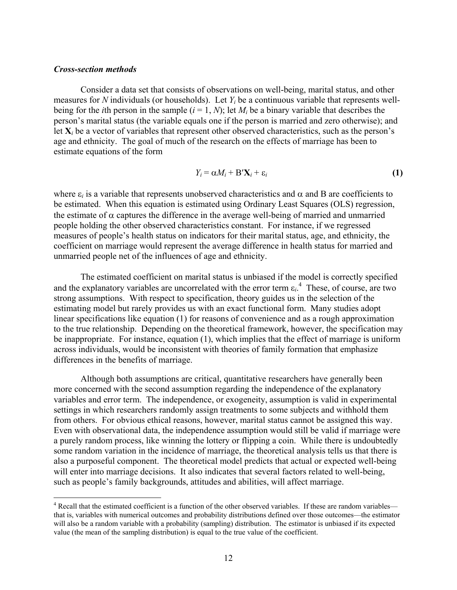#### *Cross-section methods*

<u>.</u>

Consider a data set that consists of observations on well-being, marital status, and other measures for *N* individuals (or households). Let *Yi* be a continuous variable that represents wellbeing for the *i*th person in the sample  $(i = 1, N)$ ; let  $M_i$  be a binary variable that describes the person's marital status (the variable equals one if the person is married and zero otherwise); and let  $X_i$  be a vector of variables that represent other observed characteristics, such as the person's age and ethnicity. The goal of much of the research on the effects of marriage has been to estimate equations of the form

$$
Y_i = \alpha M_i + B' \mathbf{X}_i + \varepsilon_i \tag{1}
$$

where  $\varepsilon_i$  is a variable that represents unobserved characteristics and  $\alpha$  and B are coefficients to be estimated. When this equation is estimated using Ordinary Least Squares (OLS) regression, the estimate of  $\alpha$  captures the difference in the average well-being of married and unmarried people holding the other observed characteristics constant. For instance, if we regressed measures of people's health status on indicators for their marital status, age, and ethnicity, the coefficient on marriage would represent the average difference in health status for married and unmarried people net of the influences of age and ethnicity.

The estimated coefficient on marital status is unbiased if the model is correctly specified and the explanatory variables are uncorrelated with the error term  $\varepsilon_i$ <sup>4</sup>. These, of course, are two strong assumptions. With respect to specification, theory guides us in the selection of the estimating model but rarely provides us with an exact functional form. Many studies adopt linear specifications like equation (1) for reasons of convenience and as a rough approximation to the true relationship. Depending on the theoretical framework, however, the specification may be inappropriate. For instance, equation (1), which implies that the effect of marriage is uniform across individuals, would be inconsistent with theories of family formation that emphasize differences in the benefits of marriage.

Although both assumptions are critical, quantitative researchers have generally been more concerned with the second assumption regarding the independence of the explanatory variables and error term. The independence, or exogeneity, assumption is valid in experimental settings in which researchers randomly assign treatments to some subjects and withhold them from others. For obvious ethical reasons, however, marital status cannot be assigned this way. Even with observational data, the independence assumption would still be valid if marriage were a purely random process, like winning the lottery or flipping a coin. While there is undoubtedly some random variation in the incidence of marriage, the theoretical analysis tells us that there is also a purposeful component. The theoretical model predicts that actual or expected well-being will enter into marriage decisions. It also indicates that several factors related to well-being, such as people's family backgrounds, attitudes and abilities, will affect marriage.

<sup>&</sup>lt;sup>4</sup> Recall that the estimated coefficient is a function of the other observed variables. If these are random variables that is, variables with numerical outcomes and probability distributions defined over those outcomes—the estimator will also be a random variable with a probability (sampling) distribution. The estimator is unbiased if its expected value (the mean of the sampling distribution) is equal to the true value of the coefficient.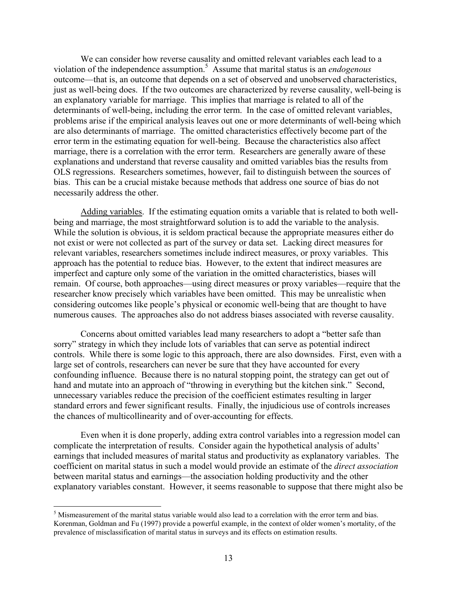We can consider how reverse causality and omitted relevant variables each lead to a violation of the independence assumption.5 Assume that marital status is an *endogenous* outcome—that is, an outcome that depends on a set of observed and unobserved characteristics, just as well-being does. If the two outcomes are characterized by reverse causality, well-being is an explanatory variable for marriage. This implies that marriage is related to all of the determinants of well-being, including the error term. In the case of omitted relevant variables, problems arise if the empirical analysis leaves out one or more determinants of well-being which are also determinants of marriage. The omitted characteristics effectively become part of the error term in the estimating equation for well-being. Because the characteristics also affect marriage, there is a correlation with the error term. Researchers are generally aware of these explanations and understand that reverse causality and omitted variables bias the results from OLS regressions. Researchers sometimes, however, fail to distinguish between the sources of bias. This can be a crucial mistake because methods that address one source of bias do not necessarily address the other.

Adding variables. If the estimating equation omits a variable that is related to both wellbeing and marriage, the most straightforward solution is to add the variable to the analysis. While the solution is obvious, it is seldom practical because the appropriate measures either do not exist or were not collected as part of the survey or data set. Lacking direct measures for relevant variables, researchers sometimes include indirect measures, or proxy variables. This approach has the potential to reduce bias. However, to the extent that indirect measures are imperfect and capture only some of the variation in the omitted characteristics, biases will remain. Of course, both approaches—using direct measures or proxy variables—require that the researcher know precisely which variables have been omitted. This may be unrealistic when considering outcomes like people's physical or economic well-being that are thought to have numerous causes. The approaches also do not address biases associated with reverse causality.

Concerns about omitted variables lead many researchers to adopt a "better safe than sorry" strategy in which they include lots of variables that can serve as potential indirect controls. While there is some logic to this approach, there are also downsides. First, even with a large set of controls, researchers can never be sure that they have accounted for every confounding influence. Because there is no natural stopping point, the strategy can get out of hand and mutate into an approach of "throwing in everything but the kitchen sink." Second, unnecessary variables reduce the precision of the coefficient estimates resulting in larger standard errors and fewer significant results. Finally, the injudicious use of controls increases the chances of multicollinearity and of over-accounting for effects.

Even when it is done properly, adding extra control variables into a regression model can complicate the interpretation of results. Consider again the hypothetical analysis of adults' earnings that included measures of marital status and productivity as explanatory variables. The coefficient on marital status in such a model would provide an estimate of the *direct association* between marital status and earnings—the association holding productivity and the other explanatory variables constant. However, it seems reasonable to suppose that there might also be

 $\overline{a}$ 

<sup>&</sup>lt;sup>5</sup> Mismeasurement of the marital status variable would also lead to a correlation with the error term and bias. Korenman, Goldman and Fu (1997) provide a powerful example, in the context of older women's mortality, of the prevalence of misclassification of marital status in surveys and its effects on estimation results.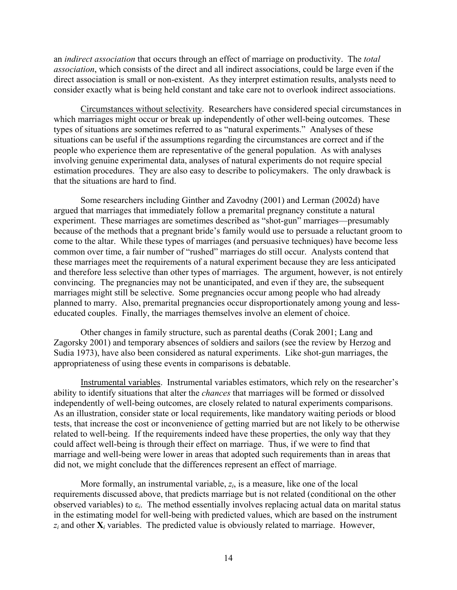an *indirect association* that occurs through an effect of marriage on productivity. The *total association*, which consists of the direct and all indirect associations, could be large even if the direct association is small or non-existent. As they interpret estimation results, analysts need to consider exactly what is being held constant and take care not to overlook indirect associations.

Circumstances without selectivity. Researchers have considered special circumstances in which marriages might occur or break up independently of other well-being outcomes. These types of situations are sometimes referred to as "natural experiments." Analyses of these situations can be useful if the assumptions regarding the circumstances are correct and if the people who experience them are representative of the general population. As with analyses involving genuine experimental data, analyses of natural experiments do not require special estimation procedures. They are also easy to describe to policymakers. The only drawback is that the situations are hard to find.

Some researchers including Ginther and Zavodny (2001) and Lerman (2002d) have argued that marriages that immediately follow a premarital pregnancy constitute a natural experiment. These marriages are sometimes described as "shot-gun" marriages—presumably because of the methods that a pregnant bride's family would use to persuade a reluctant groom to come to the altar. While these types of marriages (and persuasive techniques) have become less common over time, a fair number of "rushed" marriages do still occur. Analysts contend that these marriages meet the requirements of a natural experiment because they are less anticipated and therefore less selective than other types of marriages. The argument, however, is not entirely convincing. The pregnancies may not be unanticipated, and even if they are, the subsequent marriages might still be selective. Some pregnancies occur among people who had already planned to marry. Also, premarital pregnancies occur disproportionately among young and lesseducated couples. Finally, the marriages themselves involve an element of choice.

Other changes in family structure, such as parental deaths (Corak 2001; Lang and Zagorsky 2001) and temporary absences of soldiers and sailors (see the review by Herzog and Sudia 1973), have also been considered as natural experiments. Like shot-gun marriages, the appropriateness of using these events in comparisons is debatable.

Instrumental variables. Instrumental variables estimators, which rely on the researcher's ability to identify situations that alter the *chances* that marriages will be formed or dissolved independently of well-being outcomes, are closely related to natural experiments comparisons. As an illustration, consider state or local requirements, like mandatory waiting periods or blood tests, that increase the cost or inconvenience of getting married but are not likely to be otherwise related to well-being. If the requirements indeed have these properties, the only way that they could affect well-being is through their effect on marriage. Thus, if we were to find that marriage and well-being were lower in areas that adopted such requirements than in areas that did not, we might conclude that the differences represent an effect of marriage.

More formally, an instrumental variable, *zi*, is a measure, like one of the local requirements discussed above, that predicts marriage but is not related (conditional on the other observed variables) to ε*i*. The method essentially involves replacing actual data on marital status in the estimating model for well-being with predicted values, which are based on the instrument  $z_i$  and other  $\mathbf{X}_i$  variables. The predicted value is obviously related to marriage. However,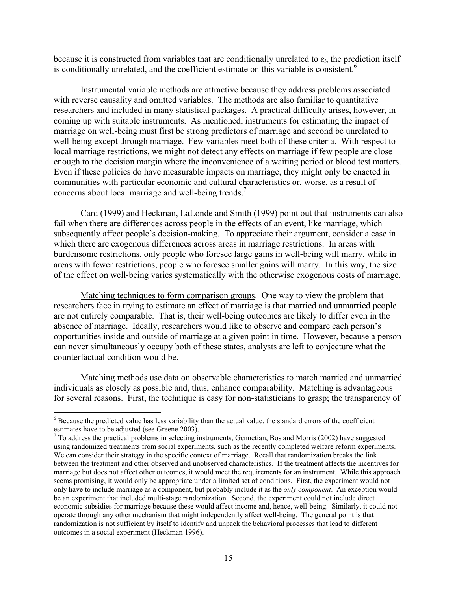because it is constructed from variables that are conditionally unrelated to  $\varepsilon_i$ , the prediction itself is conditionally unrelated, and the coefficient estimate on this variable is consistent.<sup>6</sup>

Instrumental variable methods are attractive because they address problems associated with reverse causality and omitted variables. The methods are also familiar to quantitative researchers and included in many statistical packages. A practical difficulty arises, however, in coming up with suitable instruments. As mentioned, instruments for estimating the impact of marriage on well-being must first be strong predictors of marriage and second be unrelated to well-being except through marriage. Few variables meet both of these criteria. With respect to local marriage restrictions, we might not detect any effects on marriage if few people are close enough to the decision margin where the inconvenience of a waiting period or blood test matters. Even if these policies do have measurable impacts on marriage, they might only be enacted in communities with particular economic and cultural characteristics or, worse, as a result of concerns about local marriage and well-being trends.<sup>7</sup>

Card (1999) and Heckman, LaLonde and Smith (1999) point out that instruments can also fail when there are differences across people in the effects of an event, like marriage, which subsequently affect people's decision-making. To appreciate their argument, consider a case in which there are exogenous differences across areas in marriage restrictions. In areas with burdensome restrictions, only people who foresee large gains in well-being will marry, while in areas with fewer restrictions, people who foresee smaller gains will marry. In this way, the size of the effect on well-being varies systematically with the otherwise exogenous costs of marriage.

Matching techniques to form comparison groups. One way to view the problem that researchers face in trying to estimate an effect of marriage is that married and unmarried people are not entirely comparable. That is, their well-being outcomes are likely to differ even in the absence of marriage. Ideally, researchers would like to observe and compare each person's opportunities inside and outside of marriage at a given point in time. However, because a person can never simultaneously occupy both of these states, analysts are left to conjecture what the counterfactual condition would be.

Matching methods use data on observable characteristics to match married and unmarried individuals as closely as possible and, thus, enhance comparability. Matching is advantageous for several reasons. First, the technique is easy for non-statisticians to grasp; the transparency of

 $\overline{a}$ 

<sup>&</sup>lt;sup>6</sup> Because the predicted value has less variability than the actual value, the standard errors of the coefficient estimates have to be adjusted (see Greene 2003).<br><sup>7</sup> To address the practical problems in selecting instruments, Gennetian, Bos and Morris (2002) have suggested

using randomized treatments from social experiments, such as the recently completed welfare reform experiments. We can consider their strategy in the specific context of marriage. Recall that randomization breaks the link between the treatment and other observed and unobserved characteristics. If the treatment affects the incentives for marriage but does not affect other outcomes, it would meet the requirements for an instrument. While this approach seems promising, it would only be appropriate under a limited set of conditions. First, the experiment would not only have to include marriage as a component, but probably include it as the *only component*. An exception would be an experiment that included multi-stage randomization. Second, the experiment could not include direct economic subsidies for marriage because these would affect income and, hence, well-being. Similarly, it could not operate through any other mechanism that might independently affect well-being. The general point is that randomization is not sufficient by itself to identify and unpack the behavioral processes that lead to different outcomes in a social experiment (Heckman 1996).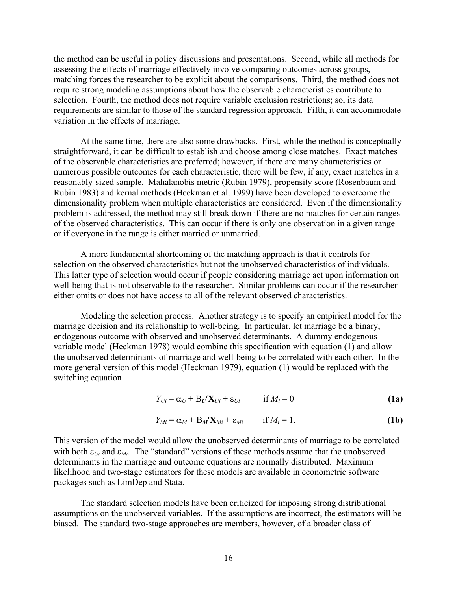the method can be useful in policy discussions and presentations. Second, while all methods for assessing the effects of marriage effectively involve comparing outcomes across groups, matching forces the researcher to be explicit about the comparisons. Third, the method does not require strong modeling assumptions about how the observable characteristics contribute to selection. Fourth, the method does not require variable exclusion restrictions; so, its data requirements are similar to those of the standard regression approach. Fifth, it can accommodate variation in the effects of marriage.

At the same time, there are also some drawbacks. First, while the method is conceptually straightforward, it can be difficult to establish and choose among close matches. Exact matches of the observable characteristics are preferred; however, if there are many characteristics or numerous possible outcomes for each characteristic, there will be few, if any, exact matches in a reasonably-sized sample. Mahalanobis metric (Rubin 1979), propensity score (Rosenbaum and Rubin 1983) and kernal methods (Heckman et al. 1999) have been developed to overcome the dimensionality problem when multiple characteristics are considered. Even if the dimensionality problem is addressed, the method may still break down if there are no matches for certain ranges of the observed characteristics. This can occur if there is only one observation in a given range or if everyone in the range is either married or unmarried.

A more fundamental shortcoming of the matching approach is that it controls for selection on the observed characteristics but not the unobserved characteristics of individuals. This latter type of selection would occur if people considering marriage act upon information on well-being that is not observable to the researcher. Similar problems can occur if the researcher either omits or does not have access to all of the relevant observed characteristics.

Modeling the selection process. Another strategy is to specify an empirical model for the marriage decision and its relationship to well-being. In particular, let marriage be a binary, endogenous outcome with observed and unobserved determinants. A dummy endogenous variable model (Heckman 1978) would combine this specification with equation (1) and allow the unobserved determinants of marriage and well-being to be correlated with each other. In the more general version of this model (Heckman 1979), equation (1) would be replaced with the switching equation

$$
Y_{Ui} = \alpha_U + B_U' \mathbf{X}_{Ui} + \varepsilon_{Ui} \qquad \text{if } M_i = 0 \tag{1a}
$$

$$
Y_{Mi} = \alpha_M + B_M' \mathbf{X}_{Mi} + \varepsilon_{Mi} \qquad \text{if } M_i = 1.
$$
 (1b)

This version of the model would allow the unobserved determinants of marriage to be correlated with both  $\varepsilon_{U_i}$  and  $\varepsilon_{M_i}$ . The "standard" versions of these methods assume that the unobserved determinants in the marriage and outcome equations are normally distributed. Maximum likelihood and two-stage estimators for these models are available in econometric software packages such as LimDep and Stata.

The standard selection models have been criticized for imposing strong distributional assumptions on the unobserved variables. If the assumptions are incorrect, the estimators will be biased. The standard two-stage approaches are members, however, of a broader class of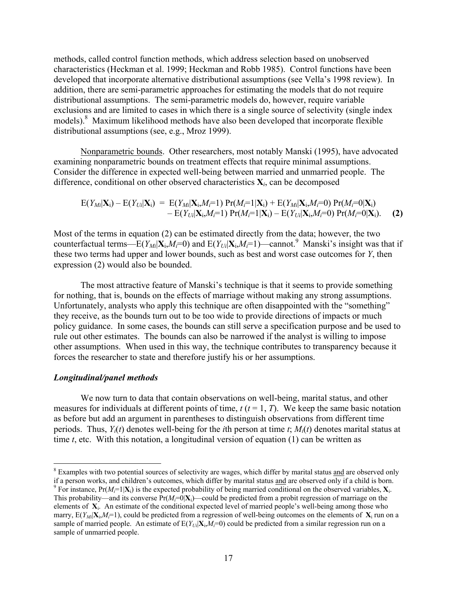methods, called control function methods, which address selection based on unobserved characteristics (Heckman et al. 1999; Heckman and Robb 1985). Control functions have been developed that incorporate alternative distributional assumptions (see Vella's 1998 review). In addition, there are semi-parametric approaches for estimating the models that do not require distributional assumptions. The semi-parametric models do, however, require variable exclusions and are limited to cases in which there is a single source of selectivity (single index models).<sup>8</sup> Maximum likelihood methods have also been developed that incorporate flexible distributional assumptions (see, e.g., Mroz 1999).

Nonparametric bounds. Other researchers, most notably Manski (1995), have advocated examining nonparametric bounds on treatment effects that require minimal assumptions. Consider the difference in expected well-being between married and unmarried people. The difference, conditional on other observed characteristics **X***i*, can be decomposed

$$
E(Y_{Mi}|\mathbf{X}_i) - E(Y_{Ui}|\mathbf{X}_i) = E(Y_{Mi}|\mathbf{X}_i, M_i=1) Pr(M_i=1|\mathbf{X}_i) + E(Y_{Mi}|\mathbf{X}_i, M_i=0) Pr(M_i=0|\mathbf{X}_i) - E(Y_{Ui}|\mathbf{X}_i, M_i=1) Pr(M_i=1|\mathbf{X}_i) - E(Y_{Ui}|\mathbf{X}_i, M_i=0) Pr(M_i=0|\mathbf{X}_i).
$$
 (2)

Most of the terms in equation (2) can be estimated directly from the data; however, the two counterfactual terms—E( $Y_{Mi}$ | $\mathbf{X}_i$ , $M_i$ =0) and E( $Y_{Ui}$ | $\mathbf{X}_i$ , $M_i$ =1)—cannot.<sup>9</sup> Manski's insight was that if these two terms had upper and lower bounds, such as best and worst case outcomes for *Y*, then expression (2) would also be bounded.

The most attractive feature of Manski's technique is that it seems to provide something for nothing, that is, bounds on the effects of marriage without making any strong assumptions. Unfortunately, analysts who apply this technique are often disappointed with the "something" they receive, as the bounds turn out to be too wide to provide directions of impacts or much policy guidance. In some cases, the bounds can still serve a specification purpose and be used to rule out other estimates. The bounds can also be narrowed if the analyst is willing to impose other assumptions. When used in this way, the technique contributes to transparency because it forces the researcher to state and therefore justify his or her assumptions.

#### *Longitudinal/panel methods*

 $\overline{a}$ 

We now turn to data that contain observations on well-being, marital status, and other measures for individuals at different points of time,  $t$  ( $t = 1, T$ ). We keep the same basic notation as before but add an argument in parentheses to distinguish observations from different time periods. Thus, *Yi*(*t*) denotes well-being for the *i*th person at time *t*; *Mi*(*t*) denotes marital status at time *t*, etc. With this notation, a longitudinal version of equation (1) can be written as

<sup>&</sup>lt;sup>8</sup> Examples with two potential sources of selectivity are wages, which differ by marital status and are observed only if a person works, and children's outcomes, which differ by marital status and are observed only if a child is born. 9

<sup>&</sup>lt;sup>9</sup> For instance,  $Pr(M_i=1|\mathbf{X}_i)$  is the expected probability of being married conditional on the observed variables,  $\mathbf{X}_i$ . This probability—and its converse  $Pr(M_i=0|\mathbf{X}_i)$ —could be predicted from a probit regression of marriage on the elements of **X**i. An estimate of the conditional expected level of married people's well-being among those who marry,  $E(Y_M|\mathbf{X}_i,M_i=1)$ , could be predicted from a regression of well-being outcomes on the elements of  $\mathbf{X}_i$  run on a sample of married people. An estimate of  $E(Y_{Ui}|\mathbf{X}_i, M_i=0)$  could be predicted from a similar regression run on a sample of unmarried people.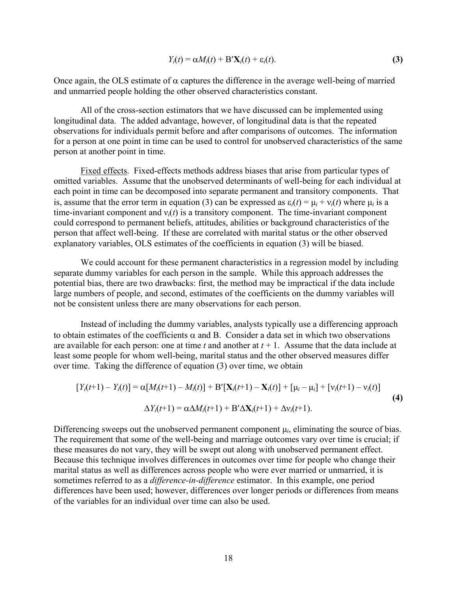$$
Y_i(t) = \alpha M_i(t) + \mathbf{B}'\mathbf{X}_i(t) + \varepsilon_i(t).
$$
 (3)

Once again, the OLS estimate of  $\alpha$  captures the difference in the average well-being of married and unmarried people holding the other observed characteristics constant.

All of the cross-section estimators that we have discussed can be implemented using longitudinal data. The added advantage, however, of longitudinal data is that the repeated observations for individuals permit before and after comparisons of outcomes. The information for a person at one point in time can be used to control for unobserved characteristics of the same person at another point in time.

Fixed effects. Fixed-effects methods address biases that arise from particular types of omitted variables. Assume that the unobserved determinants of well-being for each individual at each point in time can be decomposed into separate permanent and transitory components. That is, assume that the error term in equation (3) can be expressed as  $\varepsilon_i(t) = \mu_i + v_i(t)$  where  $\mu_i$  is a time-invariant component and ν*i*(*t*) is a transitory component. The time-invariant component could correspond to permanent beliefs, attitudes, abilities or background characteristics of the person that affect well-being. If these are correlated with marital status or the other observed explanatory variables, OLS estimates of the coefficients in equation (3) will be biased.

We could account for these permanent characteristics in a regression model by including separate dummy variables for each person in the sample. While this approach addresses the potential bias, there are two drawbacks: first, the method may be impractical if the data include large numbers of people, and second, estimates of the coefficients on the dummy variables will not be consistent unless there are many observations for each person.

Instead of including the dummy variables, analysts typically use a differencing approach to obtain estimates of the coefficients  $\alpha$  and B. Consider a data set in which two observations are available for each person: one at time  $t$  and another at  $t + 1$ . Assume that the data include at least some people for whom well-being, marital status and the other observed measures differ over time. Taking the difference of equation (3) over time, we obtain

$$
[Y_i(t+1) - Y_i(t)] = \alpha [M_i(t+1) - M_i(t)] + B'[X_i(t+1) - X_i(t)] + [\mu_i - \mu_i] + [\nu_i(t+1) - \nu_i(t)]
$$
  

$$
\Delta Y_i(t+1) = \alpha \Delta M_i(t+1) + B'\Delta X_i(t+1) + \Delta \nu_i(t+1).
$$
 (4)

Differencing sweeps out the unobserved permanent component  $\mu_i$ , eliminating the source of bias. The requirement that some of the well-being and marriage outcomes vary over time is crucial; if these measures do not vary, they will be swept out along with unobserved permanent effect. Because this technique involves differences in outcomes over time for people who change their marital status as well as differences across people who were ever married or unmarried, it is sometimes referred to as a *difference-in-difference* estimator. In this example, one period differences have been used; however, differences over longer periods or differences from means of the variables for an individual over time can also be used.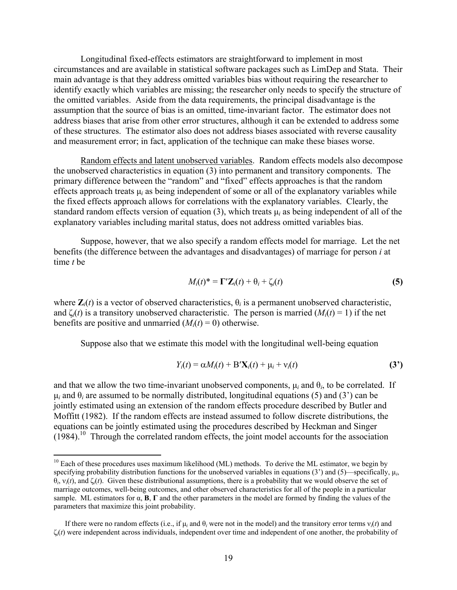Longitudinal fixed-effects estimators are straightforward to implement in most circumstances and are available in statistical software packages such as LimDep and Stata. Their main advantage is that they address omitted variables bias without requiring the researcher to identify exactly which variables are missing; the researcher only needs to specify the structure of the omitted variables. Aside from the data requirements, the principal disadvantage is the assumption that the source of bias is an omitted, time-invariant factor. The estimator does not address biases that arise from other error structures, although it can be extended to address some of these structures. The estimator also does not address biases associated with reverse causality and measurement error; in fact, application of the technique can make these biases worse.

Random effects and latent unobserved variables. Random effects models also decompose the unobserved characteristics in equation (3) into permanent and transitory components. The primary difference between the "random" and "fixed" effects approaches is that the random effects approach treats  $\mu_i$  as being independent of some or all of the explanatory variables while the fixed effects approach allows for correlations with the explanatory variables. Clearly, the standard random effects version of equation (3), which treats  $\mu_i$  as being independent of all of the explanatory variables including marital status, does not address omitted variables bias.

Suppose, however, that we also specify a random effects model for marriage. Let the net benefits (the difference between the advantages and disadvantages) of marriage for person *i* at time *t* be

$$
M_i(t)^* = \Gamma' \mathbf{Z}_i(t) + \theta_i + \zeta_i(t) \tag{5}
$$

where  $\mathbf{Z}_i(t)$  is a vector of observed characteristics,  $\theta_i$  is a permanent unobserved characteristic, and  $\zeta_i(t)$  is a transitory unobserved characteristic. The person is married  $(M_i(t) = 1)$  if the net benefits are positive and unmarried  $(M<sub>i</sub>(t) = 0)$  otherwise.

Suppose also that we estimate this model with the longitudinal well-being equation

$$
Y_i(t) = \alpha M_i(t) + \mathbf{B}'\mathbf{X}_i(t) + \mu_i + \nu_i(t)
$$
\n(3')

and that we allow the two time-invariant unobserved components,  $\mu_i$  and  $\theta_i$ , to be correlated. If  $\mu_i$  and  $\theta_i$  are assumed to be normally distributed, longitudinal equations (5) and (3<sup>'</sup>) can be jointly estimated using an extension of the random effects procedure described by Butler and Moffitt (1982). If the random effects are instead assumed to follow discrete distributions, the equations can be jointly estimated using the procedures described by Heckman and Singer  $(1984).$ <sup>10</sup> Through the correlated random effects, the joint model accounts for the association

 $\overline{a}$ 

<sup>&</sup>lt;sup>10</sup> Each of these procedures uses maximum likelihood (ML) methods. To derive the ML estimator, we begin by specifying probability distribution functions for the unobserved variables in equations  $(3')$  and  $(5)$ —specifically,  $\mu_i$ , θ*i*, ν*i*(*t*), and ζ*i*(*t*). Given these distributional assumptions, there is a probability that we would observe the set of marriage outcomes, well-being outcomes, and other observed characteristics for all of the people in a particular sample. ML estimators for α, **Β**, **Γ** and the other parameters in the model are formed by finding the values of the parameters that maximize this joint probability.

If there were no random effects (i.e., if  $\mu_i$  and  $\theta_i$  were not in the model) and the transitory error terms  $v_i(t)$  and ζ*i*(*t*) were independent across individuals, independent over time and independent of one another, the probability of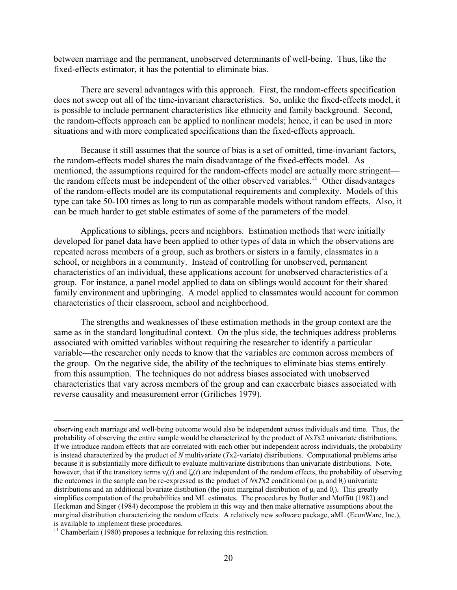between marriage and the permanent, unobserved determinants of well-being. Thus, like the fixed-effects estimator, it has the potential to eliminate bias.

There are several advantages with this approach. First, the random-effects specification does not sweep out all of the time-invariant characteristics. So, unlike the fixed-effects model, it is possible to include permanent characteristics like ethnicity and family background. Second, the random-effects approach can be applied to nonlinear models; hence, it can be used in more situations and with more complicated specifications than the fixed-effects approach.

Because it still assumes that the source of bias is a set of omitted, time-invariant factors, the random-effects model shares the main disadvantage of the fixed-effects model. As mentioned, the assumptions required for the random-effects model are actually more stringent the random effects must be independent of the other observed variables.<sup>11</sup> Other disadvantages of the random-effects model are its computational requirements and complexity. Models of this type can take 50-100 times as long to run as comparable models without random effects. Also, it can be much harder to get stable estimates of some of the parameters of the model.

Applications to siblings, peers and neighbors. Estimation methods that were initially developed for panel data have been applied to other types of data in which the observations are repeated across members of a group, such as brothers or sisters in a family, classmates in a school, or neighbors in a community. Instead of controlling for unobserved, permanent characteristics of an individual, these applications account for unobserved characteristics of a group. For instance, a panel model applied to data on siblings would account for their shared family environment and upbringing. A model applied to classmates would account for common characteristics of their classroom, school and neighborhood.

The strengths and weaknesses of these estimation methods in the group context are the same as in the standard longitudinal context. On the plus side, the techniques address problems associated with omitted variables without requiring the researcher to identify a particular variable—the researcher only needs to know that the variables are common across members of the group. On the negative side, the ability of the techniques to eliminate bias stems entirely from this assumption. The techniques do not address biases associated with unobserved characteristics that vary across members of the group and can exacerbate biases associated with reverse causality and measurement error (Griliches 1979).

 observing each marriage and well-being outcome would also be independent across individuals and time. Thus, the probability of observing the entire sample would be characterized by the product of *N*x*T*x2 univariate distributions. If we introduce random effects that are correlated with each other but independent across individuals, the probability is instead characterized by the product of *N* multivariate (*T*x2-variate) distributions. Computational problems arise because it is substantially more difficult to evaluate multivariate distributions than univariate distributions. Note, however, that if the transitory terms ν*i*(*t*) and ζ*i*(*t*) are independent of the random effects, the probability of observing the outcomes in the sample can be re-expressed as the product of  $NxTx2$  conditional (on  $\mu_i$  and  $\theta_i$ ) univariate distributions and an additional bivariate distibution (the joint marginal distribution of µ*i* and θ*i*). This greatly simplifies computation of the probabilities and ML estimates. The procedures by Butler and Moffitt (1982) and Heckman and Singer (1984) decompose the problem in this way and then make alternative assumptions about the marginal distribution characterizing the random effects. A relatively new software package, aML (EconWare, Inc.), is available to implement these procedures.

 $11$  Chamberlain (1980) proposes a technique for relaxing this restriction.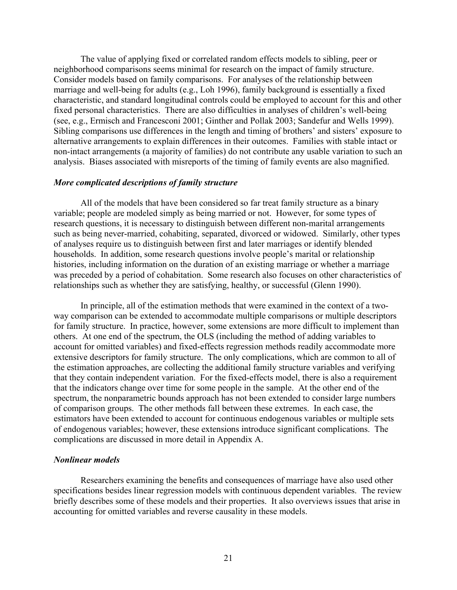The value of applying fixed or correlated random effects models to sibling, peer or neighborhood comparisons seems minimal for research on the impact of family structure. Consider models based on family comparisons. For analyses of the relationship between marriage and well-being for adults (e.g., Loh 1996), family background is essentially a fixed characteristic, and standard longitudinal controls could be employed to account for this and other fixed personal characteristics. There are also difficulties in analyses of children's well-being (see, e.g., Ermisch and Francesconi 2001; Ginther and Pollak 2003; Sandefur and Wells 1999). Sibling comparisons use differences in the length and timing of brothers' and sisters' exposure to alternative arrangements to explain differences in their outcomes. Families with stable intact or non-intact arrangements (a majority of families) do not contribute any usable variation to such an analysis. Biases associated with misreports of the timing of family events are also magnified.

#### *More complicated descriptions of family structure*

All of the models that have been considered so far treat family structure as a binary variable; people are modeled simply as being married or not. However, for some types of research questions, it is necessary to distinguish between different non-marital arrangements such as being never-married, cohabiting, separated, divorced or widowed. Similarly, other types of analyses require us to distinguish between first and later marriages or identify blended households. In addition, some research questions involve people's marital or relationship histories, including information on the duration of an existing marriage or whether a marriage was preceded by a period of cohabitation. Some research also focuses on other characteristics of relationships such as whether they are satisfying, healthy, or successful (Glenn 1990).

In principle, all of the estimation methods that were examined in the context of a twoway comparison can be extended to accommodate multiple comparisons or multiple descriptors for family structure. In practice, however, some extensions are more difficult to implement than others. At one end of the spectrum, the OLS (including the method of adding variables to account for omitted variables) and fixed-effects regression methods readily accommodate more extensive descriptors for family structure. The only complications, which are common to all of the estimation approaches, are collecting the additional family structure variables and verifying that they contain independent variation. For the fixed-effects model, there is also a requirement that the indicators change over time for some people in the sample. At the other end of the spectrum, the nonparametric bounds approach has not been extended to consider large numbers of comparison groups. The other methods fall between these extremes. In each case, the estimators have been extended to account for continuous endogenous variables or multiple sets of endogenous variables; however, these extensions introduce significant complications. The complications are discussed in more detail in Appendix A.

#### *Nonlinear models*

Researchers examining the benefits and consequences of marriage have also used other specifications besides linear regression models with continuous dependent variables. The review briefly describes some of these models and their properties. It also overviews issues that arise in accounting for omitted variables and reverse causality in these models.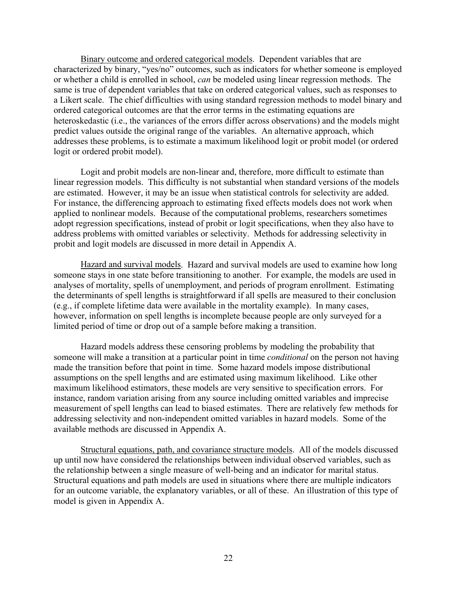Binary outcome and ordered categorical models. Dependent variables that are characterized by binary, "yes/no" outcomes, such as indicators for whether someone is employed or whether a child is enrolled in school, *can* be modeled using linear regression methods. The same is true of dependent variables that take on ordered categorical values, such as responses to a Likert scale. The chief difficulties with using standard regression methods to model binary and ordered categorical outcomes are that the error terms in the estimating equations are heteroskedastic (i.e., the variances of the errors differ across observations) and the models might predict values outside the original range of the variables. An alternative approach, which addresses these problems, is to estimate a maximum likelihood logit or probit model (or ordered logit or ordered probit model).

Logit and probit models are non-linear and, therefore, more difficult to estimate than linear regression models. This difficulty is not substantial when standard versions of the models are estimated. However, it may be an issue when statistical controls for selectivity are added. For instance, the differencing approach to estimating fixed effects models does not work when applied to nonlinear models. Because of the computational problems, researchers sometimes adopt regression specifications, instead of probit or logit specifications, when they also have to address problems with omitted variables or selectivity. Methods for addressing selectivity in probit and logit models are discussed in more detail in Appendix A.

Hazard and survival models. Hazard and survival models are used to examine how long someone stays in one state before transitioning to another. For example, the models are used in analyses of mortality, spells of unemployment, and periods of program enrollment. Estimating the determinants of spell lengths is straightforward if all spells are measured to their conclusion (e.g., if complete lifetime data were available in the mortality example). In many cases, however, information on spell lengths is incomplete because people are only surveyed for a limited period of time or drop out of a sample before making a transition.

Hazard models address these censoring problems by modeling the probability that someone will make a transition at a particular point in time *conditional* on the person not having made the transition before that point in time. Some hazard models impose distributional assumptions on the spell lengths and are estimated using maximum likelihood. Like other maximum likelihood estimators, these models are very sensitive to specification errors. For instance, random variation arising from any source including omitted variables and imprecise measurement of spell lengths can lead to biased estimates. There are relatively few methods for addressing selectivity and non-independent omitted variables in hazard models. Some of the available methods are discussed in Appendix A.

Structural equations, path, and covariance structure models. All of the models discussed up until now have considered the relationships between individual observed variables, such as the relationship between a single measure of well-being and an indicator for marital status. Structural equations and path models are used in situations where there are multiple indicators for an outcome variable, the explanatory variables, or all of these. An illustration of this type of model is given in Appendix A.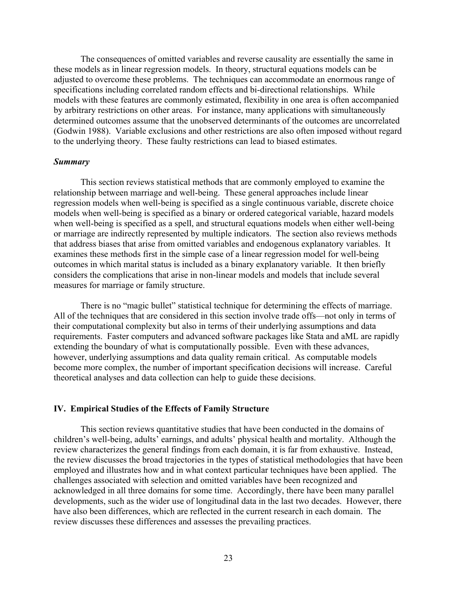The consequences of omitted variables and reverse causality are essentially the same in these models as in linear regression models. In theory, structural equations models can be adjusted to overcome these problems. The techniques can accommodate an enormous range of specifications including correlated random effects and bi-directional relationships. While models with these features are commonly estimated, flexibility in one area is often accompanied by arbitrary restrictions on other areas. For instance, many applications with simultaneously determined outcomes assume that the unobserved determinants of the outcomes are uncorrelated (Godwin 1988). Variable exclusions and other restrictions are also often imposed without regard to the underlying theory. These faulty restrictions can lead to biased estimates.

#### *Summary*

This section reviews statistical methods that are commonly employed to examine the relationship between marriage and well-being. These general approaches include linear regression models when well-being is specified as a single continuous variable, discrete choice models when well-being is specified as a binary or ordered categorical variable, hazard models when well-being is specified as a spell, and structural equations models when either well-being or marriage are indirectly represented by multiple indicators. The section also reviews methods that address biases that arise from omitted variables and endogenous explanatory variables. It examines these methods first in the simple case of a linear regression model for well-being outcomes in which marital status is included as a binary explanatory variable. It then briefly considers the complications that arise in non-linear models and models that include several measures for marriage or family structure.

There is no "magic bullet" statistical technique for determining the effects of marriage. All of the techniques that are considered in this section involve trade offs—not only in terms of their computational complexity but also in terms of their underlying assumptions and data requirements. Faster computers and advanced software packages like Stata and aML are rapidly extending the boundary of what is computationally possible. Even with these advances, however, underlying assumptions and data quality remain critical. As computable models become more complex, the number of important specification decisions will increase. Careful theoretical analyses and data collection can help to guide these decisions.

#### **IV. Empirical Studies of the Effects of Family Structure**

This section reviews quantitative studies that have been conducted in the domains of children's well-being, adults' earnings, and adults' physical health and mortality. Although the review characterizes the general findings from each domain, it is far from exhaustive. Instead, the review discusses the broad trajectories in the types of statistical methodologies that have been employed and illustrates how and in what context particular techniques have been applied. The challenges associated with selection and omitted variables have been recognized and acknowledged in all three domains for some time. Accordingly, there have been many parallel developments, such as the wider use of longitudinal data in the last two decades. However, there have also been differences, which are reflected in the current research in each domain. The review discusses these differences and assesses the prevailing practices.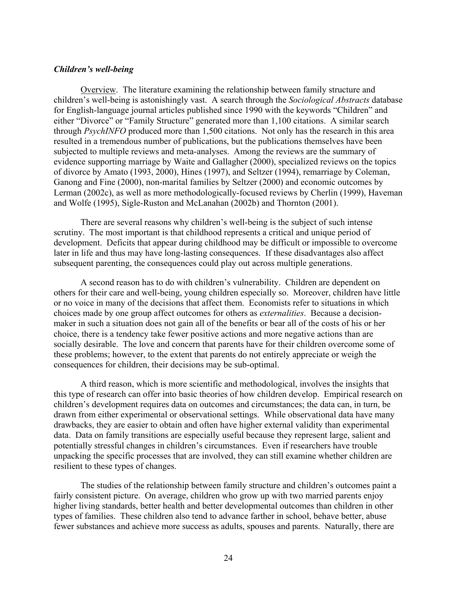#### *Children's well-being*

Overview. The literature examining the relationship between family structure and children's well-being is astonishingly vast. A search through the *Sociological Abstracts* database for English-language journal articles published since 1990 with the keywords "Children" and either "Divorce" or "Family Structure" generated more than 1,100 citations. A similar search through *PsychINFO* produced more than 1,500 citations. Not only has the research in this area resulted in a tremendous number of publications, but the publications themselves have been subjected to multiple reviews and meta-analyses. Among the reviews are the summary of evidence supporting marriage by Waite and Gallagher (2000), specialized reviews on the topics of divorce by Amato (1993, 2000), Hines (1997), and Seltzer (1994), remarriage by Coleman, Ganong and Fine (2000), non-marital families by Seltzer (2000) and economic outcomes by Lerman (2002c), as well as more methodologically-focused reviews by Cherlin (1999), Haveman and Wolfe (1995), Sigle-Ruston and McLanahan (2002b) and Thornton (2001).

There are several reasons why children's well-being is the subject of such intense scrutiny. The most important is that childhood represents a critical and unique period of development. Deficits that appear during childhood may be difficult or impossible to overcome later in life and thus may have long-lasting consequences. If these disadvantages also affect subsequent parenting, the consequences could play out across multiple generations.

A second reason has to do with children's vulnerability. Children are dependent on others for their care and well-being, young children especially so. Moreover, children have little or no voice in many of the decisions that affect them. Economists refer to situations in which choices made by one group affect outcomes for others as *externalities*. Because a decisionmaker in such a situation does not gain all of the benefits or bear all of the costs of his or her choice, there is a tendency take fewer positive actions and more negative actions than are socially desirable. The love and concern that parents have for their children overcome some of these problems; however, to the extent that parents do not entirely appreciate or weigh the consequences for children, their decisions may be sub-optimal.

A third reason, which is more scientific and methodological, involves the insights that this type of research can offer into basic theories of how children develop. Empirical research on children's development requires data on outcomes and circumstances; the data can, in turn, be drawn from either experimental or observational settings. While observational data have many drawbacks, they are easier to obtain and often have higher external validity than experimental data. Data on family transitions are especially useful because they represent large, salient and potentially stressful changes in children's circumstances. Even if researchers have trouble unpacking the specific processes that are involved, they can still examine whether children are resilient to these types of changes.

The studies of the relationship between family structure and children's outcomes paint a fairly consistent picture. On average, children who grow up with two married parents enjoy higher living standards, better health and better developmental outcomes than children in other types of families. These children also tend to advance farther in school, behave better, abuse fewer substances and achieve more success as adults, spouses and parents. Naturally, there are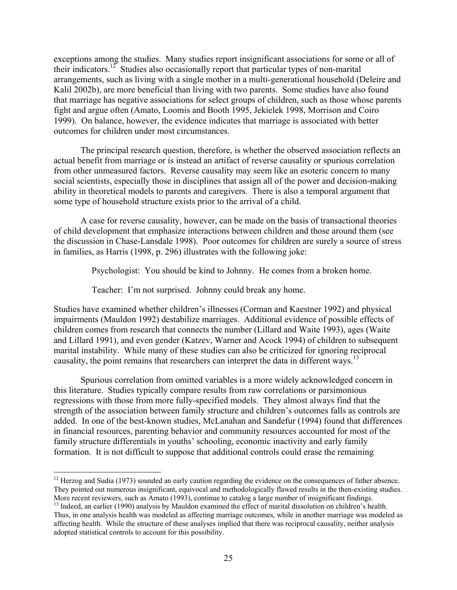exceptions among the studies. Many studies report insignificant associations for some or all of their indicators.<sup>12</sup> Studies also occasionally report that particular types of non-marital arrangements, such as living with a single mother in a multi-generational household (Deleire and Kalil 2002b), are more beneficial than living with two parents. Some studies have also found that marriage has negative associations for select groups of children, such as those whose parents fight and argue often (Amato, Loomis and Booth 1995, Jekielek 1998, Morrison and Coiro 1999). On balance, however, the evidence indicates that marriage is associated with better outcomes for children under most circumstances.

The principal research question, therefore, is whether the observed association reflects an actual benefit from marriage or is instead an artifact of reverse causality or spurious correlation from other unmeasured factors. Reverse causality may seem like an esoteric concern to many social scientists, especially those in disciplines that assign all of the power and decision-making ability in theoretical models to parents and caregivers. There is also a temporal argument that some type of household structure exists prior to the arrival of a child.

A case for reverse causality, however, can be made on the basis of transactional theories of child development that emphasize interactions between children and those around them (see the discussion in Chase-Lansdale 1998). Poor outcomes for children are surely a source of stress in families, as Harris (1998, p. 296) illustrates with the following joke:

Psychologist: You should be kind to Johnny. He comes from a broken home.

Teacher: I'm not surprised. Johnny could break any home.

Studies have examined whether children's illnesses (Corman and Kaestner 1992) and physical impairments (Mauldon 1992) destabilize marriages. Additional evidence of possible effects of children comes from research that connects the number (Lillard and Waite 1993), ages (Waite and Lillard 1991), and even gender (Katzev, Warner and Acock 1994) of children to subsequent marital instability. While many of these studies can also be criticized for ignoring reciprocal causality, the point remains that researchers can interpret the data in different ways.<sup>13</sup>

Spurious correlation from omitted variables is a more widely acknowledged concern in this literature. Studies typically compare results from raw correlations or parsimonious regressions with those from more fully-specified models. They almost always find that the strength of the association between family structure and children's outcomes falls as controls are added. In one of the best-known studies, McLanahan and Sandefur (1994) found that differences in financial resources, parenting behavior and community resources accounted for most of the family structure differentials in youths' schooling, economic inactivity and early family formation. It is not difficult to suppose that additional controls could erase the remaining

 $\overline{a}$  $12$  Herzog and Sudia (1973) sounded an early caution regarding the evidence on the consequences of father absence. They pointed out numerous insignificant, equivocal and methodologically flawed results in the then-existing studies.<br>More recent reviewers, such as Amato (1993), continue to catalog a large number of insignificant findings

 $^{13}$  Indeed, an earlier (1990) analysis by Mauldon examined the effect of marital dissolution on children's health. Thus, in one analysis health was modeled as affecting marriage outcomes, while in another marriage was modeled as affecting health. While the structure of these analyses implied that there was reciprocal causality, neither analysis adopted statistical controls to account for this possibility.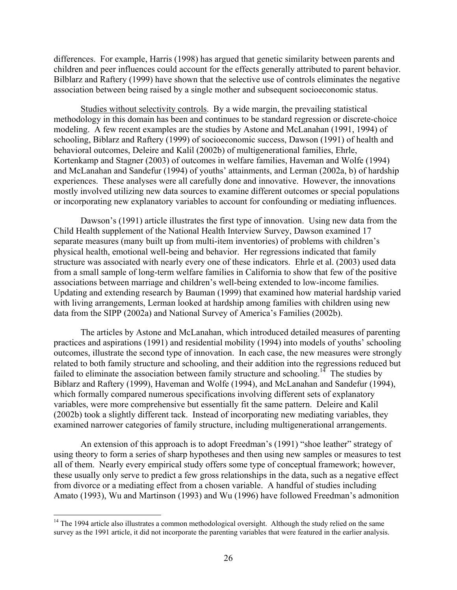differences. For example, Harris (1998) has argued that genetic similarity between parents and children and peer influences could account for the effects generally attributed to parent behavior. Bilblarz and Raftery (1999) have shown that the selective use of controls eliminates the negative association between being raised by a single mother and subsequent socioeconomic status.

Studies without selectivity controls. By a wide margin, the prevailing statistical methodology in this domain has been and continues to be standard regression or discrete-choice modeling. A few recent examples are the studies by Astone and McLanahan (1991, 1994) of schooling, Biblarz and Raftery (1999) of socioeconomic success, Dawson (1991) of health and behavioral outcomes, Deleire and Kalil (2002b) of multigenerational families, Ehrle, Kortenkamp and Stagner (2003) of outcomes in welfare families, Haveman and Wolfe (1994) and McLanahan and Sandefur (1994) of youths' attainments, and Lerman (2002a, b) of hardship experiences. These analyses were all carefully done and innovative. However, the innovations mostly involved utilizing new data sources to examine different outcomes or special populations or incorporating new explanatory variables to account for confounding or mediating influences.

Dawson's (1991) article illustrates the first type of innovation. Using new data from the Child Health supplement of the National Health Interview Survey, Dawson examined 17 separate measures (many built up from multi-item inventories) of problems with children's physical health, emotional well-being and behavior. Her regressions indicated that family structure was associated with nearly every one of these indicators. Ehrle et al. (2003) used data from a small sample of long-term welfare families in California to show that few of the positive associations between marriage and children's well-being extended to low-income families. Updating and extending research by Bauman (1999) that examined how material hardship varied with living arrangements, Lerman looked at hardship among families with children using new data from the SIPP (2002a) and National Survey of America's Families (2002b).

The articles by Astone and McLanahan, which introduced detailed measures of parenting practices and aspirations (1991) and residential mobility (1994) into models of youths' schooling outcomes, illustrate the second type of innovation. In each case, the new measures were strongly related to both family structure and schooling, and their addition into the regressions reduced but failed to eliminate the association between family structure and schooling.<sup>14</sup> The studies by Biblarz and Raftery (1999), Haveman and Wolfe (1994), and McLanahan and Sandefur (1994), which formally compared numerous specifications involving different sets of explanatory variables, were more comprehensive but essentially fit the same pattern. Deleire and Kalil (2002b) took a slightly different tack. Instead of incorporating new mediating variables, they examined narrower categories of family structure, including multigenerational arrangements.

An extension of this approach is to adopt Freedman's (1991) "shoe leather" strategy of using theory to form a series of sharp hypotheses and then using new samples or measures to test all of them. Nearly every empirical study offers some type of conceptual framework; however, these usually only serve to predict a few gross relationships in the data, such as a negative effect from divorce or a mediating effect from a chosen variable. A handful of studies including Amato (1993), Wu and Martinson (1993) and Wu (1996) have followed Freedman's admonition

 $\overline{a}$ 

<sup>&</sup>lt;sup>14</sup> The 1994 article also illustrates a common methodological oversight. Although the study relied on the same survey as the 1991 article, it did not incorporate the parenting variables that were featured in the earlier analysis.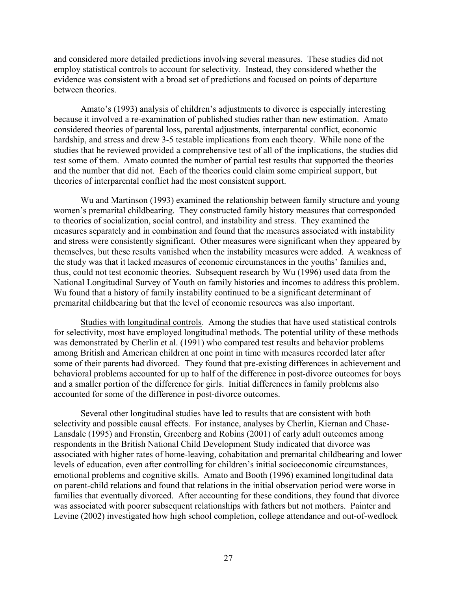and considered more detailed predictions involving several measures. These studies did not employ statistical controls to account for selectivity. Instead, they considered whether the evidence was consistent with a broad set of predictions and focused on points of departure between theories.

Amato's (1993) analysis of children's adjustments to divorce is especially interesting because it involved a re-examination of published studies rather than new estimation. Amato considered theories of parental loss, parental adjustments, interparental conflict, economic hardship, and stress and drew 3-5 testable implications from each theory. While none of the studies that he reviewed provided a comprehensive test of all of the implications, the studies did test some of them. Amato counted the number of partial test results that supported the theories and the number that did not. Each of the theories could claim some empirical support, but theories of interparental conflict had the most consistent support.

Wu and Martinson (1993) examined the relationship between family structure and young women's premarital childbearing. They constructed family history measures that corresponded to theories of socialization, social control, and instability and stress. They examined the measures separately and in combination and found that the measures associated with instability and stress were consistently significant. Other measures were significant when they appeared by themselves, but these results vanished when the instability measures were added. A weakness of the study was that it lacked measures of economic circumstances in the youths' families and, thus, could not test economic theories. Subsequent research by Wu (1996) used data from the National Longitudinal Survey of Youth on family histories and incomes to address this problem. Wu found that a history of family instability continued to be a significant determinant of premarital childbearing but that the level of economic resources was also important.

Studies with longitudinal controls. Among the studies that have used statistical controls for selectivity, most have employed longitudinal methods. The potential utility of these methods was demonstrated by Cherlin et al. (1991) who compared test results and behavior problems among British and American children at one point in time with measures recorded later after some of their parents had divorced. They found that pre-existing differences in achievement and behavioral problems accounted for up to half of the difference in post-divorce outcomes for boys and a smaller portion of the difference for girls. Initial differences in family problems also accounted for some of the difference in post-divorce outcomes.

Several other longitudinal studies have led to results that are consistent with both selectivity and possible causal effects. For instance, analyses by Cherlin, Kiernan and Chase-Lansdale (1995) and Fronstin, Greenberg and Robins (2001) of early adult outcomes among respondents in the British National Child Development Study indicated that divorce was associated with higher rates of home-leaving, cohabitation and premarital childbearing and lower levels of education, even after controlling for children's initial socioeconomic circumstances, emotional problems and cognitive skills. Amato and Booth (1996) examined longitudinal data on parent-child relations and found that relations in the initial observation period were worse in families that eventually divorced. After accounting for these conditions, they found that divorce was associated with poorer subsequent relationships with fathers but not mothers. Painter and Levine (2002) investigated how high school completion, college attendance and out-of-wedlock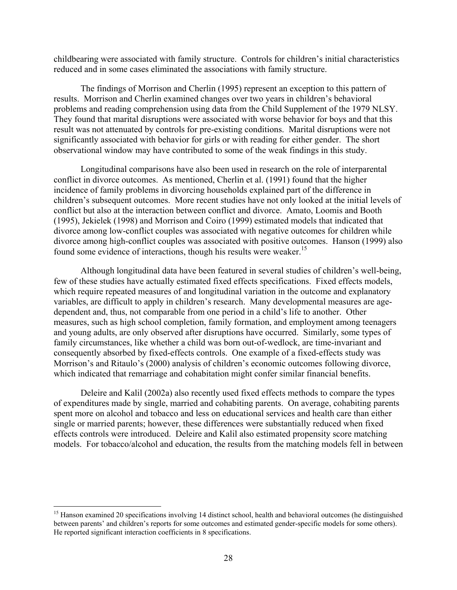childbearing were associated with family structure. Controls for children's initial characteristics reduced and in some cases eliminated the associations with family structure.

The findings of Morrison and Cherlin (1995) represent an exception to this pattern of results. Morrison and Cherlin examined changes over two years in children's behavioral problems and reading comprehension using data from the Child Supplement of the 1979 NLSY. They found that marital disruptions were associated with worse behavior for boys and that this result was not attenuated by controls for pre-existing conditions. Marital disruptions were not significantly associated with behavior for girls or with reading for either gender. The short observational window may have contributed to some of the weak findings in this study.

Longitudinal comparisons have also been used in research on the role of interparental conflict in divorce outcomes. As mentioned, Cherlin et al. (1991) found that the higher incidence of family problems in divorcing households explained part of the difference in children's subsequent outcomes. More recent studies have not only looked at the initial levels of conflict but also at the interaction between conflict and divorce. Amato, Loomis and Booth (1995), Jekielek (1998) and Morrison and Coiro (1999) estimated models that indicated that divorce among low-conflict couples was associated with negative outcomes for children while divorce among high-conflict couples was associated with positive outcomes. Hanson (1999) also found some evidence of interactions, though his results were weaker.<sup>15</sup>

Although longitudinal data have been featured in several studies of children's well-being, few of these studies have actually estimated fixed effects specifications. Fixed effects models, which require repeated measures of and longitudinal variation in the outcome and explanatory variables, are difficult to apply in children's research. Many developmental measures are agedependent and, thus, not comparable from one period in a child's life to another. Other measures, such as high school completion, family formation, and employment among teenagers and young adults, are only observed after disruptions have occurred. Similarly, some types of family circumstances, like whether a child was born out-of-wedlock, are time-invariant and consequently absorbed by fixed-effects controls. One example of a fixed-effects study was Morrison's and Ritaulo's (2000) analysis of children's economic outcomes following divorce, which indicated that remarriage and cohabitation might confer similar financial benefits.

Deleire and Kalil (2002a) also recently used fixed effects methods to compare the types of expenditures made by single, married and cohabiting parents. On average, cohabiting parents spent more on alcohol and tobacco and less on educational services and health care than either single or married parents; however, these differences were substantially reduced when fixed effects controls were introduced. Deleire and Kalil also estimated propensity score matching models. For tobacco/alcohol and education, the results from the matching models fell in between

<sup>&</sup>lt;sup>15</sup> Hanson examined 20 specifications involving 14 distinct school, health and behavioral outcomes (he distinguished between parents' and children's reports for some outcomes and estimated gender-specific models for some others). He reported significant interaction coefficients in 8 specifications.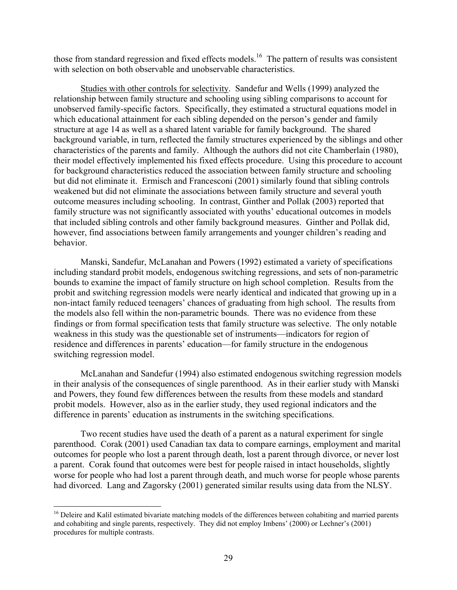those from standard regression and fixed effects models.<sup>16</sup> The pattern of results was consistent with selection on both observable and unobservable characteristics.

Studies with other controls for selectivity. Sandefur and Wells (1999) analyzed the relationship between family structure and schooling using sibling comparisons to account for unobserved family-specific factors. Specifically, they estimated a structural equations model in which educational attainment for each sibling depended on the person's gender and family structure at age 14 as well as a shared latent variable for family background. The shared background variable, in turn, reflected the family structures experienced by the siblings and other characteristics of the parents and family. Although the authors did not cite Chamberlain (1980), their model effectively implemented his fixed effects procedure. Using this procedure to account for background characteristics reduced the association between family structure and schooling but did not eliminate it. Ermisch and Francesconi (2001) similarly found that sibling controls weakened but did not eliminate the associations between family structure and several youth outcome measures including schooling. In contrast, Ginther and Pollak (2003) reported that family structure was not significantly associated with youths' educational outcomes in models that included sibling controls and other family background measures. Ginther and Pollak did, however, find associations between family arrangements and younger children's reading and behavior.

Manski, Sandefur, McLanahan and Powers (1992) estimated a variety of specifications including standard probit models, endogenous switching regressions, and sets of non-parametric bounds to examine the impact of family structure on high school completion. Results from the probit and switching regression models were nearly identical and indicated that growing up in a non-intact family reduced teenagers' chances of graduating from high school. The results from the models also fell within the non-parametric bounds. There was no evidence from these findings or from formal specification tests that family structure was selective. The only notable weakness in this study was the questionable set of instruments—indicators for region of residence and differences in parents' education—for family structure in the endogenous switching regression model.

McLanahan and Sandefur (1994) also estimated endogenous switching regression models in their analysis of the consequences of single parenthood. As in their earlier study with Manski and Powers, they found few differences between the results from these models and standard probit models. However, also as in the earlier study, they used regional indicators and the difference in parents' education as instruments in the switching specifications.

Two recent studies have used the death of a parent as a natural experiment for single parenthood. Corak (2001) used Canadian tax data to compare earnings, employment and marital outcomes for people who lost a parent through death, lost a parent through divorce, or never lost a parent. Corak found that outcomes were best for people raised in intact households, slightly worse for people who had lost a parent through death, and much worse for people whose parents had divorced. Lang and Zagorsky (2001) generated similar results using data from the NLSY.

<sup>&</sup>lt;sup>16</sup> Deleire and Kalil estimated bivariate matching models of the differences between cohabiting and married parents and cohabiting and single parents, respectively. They did not employ Imbens' (2000) or Lechner's (2001) procedures for multiple contrasts.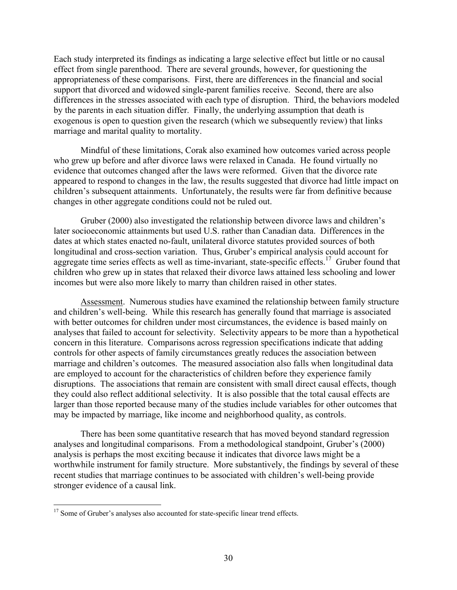Each study interpreted its findings as indicating a large selective effect but little or no causal effect from single parenthood. There are several grounds, however, for questioning the appropriateness of these comparisons. First, there are differences in the financial and social support that divorced and widowed single-parent families receive. Second, there are also differences in the stresses associated with each type of disruption. Third, the behaviors modeled by the parents in each situation differ. Finally, the underlying assumption that death is exogenous is open to question given the research (which we subsequently review) that links marriage and marital quality to mortality.

Mindful of these limitations, Corak also examined how outcomes varied across people who grew up before and after divorce laws were relaxed in Canada. He found virtually no evidence that outcomes changed after the laws were reformed. Given that the divorce rate appeared to respond to changes in the law, the results suggested that divorce had little impact on children's subsequent attainments. Unfortunately, the results were far from definitive because changes in other aggregate conditions could not be ruled out.

Gruber (2000) also investigated the relationship between divorce laws and children's later socioeconomic attainments but used U.S. rather than Canadian data. Differences in the dates at which states enacted no-fault, unilateral divorce statutes provided sources of both longitudinal and cross-section variation. Thus, Gruber's empirical analysis could account for aggregate time series effects as well as time-invariant, state-specific effects.<sup>17</sup> Gruber found that children who grew up in states that relaxed their divorce laws attained less schooling and lower incomes but were also more likely to marry than children raised in other states.

Assessment. Numerous studies have examined the relationship between family structure and children's well-being. While this research has generally found that marriage is associated with better outcomes for children under most circumstances, the evidence is based mainly on analyses that failed to account for selectivity. Selectivity appears to be more than a hypothetical concern in this literature. Comparisons across regression specifications indicate that adding controls for other aspects of family circumstances greatly reduces the association between marriage and children's outcomes. The measured association also falls when longitudinal data are employed to account for the characteristics of children before they experience family disruptions. The associations that remain are consistent with small direct causal effects, though they could also reflect additional selectivity. It is also possible that the total causal effects are larger than those reported because many of the studies include variables for other outcomes that may be impacted by marriage, like income and neighborhood quality, as controls.

There has been some quantitative research that has moved beyond standard regression analyses and longitudinal comparisons. From a methodological standpoint, Gruber's (2000) analysis is perhaps the most exciting because it indicates that divorce laws might be a worthwhile instrument for family structure. More substantively, the findings by several of these recent studies that marriage continues to be associated with children's well-being provide stronger evidence of a causal link.

<sup>&</sup>lt;sup>17</sup> Some of Gruber's analyses also accounted for state-specific linear trend effects.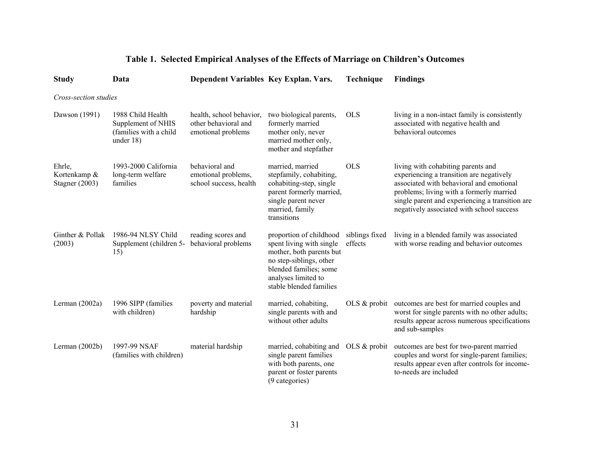| <b>Study</b>                               | Data                                                                           | Dependent Variables Key Explan. Vars.                                  |                                                                                                                                                                                        | Technique                 | <b>Findings</b>                                                                                                                                                                                                                                                        |  |  |  |  |
|--------------------------------------------|--------------------------------------------------------------------------------|------------------------------------------------------------------------|----------------------------------------------------------------------------------------------------------------------------------------------------------------------------------------|---------------------------|------------------------------------------------------------------------------------------------------------------------------------------------------------------------------------------------------------------------------------------------------------------------|--|--|--|--|
| Cross-section studies                      |                                                                                |                                                                        |                                                                                                                                                                                        |                           |                                                                                                                                                                                                                                                                        |  |  |  |  |
| Dawson (1991)                              | 1988 Child Health<br>Supplement of NHIS<br>(families with a child<br>under 18) | health, school behavior,<br>other behavioral and<br>emotional problems | two biological parents,<br>formerly married<br>mother only, never<br>married mother only,<br>mother and stepfather                                                                     | <b>OLS</b>                | living in a non-intact family is consistently<br>associated with negative health and<br>behavioral outcomes                                                                                                                                                            |  |  |  |  |
| Ehrle,<br>Kortenkamp &<br>Stagner $(2003)$ | 1993-2000 California<br>long-term welfare<br>families                          | behavioral and<br>emotional problems,<br>school success, health        | married, married<br>stepfamily, cohabiting,<br>cohabiting-step, single<br>parent formerly married,<br>single parent never<br>married, family<br>transitions                            | <b>OLS</b>                | living with cohabiting parents and<br>experiencing a transition are negatively<br>associated with behavioral and emotional<br>problems; living with a formerly married<br>single parent and experiencing a transition are<br>negatively associated with school success |  |  |  |  |
| Ginther & Pollak<br>(2003)                 | 1986-94 NLSY Child<br>Supplement (children 5-<br>15)                           | reading scores and<br>behavioral problems                              | proportion of childhood<br>spent living with single<br>mother, both parents but<br>no step-siblings, other<br>blended families; some<br>analyses limited to<br>stable blended families | siblings fixed<br>effects | living in a blended family was associated<br>with worse reading and behavior outcomes                                                                                                                                                                                  |  |  |  |  |
| Lerman $(2002a)$                           | 1996 SIPP (families<br>with children)                                          | poverty and material<br>hardship                                       | married, cohabiting,<br>single parents with and<br>without other adults                                                                                                                | OLS $&$ probit            | outcomes are best for married couples and<br>worst for single parents with no other adults;<br>results appear across numerous specifications<br>and sub-samples                                                                                                        |  |  |  |  |
| Lerman (2002b)                             | 1997-99 NSAF<br>(families with children)                                       | material hardship                                                      | married, cohabiting and<br>single parent families<br>with both parents, one<br>parent or foster parents<br>(9 categories)                                                              | OLS $&$ probit            | outcomes are best for two-parent married<br>couples and worst for single-parent families;<br>results appear even after controls for income-<br>to-needs are included                                                                                                   |  |  |  |  |

# **Table 1. Selected Empirical Analyses of the Effects of Marriage on Children's Outcomes**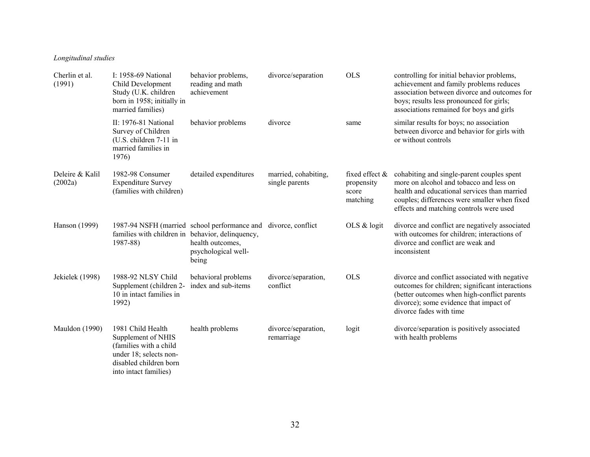### *Longitudinal studies*

| Cherlin et al.<br>(1991)   | I: 1958-69 National<br>Child Development<br>Study (U.K. children<br>born in 1958; initially in<br>married families)                            | behavior problems,<br>reading and math<br>achievement                                                              | divorce/separation                     | <b>OLS</b>                                           | controlling for initial behavior problems,<br>achievement and family problems reduces<br>association between divorce and outcomes for<br>boys; results less pronounced for girls;<br>associations remained for boys and girls    |
|----------------------------|------------------------------------------------------------------------------------------------------------------------------------------------|--------------------------------------------------------------------------------------------------------------------|----------------------------------------|------------------------------------------------------|----------------------------------------------------------------------------------------------------------------------------------------------------------------------------------------------------------------------------------|
|                            | II: 1976-81 National<br>Survey of Children<br>(U.S. children 7-11 in<br>married families in<br>1976)                                           | behavior problems                                                                                                  | divorce                                | same                                                 | similar results for boys; no association<br>between divorce and behavior for girls with<br>or without controls                                                                                                                   |
| Deleire & Kalil<br>(2002a) | 1982-98 Consumer<br><b>Expenditure Survey</b><br>(families with children)                                                                      | detailed expenditures                                                                                              | married, cohabiting,<br>single parents | fixed effect $\&$<br>propensity<br>score<br>matching | cohabiting and single-parent couples spent<br>more on alcohol and tobacco and less on<br>health and educational services than married<br>couples; differences were smaller when fixed<br>effects and matching controls were used |
| Hanson (1999)              | families with children in behavior, delinquency,<br>1987-88)                                                                                   | 1987-94 NSFH (married school performance and divorce, conflict<br>health outcomes,<br>psychological well-<br>being |                                        | OLS $&$ logit                                        | divorce and conflict are negatively associated<br>with outcomes for children; interactions of<br>divorce and conflict are weak and<br>inconsistent                                                                               |
| Jekielek (1998)            | 1988-92 NLSY Child<br>Supplement (children 2-<br>10 in intact families in<br>1992)                                                             | behavioral problems<br>index and sub-items                                                                         | divorce/separation,<br>conflict        | <b>OLS</b>                                           | divorce and conflict associated with negative<br>outcomes for children; significant interactions<br>(better outcomes when high-conflict parents<br>divorce); some evidence that impact of<br>divorce fades with time             |
| Mauldon (1990)             | 1981 Child Health<br>Supplement of NHIS<br>(families with a child<br>under 18; selects non-<br>disabled children born<br>into intact families) | health problems                                                                                                    | divorce/separation,<br>remarriage      | logit                                                | divorce/separation is positively associated<br>with health problems                                                                                                                                                              |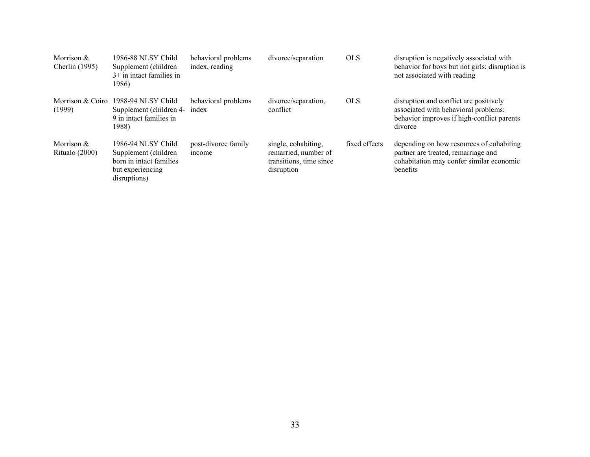| Morrison &<br><b>Cherlin</b> (1995) | 1986-88 NLSY Child<br>Supplement (children<br>$3+$ in intact families in<br>1986)                          | behavioral problems<br>index, reading | divorce/separation                                                                   | <b>OLS</b>    | disruption is negatively associated with<br>behavior for boys but not girls; disruption is<br>not associated with reading               |
|-------------------------------------|------------------------------------------------------------------------------------------------------------|---------------------------------------|--------------------------------------------------------------------------------------|---------------|-----------------------------------------------------------------------------------------------------------------------------------------|
| Morrison & Coiro<br>(1999)          | 1988-94 NLSY Child<br>Supplement (children 4-<br>9 in intact families in<br>1988)                          | behavioral problems<br>index          | divorce/separation,<br>conflict                                                      | <b>OLS</b>    | disruption and conflict are positively<br>associated with behavioral problems;<br>behavior improves if high-conflict parents<br>divorce |
| Morrison $&$<br>Ritualo (2000)      | 1986-94 NLSY Child<br>Supplement (children)<br>born in intact families<br>but experiencing<br>disruptions) | post-divorce family<br>mcome          | single, cohabiting,<br>remarried, number of<br>transitions, time since<br>disruption | fixed effects | depending on how resources of cohabiting<br>partner are treated, remarriage and<br>cohabitation may confer similar economic<br>benefits |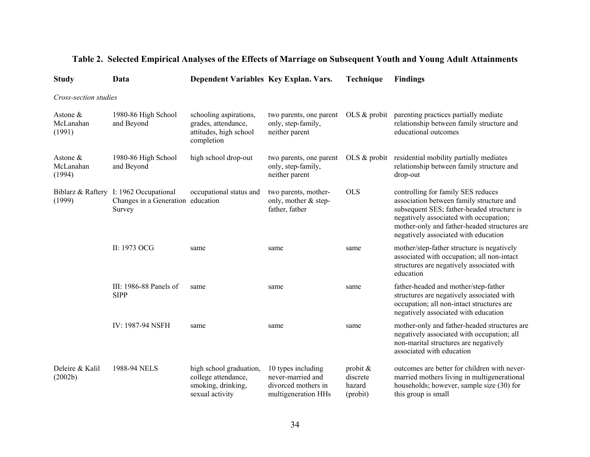| <b>Study</b>                       | Data                                                                                  | Dependent Variables Key Explan. Vars.                                                   |                                                                                       | Technique                                  | <b>Findings</b>                                                                                                                                                                                                                                                |
|------------------------------------|---------------------------------------------------------------------------------------|-----------------------------------------------------------------------------------------|---------------------------------------------------------------------------------------|--------------------------------------------|----------------------------------------------------------------------------------------------------------------------------------------------------------------------------------------------------------------------------------------------------------------|
| Cross-section studies              |                                                                                       |                                                                                         |                                                                                       |                                            |                                                                                                                                                                                                                                                                |
| Astone $\&$<br>McLanahan<br>(1991) | 1980-86 High School<br>and Beyond                                                     | schooling aspirations,<br>grades, attendance,<br>attitudes, high school<br>completion   | two parents, one parent<br>only, step-family,<br>neither parent                       | OLS $\&$ probit                            | parenting practices partially mediate<br>relationship between family structure and<br>educational outcomes                                                                                                                                                     |
| Astone $&$<br>McLanahan<br>(1994)  | 1980-86 High School<br>and Beyond                                                     | high school drop-out                                                                    | two parents, one parent<br>only, step-family,<br>neither parent                       |                                            | OLS & probit residential mobility partially mediates<br>relationship between family structure and<br>drop-out                                                                                                                                                  |
| (1999)                             | Biblarz & Raftery I: 1962 Occupational<br>Changes in a Generation education<br>Survey | occupational status and                                                                 | two parents, mother-<br>only, mother $&$ step-<br>father, father                      | <b>OLS</b>                                 | controlling for family SES reduces<br>association between family structure and<br>subsequent SES; father-headed structure is<br>negatively associated with occupation;<br>mother-only and father-headed structures are<br>negatively associated with education |
|                                    | II: 1973 OCG                                                                          | same                                                                                    | same                                                                                  | same                                       | mother/step-father structure is negatively<br>associated with occupation; all non-intact<br>structures are negatively associated with<br>education                                                                                                             |
|                                    | III: 1986-88 Panels of<br><b>SIPP</b>                                                 | same                                                                                    | same                                                                                  | same                                       | father-headed and mother/step-father<br>structures are negatively associated with<br>occupation; all non-intact structures are<br>negatively associated with education                                                                                         |
|                                    | IV: 1987-94 NSFH                                                                      | same                                                                                    | same                                                                                  | same                                       | mother-only and father-headed structures are<br>negatively associated with occupation; all<br>non-marital structures are negatively<br>associated with education                                                                                               |
| Deleire & Kalil<br>(2002b)         | 1988-94 NELS                                                                          | high school graduation,<br>college attendance,<br>smoking, drinking,<br>sexual activity | 10 types including<br>never-married and<br>divorced mothers in<br>multigeneration HHs | probit &<br>discrete<br>hazard<br>(probit) | outcomes are better for children with never-<br>married mothers living in multigenerational<br>households; however, sample size (30) for<br>this group is small                                                                                                |

# **Table 2. Selected Empirical Analyses of the Effects of Marriage on Subsequent Youth and Young Adult Attainments**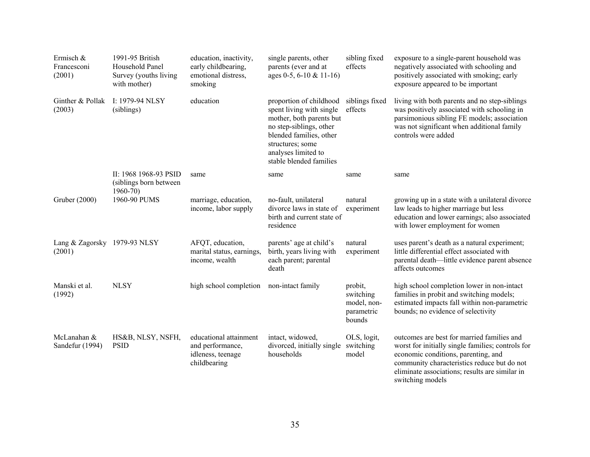| Ermisch &<br>Francesconi<br>(2001)     | 1991-95 British<br>Household Panel<br>Survey (youths living<br>with mother) | education, inactivity,<br>early childbearing,<br>emotional distress,<br>smoking | single parents, other<br>parents (ever and at<br>ages $0-5$ , $6-10 \& 11-16$                                                                                                                               | sibling fixed<br>effects                                    | exposure to a single-parent household was<br>negatively associated with schooling and<br>positively associated with smoking; early<br>exposure appeared to be important                                                                                     |
|----------------------------------------|-----------------------------------------------------------------------------|---------------------------------------------------------------------------------|-------------------------------------------------------------------------------------------------------------------------------------------------------------------------------------------------------------|-------------------------------------------------------------|-------------------------------------------------------------------------------------------------------------------------------------------------------------------------------------------------------------------------------------------------------------|
| Ginther & Pollak<br>(2003)             | I: 1979-94 NLSY<br>(siblings)                                               | education                                                                       | proportion of childhood<br>spent living with single<br>mother, both parents but<br>no step-siblings, other<br>blended families, other<br>structures; some<br>analyses limited to<br>stable blended families | siblings fixed<br>effects                                   | living with both parents and no step-siblings<br>was positively associated with schooling in<br>parsimonious sibling FE models; association<br>was not significant when additional family<br>controls were added                                            |
|                                        | II: 1968 1968-93 PSID<br>(siblings born between<br>$1960 - 70$              | same                                                                            | same                                                                                                                                                                                                        | same                                                        | same                                                                                                                                                                                                                                                        |
| Gruber (2000)                          | 1960-90 PUMS                                                                | marriage, education,<br>income, labor supply                                    | no-fault, unilateral<br>divorce laws in state of<br>birth and current state of<br>residence                                                                                                                 | natural<br>experiment                                       | growing up in a state with a unilateral divorce<br>law leads to higher marriage but less<br>education and lower earnings; also associated<br>with lower employment for women                                                                                |
| Lang & Zagorsky 1979-93 NLSY<br>(2001) |                                                                             | AFQT, education,<br>marital status, earnings,<br>income, wealth                 | parents' age at child's<br>birth, years living with<br>each parent; parental<br>death                                                                                                                       | natural<br>experiment                                       | uses parent's death as a natural experiment;<br>little differential effect associated with<br>parental death—little evidence parent absence<br>affects outcomes                                                                                             |
| Manski et al.<br>(1992)                | <b>NLSY</b>                                                                 | high school completion                                                          | non-intact family                                                                                                                                                                                           | probit,<br>switching<br>model, non-<br>parametric<br>bounds | high school completion lower in non-intact<br>families in probit and switching models;<br>estimated impacts fall within non-parametric<br>bounds; no evidence of selectivity                                                                                |
| McLanahan &<br>Sandefur (1994)         | HS&B, NLSY, NSFH,<br><b>PSID</b>                                            | educational attainment<br>and performance,<br>idleness, teenage<br>childbearing | intact, widowed,<br>divorced, initially single<br>households                                                                                                                                                | OLS, logit,<br>switching<br>model                           | outcomes are best for married families and<br>worst for initially single families; controls for<br>economic conditions, parenting, and<br>community characteristics reduce but do not<br>eliminate associations; results are similar in<br>switching models |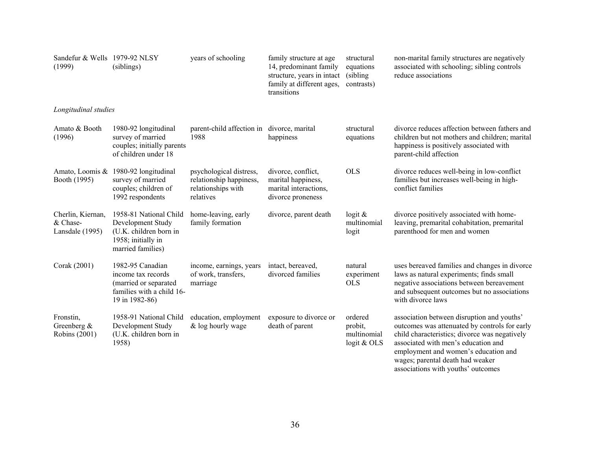| Sandefur & Wells 1979-92 NLSY<br>(1999)             | (siblings)                                                                                                       | years of schooling                                                                    | family structure at age<br>14, predominant family<br>structure, years in intact<br>family at different ages,<br>transitions | structural<br>equations<br>(sibling)<br>contrasts) | non-marital family structures are negatively<br>associated with schooling; sibling controls<br>reduce associations                                                                                                                                              |
|-----------------------------------------------------|------------------------------------------------------------------------------------------------------------------|---------------------------------------------------------------------------------------|-----------------------------------------------------------------------------------------------------------------------------|----------------------------------------------------|-----------------------------------------------------------------------------------------------------------------------------------------------------------------------------------------------------------------------------------------------------------------|
| Longitudinal studies                                |                                                                                                                  |                                                                                       |                                                                                                                             |                                                    |                                                                                                                                                                                                                                                                 |
| Amato & Booth<br>(1996)                             | 1980-92 longitudinal<br>survey of married<br>couples; initially parents<br>of children under 18                  | parent-child affection in divorce, marital<br>1988                                    | happiness                                                                                                                   | structural<br>equations                            | divorce reduces affection between fathers and<br>children but not mothers and children; marital<br>happiness is positively associated with<br>parent-child affection                                                                                            |
| Booth (1995)                                        | Amato, Loomis & 1980-92 longitudinal<br>survey of married<br>couples; children of<br>1992 respondents            | psychological distress,<br>relationship happiness,<br>relationships with<br>relatives | divorce, conflict,<br>marital happiness,<br>marital interactions,<br>divorce proneness                                      | <b>OLS</b>                                         | divorce reduces well-being in low-conflict<br>families but increases well-being in high-<br>conflict families                                                                                                                                                   |
| Cherlin, Kiernan,<br>& Chase-<br>Lansdale (1995)    | 1958-81 National Child<br>Development Study<br>(U.K. children born in<br>1958; initially in<br>married families) | home-leaving, early<br>family formation                                               | divorce, parent death                                                                                                       | $logit \&$<br>multinomial<br>logit                 | divorce positively associated with home-<br>leaving, premarital cohabitation, premarital<br>parenthood for men and women                                                                                                                                        |
| Corak (2001)                                        | 1982-95 Canadian<br>income tax records<br>(married or separated<br>families with a child 16-<br>19 in 1982-86)   | income, earnings, years<br>of work, transfers,<br>marriage                            | intact, bereaved,<br>divorced families                                                                                      | natural<br>experiment<br><b>OLS</b>                | uses bereaved families and changes in divorce<br>laws as natural experiments; finds small<br>negative associations between bereavement<br>and subsequent outcomes but no associations<br>with divorce laws                                                      |
| Fronstin,<br>Greenberg $\&$<br><b>Robins</b> (2001) | 1958-91 National Child<br>Development Study<br>(U.K. children born in<br>1958)                                   | education, employment<br>& log hourly wage                                            | exposure to divorce or<br>death of parent                                                                                   | ordered<br>probit,<br>multinomial<br>logit & OLS   | association between disruption and youths'<br>outcomes was attenuated by controls for early<br>child characteristics; divorce was negatively<br>associated with men's education and<br>employment and women's education and<br>wages; parental death had weaker |

associations with youths' outcomes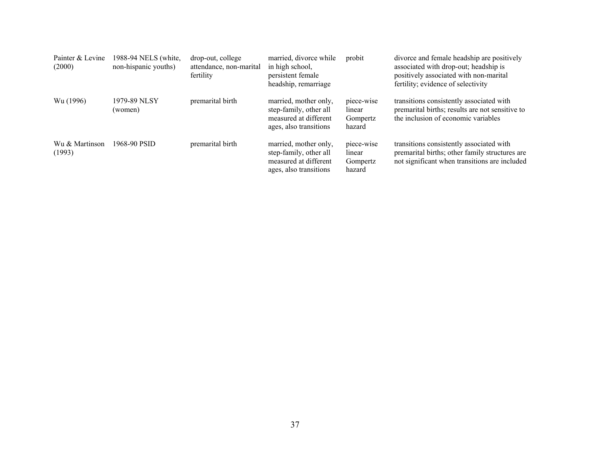| Painter & Levine<br>(2000) | 1988-94 NELS (white,<br>non-hispanic youths) | drop-out, college<br>attendance, non-marital<br>fertility | married, divorce while<br>in high school,<br>persistent female<br>headship, remarriage             | probit                                     | divorce and female headship are positively<br>associated with drop-out; headship is<br>positively associated with non-marital<br>fertility; evidence of selectivity |
|----------------------------|----------------------------------------------|-----------------------------------------------------------|----------------------------------------------------------------------------------------------------|--------------------------------------------|---------------------------------------------------------------------------------------------------------------------------------------------------------------------|
| Wu (1996)                  | 1979-89 NLSY<br>(women)                      | premarital birth                                          | married, mother only,<br>step-family, other all<br>measured at different<br>ages, also transitions | piece-wise<br>linear<br>Gompertz<br>hazard | transitions consistently associated with<br>premarital births; results are not sensitive to<br>the inclusion of economic variables                                  |
| Wu & Martinson<br>(1993)   | 1968-90 PSID                                 | premarital birth                                          | married, mother only,<br>step-family, other all<br>measured at different<br>ages, also transitions | piece-wise<br>linear<br>Gompertz<br>hazard | transitions consistently associated with<br>premarital births; other family structures are<br>not significant when transitions are included                         |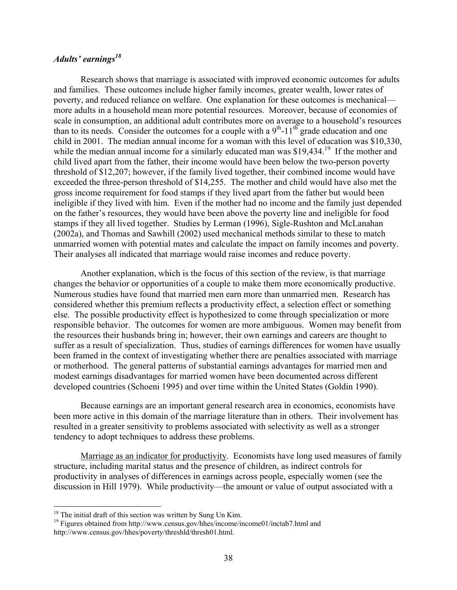### *Adults' earnings<sup>18</sup>*

Research shows that marriage is associated with improved economic outcomes for adults and families. These outcomes include higher family incomes, greater wealth, lower rates of poverty, and reduced reliance on welfare. One explanation for these outcomes is mechanical more adults in a household mean more potential resources. Moreover, because of economies of scale in consumption, an additional adult contributes more on average to a household's resources than to its needs. Consider the outcomes for a couple with a  $9<sup>th</sup>$ -11<sup>th</sup> grade education and one child in 2001. The median annual income for a woman with this level of education was \$10,330, while the median annual income for a similarly educated man was  $$19,434$ <sup>19</sup> If the mother and child lived apart from the father, their income would have been below the two-person poverty threshold of \$12,207; however, if the family lived together, their combined income would have exceeded the three-person threshold of \$14,255. The mother and child would have also met the gross income requirement for food stamps if they lived apart from the father but would been ineligible if they lived with him. Even if the mother had no income and the family just depended on the father's resources, they would have been above the poverty line and ineligible for food stamps if they all lived together. Studies by Lerman (1996), Sigle-Rushton and McLanahan (2002a), and Thomas and Sawhill (2002) used mechanical methods similar to these to match unmarried women with potential mates and calculate the impact on family incomes and poverty. Their analyses all indicated that marriage would raise incomes and reduce poverty.

Another explanation, which is the focus of this section of the review, is that marriage changes the behavior or opportunities of a couple to make them more economically productive. Numerous studies have found that married men earn more than unmarried men. Research has considered whether this premium reflects a productivity effect, a selection effect or something else. The possible productivity effect is hypothesized to come through specialization or more responsible behavior. The outcomes for women are more ambiguous. Women may benefit from the resources their husbands bring in; however, their own earnings and careers are thought to suffer as a result of specialization. Thus, studies of earnings differences for women have usually been framed in the context of investigating whether there are penalties associated with marriage or motherhood. The general patterns of substantial earnings advantages for married men and modest earnings disadvantages for married women have been documented across different developed countries (Schoeni 1995) and over time within the United States (Goldin 1990).

Because earnings are an important general research area in economics, economists have been more active in this domain of the marriage literature than in others. Their involvement has resulted in a greater sensitivity to problems associated with selectivity as well as a stronger tendency to adopt techniques to address these problems.

Marriage as an indicator for productivity. Economists have long used measures of family structure, including marital status and the presence of children, as indirect controls for productivity in analyses of differences in earnings across people, especially women (see the discussion in Hill 1979). While productivity—the amount or value of output associated with a

<sup>&</sup>lt;sup>18</sup> The initial draft of this section was written by Sung Un Kim.

<sup>&</sup>lt;sup>19</sup> Figures obtained from http://www.census.gov/hhes/income/income01/inctab7.html and http://www.census.gov/hhes/poverty/threshld/thresh01.html.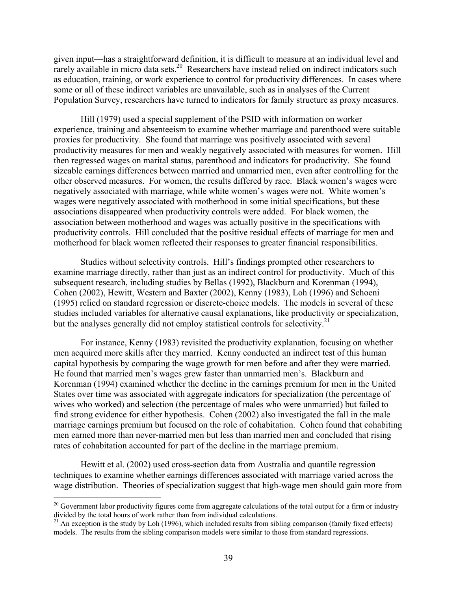given input—has a straightforward definition, it is difficult to measure at an individual level and rarely available in micro data sets.<sup>20</sup> Researchers have instead relied on indirect indicators such as education, training, or work experience to control for productivity differences. In cases where some or all of these indirect variables are unavailable, such as in analyses of the Current Population Survey, researchers have turned to indicators for family structure as proxy measures.

Hill (1979) used a special supplement of the PSID with information on worker experience, training and absenteeism to examine whether marriage and parenthood were suitable proxies for productivity. She found that marriage was positively associated with several productivity measures for men and weakly negatively associated with measures for women. Hill then regressed wages on marital status, parenthood and indicators for productivity. She found sizeable earnings differences between married and unmarried men, even after controlling for the other observed measures. For women, the results differed by race. Black women's wages were negatively associated with marriage, while white women's wages were not. White women's wages were negatively associated with motherhood in some initial specifications, but these associations disappeared when productivity controls were added. For black women, the association between motherhood and wages was actually positive in the specifications with productivity controls. Hill concluded that the positive residual effects of marriage for men and motherhood for black women reflected their responses to greater financial responsibilities.

Studies without selectivity controls. Hill's findings prompted other researchers to examine marriage directly, rather than just as an indirect control for productivity. Much of this subsequent research, including studies by Bellas (1992), Blackburn and Korenman (1994), Cohen (2002), Hewitt, Western and Baxter (2002), Kenny (1983), Loh (1996) and Schoeni (1995) relied on standard regression or discrete-choice models. The models in several of these studies included variables for alternative causal explanations, like productivity or specialization, but the analyses generally did not employ statistical controls for selectivity.<sup>21</sup>

For instance, Kenny (1983) revisited the productivity explanation, focusing on whether men acquired more skills after they married. Kenny conducted an indirect test of this human capital hypothesis by comparing the wage growth for men before and after they were married. He found that married men's wages grew faster than unmarried men's. Blackburn and Korenman (1994) examined whether the decline in the earnings premium for men in the United States over time was associated with aggregate indicators for specialization (the percentage of wives who worked) and selection (the percentage of males who were unmarried) but failed to find strong evidence for either hypothesis. Cohen (2002) also investigated the fall in the male marriage earnings premium but focused on the role of cohabitation. Cohen found that cohabiting men earned more than never-married men but less than married men and concluded that rising rates of cohabitation accounted for part of the decline in the marriage premium.

Hewitt et al. (2002) used cross-section data from Australia and quantile regression techniques to examine whether earnings differences associated with marriage varied across the wage distribution. Theories of specialization suggest that high-wage men should gain more from

 $20$  Government labor productivity figures come from aggregate calculations of the total output for a firm or industry divided by the total hours of work rather than from individual calculations.

 $^{21}$  An exception is the study by Loh (1996), which included results from sibling comparison (family fixed effects) models. The results from the sibling comparison models were similar to those from standard regressions.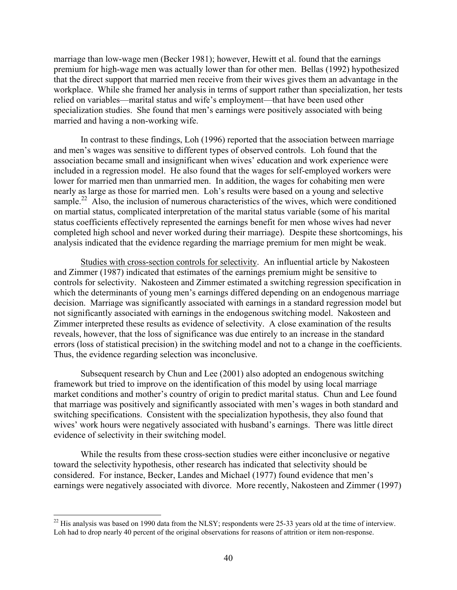marriage than low-wage men (Becker 1981); however, Hewitt et al. found that the earnings premium for high-wage men was actually lower than for other men. Bellas (1992) hypothesized that the direct support that married men receive from their wives gives them an advantage in the workplace. While she framed her analysis in terms of support rather than specialization, her tests relied on variables—marital status and wife's employment—that have been used other specialization studies. She found that men's earnings were positively associated with being married and having a non-working wife.

In contrast to these findings, Loh (1996) reported that the association between marriage and men's wages was sensitive to different types of observed controls. Loh found that the association became small and insignificant when wives' education and work experience were included in a regression model. He also found that the wages for self-employed workers were lower for married men than unmarried men. In addition, the wages for cohabiting men were nearly as large as those for married men. Loh's results were based on a young and selective sample.<sup>22</sup> Also, the inclusion of numerous characteristics of the wives, which were conditioned on martial status, complicated interpretation of the marital status variable (some of his marital status coefficients effectively represented the earnings benefit for men whose wives had never completed high school and never worked during their marriage). Despite these shortcomings, his analysis indicated that the evidence regarding the marriage premium for men might be weak.

Studies with cross-section controls for selectivity. An influential article by Nakosteen and Zimmer (1987) indicated that estimates of the earnings premium might be sensitive to controls for selectivity. Nakosteen and Zimmer estimated a switching regression specification in which the determinants of young men's earnings differed depending on an endogenous marriage decision. Marriage was significantly associated with earnings in a standard regression model but not significantly associated with earnings in the endogenous switching model. Nakosteen and Zimmer interpreted these results as evidence of selectivity. A close examination of the results reveals, however, that the loss of significance was due entirely to an increase in the standard errors (loss of statistical precision) in the switching model and not to a change in the coefficients. Thus, the evidence regarding selection was inconclusive.

Subsequent research by Chun and Lee (2001) also adopted an endogenous switching framework but tried to improve on the identification of this model by using local marriage market conditions and mother's country of origin to predict marital status. Chun and Lee found that marriage was positively and significantly associated with men's wages in both standard and switching specifications. Consistent with the specialization hypothesis, they also found that wives' work hours were negatively associated with husband's earnings. There was little direct evidence of selectivity in their switching model.

While the results from these cross-section studies were either inconclusive or negative toward the selectivity hypothesis, other research has indicated that selectivity should be considered. For instance, Becker, Landes and Michael (1977) found evidence that men's earnings were negatively associated with divorce. More recently, Nakosteen and Zimmer (1997)

 $^{22}$  His analysis was based on 1990 data from the NLSY; respondents were 25-33 years old at the time of interview. Loh had to drop nearly 40 percent of the original observations for reasons of attrition or item non-response.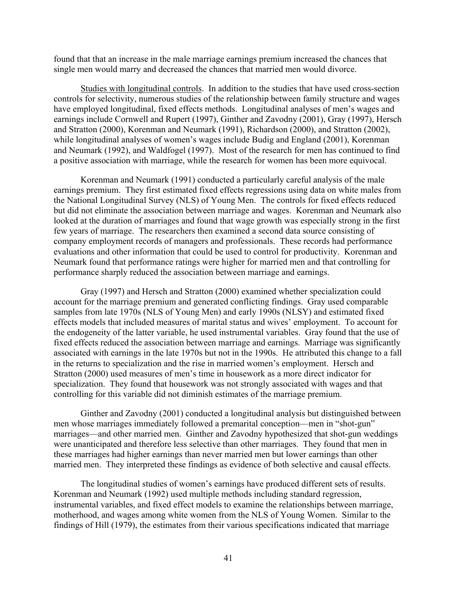found that that an increase in the male marriage earnings premium increased the chances that single men would marry and decreased the chances that married men would divorce.

Studies with longitudinal controls. In addition to the studies that have used cross-section controls for selectivity, numerous studies of the relationship between family structure and wages have employed longitudinal, fixed effects methods. Longitudinal analyses of men's wages and earnings include Cornwell and Rupert (1997), Ginther and Zavodny (2001), Gray (1997), Hersch and Stratton (2000), Korenman and Neumark (1991), Richardson (2000), and Stratton (2002), while longitudinal analyses of women's wages include Budig and England (2001), Korenman and Neumark (1992), and Waldfogel (1997). Most of the research for men has continued to find a positive association with marriage, while the research for women has been more equivocal.

Korenman and Neumark (1991) conducted a particularly careful analysis of the male earnings premium. They first estimated fixed effects regressions using data on white males from the National Longitudinal Survey (NLS) of Young Men. The controls for fixed effects reduced but did not eliminate the association between marriage and wages. Korenman and Neumark also looked at the duration of marriages and found that wage growth was especially strong in the first few years of marriage. The researchers then examined a second data source consisting of company employment records of managers and professionals. These records had performance evaluations and other information that could be used to control for productivity. Korenman and Neumark found that performance ratings were higher for married men and that controlling for performance sharply reduced the association between marriage and earnings.

Gray (1997) and Hersch and Stratton (2000) examined whether specialization could account for the marriage premium and generated conflicting findings. Gray used comparable samples from late 1970s (NLS of Young Men) and early 1990s (NLSY) and estimated fixed effects models that included measures of marital status and wives' employment. To account for the endogeneity of the latter variable, he used instrumental variables. Gray found that the use of fixed effects reduced the association between marriage and earnings. Marriage was significantly associated with earnings in the late 1970s but not in the 1990s. He attributed this change to a fall in the returns to specialization and the rise in married women's employment. Hersch and Stratton (2000) used measures of men's time in housework as a more direct indicator for specialization. They found that housework was not strongly associated with wages and that controlling for this variable did not diminish estimates of the marriage premium.

Ginther and Zavodny (2001) conducted a longitudinal analysis but distinguished between men whose marriages immediately followed a premarital conception—men in "shot-gun" marriages—and other married men. Ginther and Zavodny hypothesized that shot-gun weddings were unanticipated and therefore less selective than other marriages. They found that men in these marriages had higher earnings than never married men but lower earnings than other married men. They interpreted these findings as evidence of both selective and causal effects.

The longitudinal studies of women's earnings have produced different sets of results. Korenman and Neumark (1992) used multiple methods including standard regression, instrumental variables, and fixed effect models to examine the relationships between marriage, motherhood, and wages among white women from the NLS of Young Women. Similar to the findings of Hill (1979), the estimates from their various specifications indicated that marriage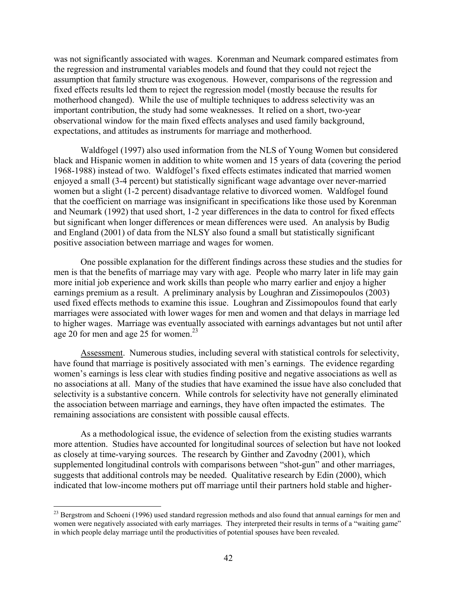was not significantly associated with wages. Korenman and Neumark compared estimates from the regression and instrumental variables models and found that they could not reject the assumption that family structure was exogenous. However, comparisons of the regression and fixed effects results led them to reject the regression model (mostly because the results for motherhood changed). While the use of multiple techniques to address selectivity was an important contribution, the study had some weaknesses. It relied on a short, two-year observational window for the main fixed effects analyses and used family background, expectations, and attitudes as instruments for marriage and motherhood.

Waldfogel (1997) also used information from the NLS of Young Women but considered black and Hispanic women in addition to white women and 15 years of data (covering the period 1968-1988) instead of two. Waldfogel's fixed effects estimates indicated that married women enjoyed a small (3-4 percent) but statistically significant wage advantage over never-married women but a slight (1-2 percent) disadvantage relative to divorced women. Waldfogel found that the coefficient on marriage was insignificant in specifications like those used by Korenman and Neumark (1992) that used short, 1-2 year differences in the data to control for fixed effects but significant when longer differences or mean differences were used. An analysis by Budig and England (2001) of data from the NLSY also found a small but statistically significant positive association between marriage and wages for women.

One possible explanation for the different findings across these studies and the studies for men is that the benefits of marriage may vary with age. People who marry later in life may gain more initial job experience and work skills than people who marry earlier and enjoy a higher earnings premium as a result. A preliminary analysis by Loughran and Zissimopoulos (2003) used fixed effects methods to examine this issue. Loughran and Zissimopoulos found that early marriages were associated with lower wages for men and women and that delays in marriage led to higher wages. Marriage was eventually associated with earnings advantages but not until after age 20 for men and age 25 for women. $23$ 

Assessment. Numerous studies, including several with statistical controls for selectivity, have found that marriage is positively associated with men's earnings. The evidence regarding women's earnings is less clear with studies finding positive and negative associations as well as no associations at all. Many of the studies that have examined the issue have also concluded that selectivity is a substantive concern. While controls for selectivity have not generally eliminated the association between marriage and earnings, they have often impacted the estimates. The remaining associations are consistent with possible causal effects.

As a methodological issue, the evidence of selection from the existing studies warrants more attention. Studies have accounted for longitudinal sources of selection but have not looked as closely at time-varying sources. The research by Ginther and Zavodny (2001), which supplemented longitudinal controls with comparisons between "shot-gun" and other marriages, suggests that additional controls may be needed. Qualitative research by Edin (2000), which indicated that low-income mothers put off marriage until their partners hold stable and higher-

<sup>&</sup>lt;sup>23</sup> Bergstrom and Schoeni (1996) used standard regression methods and also found that annual earnings for men and women were negatively associated with early marriages. They interpreted their results in terms of a "waiting game" in which people delay marriage until the productivities of potential spouses have been revealed.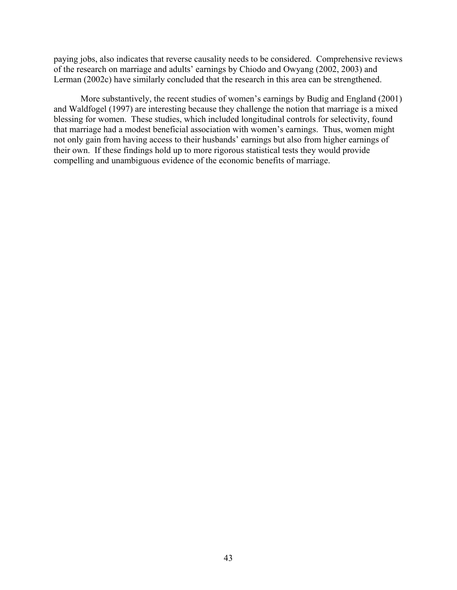paying jobs, also indicates that reverse causality needs to be considered. Comprehensive reviews of the research on marriage and adults' earnings by Chiodo and Owyang (2002, 2003) and Lerman (2002c) have similarly concluded that the research in this area can be strengthened.

More substantively, the recent studies of women's earnings by Budig and England (2001) and Waldfogel (1997) are interesting because they challenge the notion that marriage is a mixed blessing for women. These studies, which included longitudinal controls for selectivity, found that marriage had a modest beneficial association with women's earnings. Thus, women might not only gain from having access to their husbands' earnings but also from higher earnings of their own. If these findings hold up to more rigorous statistical tests they would provide compelling and unambiguous evidence of the economic benefits of marriage.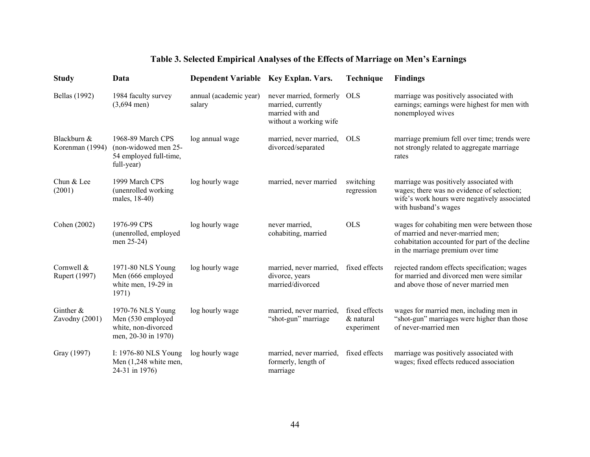# **Table 3. Selected Empirical Analyses of the Effects of Marriage on Men's Earnings**

| <b>Study</b>                   | Data                                                                                 | Dependent Variable Key Explan. Vars. |                                                                                             | Technique                                | <b>Findings</b>                                                                                                                                                         |
|--------------------------------|--------------------------------------------------------------------------------------|--------------------------------------|---------------------------------------------------------------------------------------------|------------------------------------------|-------------------------------------------------------------------------------------------------------------------------------------------------------------------------|
| <b>Bellas</b> (1992)           | 1984 faculty survey<br>$(3,694 \text{ men})$                                         | annual (academic year)<br>salary     | never married, formerly<br>married, currently<br>married with and<br>without a working wife | <b>OLS</b>                               | marriage was positively associated with<br>earnings; earnings were highest for men with<br>nonemployed wives                                                            |
| Blackburn &<br>Korenman (1994) | 1968-89 March CPS<br>(non-widowed men 25-<br>54 employed full-time,<br>full-year)    | log annual wage                      | married, never married,<br>divorced/separated                                               | <b>OLS</b>                               | marriage premium fell over time; trends were<br>not strongly related to aggregate marriage<br>rates                                                                     |
| Chun & Lee<br>(2001)           | 1999 March CPS<br>(unenrolled working<br>males, 18-40)                               | log hourly wage                      | married, never married                                                                      | switching<br>regression                  | marriage was positively associated with<br>wages; there was no evidence of selection;<br>wife's work hours were negatively associated<br>with husband's wages           |
| Cohen (2002)                   | 1976-99 CPS<br>(unenrolled, employed<br>men 25-24)                                   | log hourly wage                      | never married,<br>cohabiting, married                                                       | <b>OLS</b>                               | wages for cohabiting men were between those<br>of married and never-married men;<br>cohabitation accounted for part of the decline<br>in the marriage premium over time |
| Cornwell &<br>Rupert (1997)    | 1971-80 NLS Young<br>Men (666 employed<br>white men, 19-29 in<br>1971)               | log hourly wage                      | married, never married,<br>divorce, years<br>married/divorced                               | fixed effects                            | rejected random effects specification; wages<br>for married and divorced men were similar<br>and above those of never married men                                       |
| Ginther $\&$<br>Zavodny (2001) | 1970-76 NLS Young<br>Men (530 employed<br>white, non-divorced<br>men, 20-30 in 1970) | log hourly wage                      | married, never married,<br>"shot-gun" marriage                                              | fixed effects<br>& natural<br>experiment | wages for married men, including men in<br>"shot-gun" marriages were higher than those<br>of never-married men                                                          |
| Gray (1997)                    | I: 1976-80 NLS Young<br>Men $(1,248)$ white men,<br>24-31 in 1976)                   | log hourly wage                      | married, never married,<br>formerly, length of<br>marriage                                  | fixed effects                            | marriage was positively associated with<br>wages; fixed effects reduced association                                                                                     |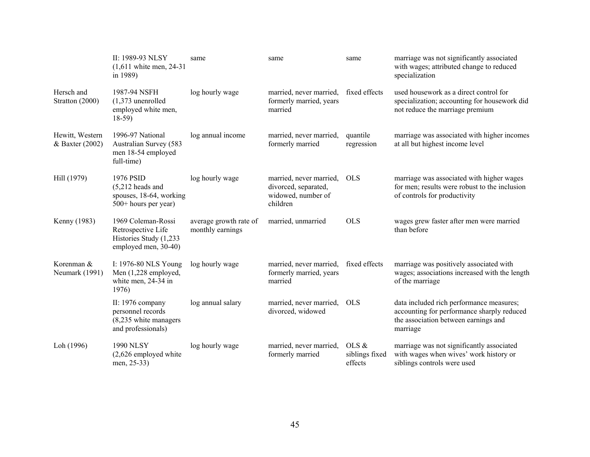|                                    | II: 1989-93 NLSY<br>$(1,611)$ white men, 24-31<br>in 1989)                                 | same                                       | same                                                                              | same                               | marriage was not significantly associated<br>with wages; attributed change to reduced<br>specialization                                    |
|------------------------------------|--------------------------------------------------------------------------------------------|--------------------------------------------|-----------------------------------------------------------------------------------|------------------------------------|--------------------------------------------------------------------------------------------------------------------------------------------|
| Hersch and<br>Stratton (2000)      | 1987-94 NSFH<br>$(1,373$ unenrolled<br>employed white men,<br>$18-59$                      | log hourly wage                            | married, never married,<br>formerly married, years<br>married                     | fixed effects                      | used housework as a direct control for<br>specialization; accounting for housework did<br>not reduce the marriage premium                  |
| Hewitt, Western<br>& Baxter (2002) | 1996-97 National<br>Australian Survey (583<br>men 18-54 employed<br>full-time)             | log annual income                          | married, never married,<br>formerly married                                       | quantile<br>regression             | marriage was associated with higher incomes<br>at all but highest income level                                                             |
| Hill (1979)                        | 1976 PSID<br>$(5,212$ heads and<br>spouses, 18-64, working<br>500+ hours per year)         | log hourly wage                            | married, never married,<br>divorced, separated,<br>widowed, number of<br>children | <b>OLS</b>                         | marriage was associated with higher wages<br>for men; results were robust to the inclusion<br>of controls for productivity                 |
| Kenny (1983)                       | 1969 Coleman-Rossi<br>Retrospective Life<br>Histories Study (1,233<br>employed men, 30-40) | average growth rate of<br>monthly earnings | married, unmarried                                                                | <b>OLS</b>                         | wages grew faster after men were married<br>than before                                                                                    |
| Korenman &<br>Neumark (1991)       | I: 1976-80 NLS Young<br>Men (1,228 employed,<br>white men, 24-34 in<br>1976)               | log hourly wage                            | married, never married,<br>formerly married, years<br>married                     | fixed effects                      | marriage was positively associated with<br>wages; associations increased with the length<br>of the marriage                                |
|                                    | II: 1976 company<br>personnel records<br>(8,235 white managers<br>and professionals)       | log annual salary                          | married, never married,<br>divorced, widowed                                      | <b>OLS</b>                         | data included rich performance measures;<br>accounting for performance sharply reduced<br>the association between earnings and<br>marriage |
| Loh (1996)                         | <b>1990 NLSY</b><br>$(2,626$ employed white<br>men, 25-33)                                 | log hourly wage                            | married, never married,<br>formerly married                                       | OLS &<br>siblings fixed<br>effects | marriage was not significantly associated<br>with wages when wives' work history or<br>siblings controls were used                         |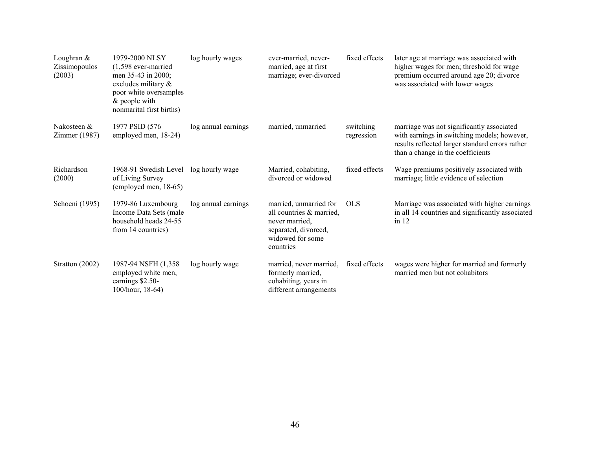| Loughran $&$<br>Zissimopoulos<br>(2003) | 1979-2000 NLSY<br>$(1,598$ ever-married<br>men 35-43 in 2000;<br>excludes military &<br>poor white oversamples<br>$&$ people with<br>nonmarital first births) | log hourly wages    | ever-married, never-<br>married, age at first<br>marriage; ever-divorced                                                      | fixed effects           | later age at marriage was associated with<br>higher wages for men; threshold for wage<br>premium occurred around age 20; divorce<br>was associated with lower wages              |
|-----------------------------------------|---------------------------------------------------------------------------------------------------------------------------------------------------------------|---------------------|-------------------------------------------------------------------------------------------------------------------------------|-------------------------|----------------------------------------------------------------------------------------------------------------------------------------------------------------------------------|
| Nakosteen &<br>Zimmer (1987)            | 1977 PSID (576)<br>employed men, 18-24)                                                                                                                       | log annual earnings | married, unmarried                                                                                                            | switching<br>regression | marriage was not significantly associated<br>with earnings in switching models; however,<br>results reflected larger standard errors rather<br>than a change in the coefficients |
| Richardson<br>(2000)                    | 1968-91 Swedish Level<br>of Living Survey<br>(employed men, 18-65)                                                                                            | log hourly wage     | Married, cohabiting,<br>divorced or widowed                                                                                   | fixed effects           | Wage premiums positively associated with<br>marriage; little evidence of selection                                                                                               |
| Schoeni (1995)                          | 1979-86 Luxembourg<br>Income Data Sets (male<br>household heads 24-55<br>from 14 countries)                                                                   | log annual earnings | married, unmarried for<br>all countries & married,<br>never married,<br>separated, divorced,<br>widowed for some<br>countries | <b>OLS</b>              | Marriage was associated with higher earnings<br>in all 14 countries and significantly associated<br>in $12$                                                                      |
| Stratton (2002)                         | 1987-94 NSFH (1,358)<br>employed white men,<br>earnings \$2.50-<br>100/hour, 18-64)                                                                           | log hourly wage     | married, never married,<br>formerly married,<br>cohabiting, years in<br>different arrangements                                | fixed effects           | wages were higher for married and formerly<br>married men but not cohabitors                                                                                                     |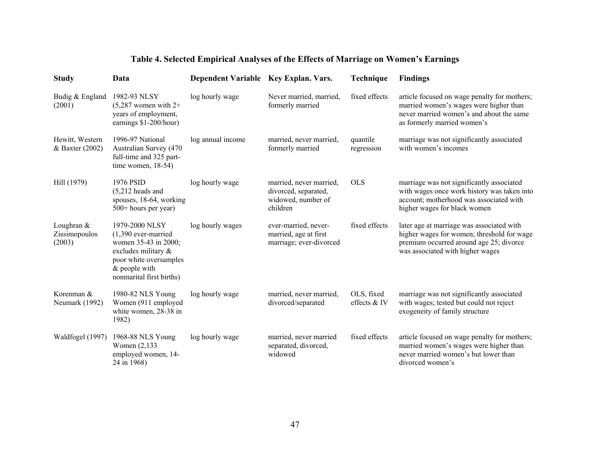# **Table 4. Selected Empirical Analyses of the Effects of Marriage on Women's Earnings**

| <b>Study</b>                          | Data                                                                                                                                                            | Dependent Variable Key Explan. Vars. |                                                                                   | Technique                  | <b>Findings</b>                                                                                                                                                        |
|---------------------------------------|-----------------------------------------------------------------------------------------------------------------------------------------------------------------|--------------------------------------|-----------------------------------------------------------------------------------|----------------------------|------------------------------------------------------------------------------------------------------------------------------------------------------------------------|
| Budig & England<br>(2001)             | 1982-93 NLSY<br>$(5,287)$ women with 2+<br>years of employment,<br>earnings \$1-200/hour)                                                                       | log hourly wage                      | Never married, married,<br>formerly married                                       | fixed effects              | article focused on wage penalty for mothers;<br>married women's wages were higher than<br>never married women's and about the same<br>as formerly married women's      |
| Hewitt, Western<br>& Baxter (2002)    | 1996-97 National<br>Australian Survey (470<br>full-time and 325 part-<br>time women, $18-54$ )                                                                  | log annual income                    | married, never married,<br>formerly married                                       | quantile<br>regression     | marriage was not significantly associated<br>with women's incomes                                                                                                      |
| Hill (1979)                           | 1976 PSID<br>$(5,212$ heads and<br>spouses, 18-64, working<br>500+ hours per year)                                                                              | log hourly wage                      | married, never married,<br>divorced, separated,<br>widowed, number of<br>children | <b>OLS</b>                 | marriage was not significantly associated<br>with wages once work history was taken into<br>account; motherhood was associated with<br>higher wages for black women    |
| Loughran &<br>Zissimopoulos<br>(2003) | 1979-2000 NLSY<br>$(1,390$ ever-married<br>women 35-43 in 2000;<br>excludes military &<br>poor white oversamples<br>$&$ people with<br>nonmarital first births) | log hourly wages                     | ever-married, never-<br>married, age at first<br>marriage; ever-divorced          | fixed effects              | later age at marriage was associated with<br>higher wages for women; threshold for wage<br>premium occurred around age 25; divorce<br>was associated with higher wages |
| Korenman &<br>Neumark (1992)          | 1980-82 NLS Young<br>Women (911 employed<br>white women, 28-38 in<br>1982)                                                                                      | log hourly wage                      | married, never married,<br>divorced/separated                                     | OLS, fixed<br>effects & IV | marriage was not significantly associated<br>with wages; tested but could not reject<br>exogeneity of family structure                                                 |
| Waldfogel (1997)                      | 1968-88 NLS Young<br>Women (2,133)<br>employed women, 14-<br>24 in 1968)                                                                                        | log hourly wage                      | married, never married<br>separated, divorced,<br>widowed                         | fixed effects              | article focused on wage penalty for mothers;<br>married women's wages were higher than<br>never married women's but lower than<br>divorced women's                     |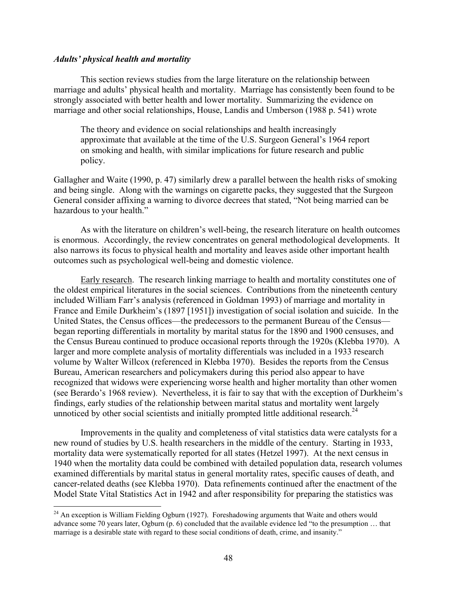#### *Adults' physical health and mortality*

 $\overline{a}$ 

This section reviews studies from the large literature on the relationship between marriage and adults' physical health and mortality. Marriage has consistently been found to be strongly associated with better health and lower mortality. Summarizing the evidence on marriage and other social relationships, House, Landis and Umberson (1988 p. 541) wrote

The theory and evidence on social relationships and health increasingly approximate that available at the time of the U.S. Surgeon General's 1964 report on smoking and health, with similar implications for future research and public policy.

Gallagher and Waite (1990, p. 47) similarly drew a parallel between the health risks of smoking and being single. Along with the warnings on cigarette packs, they suggested that the Surgeon General consider affixing a warning to divorce decrees that stated, "Not being married can be hazardous to your health."

As with the literature on children's well-being, the research literature on health outcomes is enormous. Accordingly, the review concentrates on general methodological developments. It also narrows its focus to physical health and mortality and leaves aside other important health outcomes such as psychological well-being and domestic violence.

Early research. The research linking marriage to health and mortality constitutes one of the oldest empirical literatures in the social sciences. Contributions from the nineteenth century included William Farr's analysis (referenced in Goldman 1993) of marriage and mortality in France and Emile Durkheim's (1897 [1951]) investigation of social isolation and suicide. In the United States, the Census offices—the predecessors to the permanent Bureau of the Census began reporting differentials in mortality by marital status for the 1890 and 1900 censuses, and the Census Bureau continued to produce occasional reports through the 1920s (Klebba 1970). A larger and more complete analysis of mortality differentials was included in a 1933 research volume by Walter Willcox (referenced in Klebba 1970). Besides the reports from the Census Bureau, American researchers and policymakers during this period also appear to have recognized that widows were experiencing worse health and higher mortality than other women (see Berardo's 1968 review). Nevertheless, it is fair to say that with the exception of Durkheim's findings, early studies of the relationship between marital status and mortality went largely unnoticed by other social scientists and initially prompted little additional research.<sup>24</sup>

Improvements in the quality and completeness of vital statistics data were catalysts for a new round of studies by U.S. health researchers in the middle of the century. Starting in 1933, mortality data were systematically reported for all states (Hetzel 1997). At the next census in 1940 when the mortality data could be combined with detailed population data, research volumes examined differentials by marital status in general mortality rates, specific causes of death, and cancer-related deaths (see Klebba 1970). Data refinements continued after the enactment of the Model State Vital Statistics Act in 1942 and after responsibility for preparing the statistics was

<sup>&</sup>lt;sup>24</sup> An exception is William Fielding Ogburn (1927). Foreshadowing arguments that Waite and others would advance some 70 years later, Ogburn (p. 6) concluded that the available evidence led "to the presumption … that marriage is a desirable state with regard to these social conditions of death, crime, and insanity."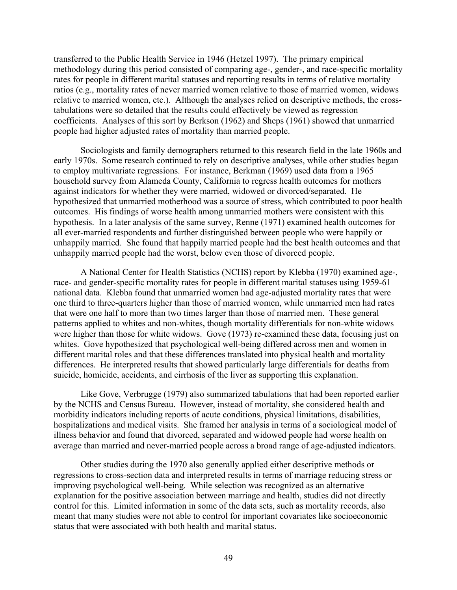transferred to the Public Health Service in 1946 (Hetzel 1997). The primary empirical methodology during this period consisted of comparing age-, gender-, and race-specific mortality rates for people in different marital statuses and reporting results in terms of relative mortality ratios (e.g., mortality rates of never married women relative to those of married women, widows relative to married women, etc.). Although the analyses relied on descriptive methods, the crosstabulations were so detailed that the results could effectively be viewed as regression coefficients. Analyses of this sort by Berkson (1962) and Sheps (1961) showed that unmarried people had higher adjusted rates of mortality than married people.

Sociologists and family demographers returned to this research field in the late 1960s and early 1970s. Some research continued to rely on descriptive analyses, while other studies began to employ multivariate regressions. For instance, Berkman (1969) used data from a 1965 household survey from Alameda County, California to regress health outcomes for mothers against indicators for whether they were married, widowed or divorced/separated. He hypothesized that unmarried motherhood was a source of stress, which contributed to poor health outcomes. His findings of worse health among unmarried mothers were consistent with this hypothesis. In a later analysis of the same survey, Renne (1971) examined health outcomes for all ever-married respondents and further distinguished between people who were happily or unhappily married. She found that happily married people had the best health outcomes and that unhappily married people had the worst, below even those of divorced people.

A National Center for Health Statistics (NCHS) report by Klebba (1970) examined age-, race- and gender-specific mortality rates for people in different marital statuses using 1959-61 national data. Klebba found that unmarried women had age-adjusted mortality rates that were one third to three-quarters higher than those of married women, while unmarried men had rates that were one half to more than two times larger than those of married men. These general patterns applied to whites and non-whites, though mortality differentials for non-white widows were higher than those for white widows. Gove (1973) re-examined these data, focusing just on whites. Gove hypothesized that psychological well-being differed across men and women in different marital roles and that these differences translated into physical health and mortality differences. He interpreted results that showed particularly large differentials for deaths from suicide, homicide, accidents, and cirrhosis of the liver as supporting this explanation.

Like Gove, Verbrugge (1979) also summarized tabulations that had been reported earlier by the NCHS and Census Bureau. However, instead of mortality, she considered health and morbidity indicators including reports of acute conditions, physical limitations, disabilities, hospitalizations and medical visits. She framed her analysis in terms of a sociological model of illness behavior and found that divorced, separated and widowed people had worse health on average than married and never-married people across a broad range of age-adjusted indicators.

Other studies during the 1970 also generally applied either descriptive methods or regressions to cross-section data and interpreted results in terms of marriage reducing stress or improving psychological well-being. While selection was recognized as an alternative explanation for the positive association between marriage and health, studies did not directly control for this. Limited information in some of the data sets, such as mortality records, also meant that many studies were not able to control for important covariates like socioeconomic status that were associated with both health and marital status.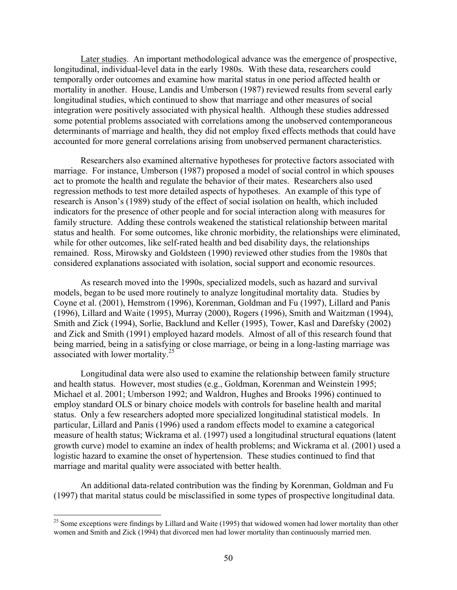Later studies. An important methodological advance was the emergence of prospective, longitudinal, individual-level data in the early 1980s. With these data, researchers could temporally order outcomes and examine how marital status in one period affected health or mortality in another. House, Landis and Umberson (1987) reviewed results from several early longitudinal studies, which continued to show that marriage and other measures of social integration were positively associated with physical health. Although these studies addressed some potential problems associated with correlations among the unobserved contemporaneous determinants of marriage and health, they did not employ fixed effects methods that could have accounted for more general correlations arising from unobserved permanent characteristics.

Researchers also examined alternative hypotheses for protective factors associated with marriage. For instance, Umberson (1987) proposed a model of social control in which spouses act to promote the health and regulate the behavior of their mates. Researchers also used regression methods to test more detailed aspects of hypotheses. An example of this type of research is Anson's (1989) study of the effect of social isolation on health, which included indicators for the presence of other people and for social interaction along with measures for family structure. Adding these controls weakened the statistical relationship between marital status and health. For some outcomes, like chronic morbidity, the relationships were eliminated, while for other outcomes, like self-rated health and bed disability days, the relationships remained. Ross, Mirowsky and Goldsteen (1990) reviewed other studies from the 1980s that considered explanations associated with isolation, social support and economic resources.

As research moved into the 1990s, specialized models, such as hazard and survival models, began to be used more routinely to analyze longitudinal mortality data. Studies by Coyne et al. (2001), Hemstrom (1996), Korenman, Goldman and Fu (1997), Lillard and Panis (1996), Lillard and Waite (1995), Murray (2000), Rogers (1996), Smith and Waitzman (1994), Smith and Zick (1994), Sorlie, Backlund and Keller (1995), Tower, Kasl and Darefsky (2002) and Zick and Smith (1991) employed hazard models. Almost of all of this research found that being married, being in a satisfying or close marriage, or being in a long-lasting marriage was associated with lower mortality.<sup>25</sup>

Longitudinal data were also used to examine the relationship between family structure and health status. However, most studies (e.g., Goldman, Korenman and Weinstein 1995; Michael et al. 2001; Umberson 1992; and Waldron, Hughes and Brooks 1996) continued to employ standard OLS or binary choice models with controls for baseline health and marital status. Only a few researchers adopted more specialized longitudinal statistical models. In particular, Lillard and Panis (1996) used a random effects model to examine a categorical measure of health status; Wickrama et al. (1997) used a longitudinal structural equations (latent growth curve) model to examine an index of health problems; and Wickrama et al. (2001) used a logistic hazard to examine the onset of hypertension. These studies continued to find that marriage and marital quality were associated with better health.

An additional data-related contribution was the finding by Korenman, Goldman and Fu (1997) that marital status could be misclassified in some types of prospective longitudinal data.

 $25$  Some exceptions were findings by Lillard and Waite (1995) that widowed women had lower mortality than other women and Smith and Zick (1994) that divorced men had lower mortality than continuously married men.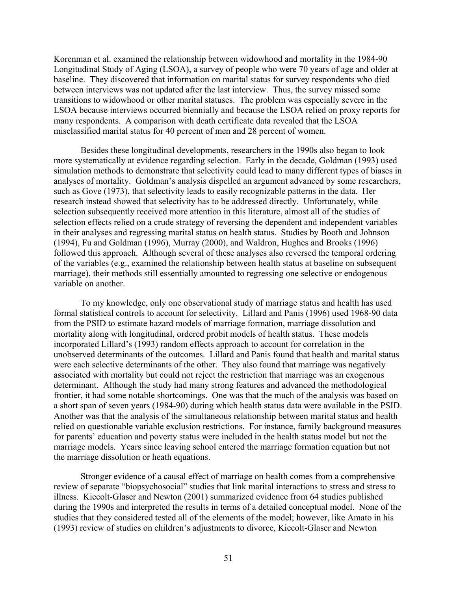Korenman et al. examined the relationship between widowhood and mortality in the 1984-90 Longitudinal Study of Aging (LSOA), a survey of people who were 70 years of age and older at baseline. They discovered that information on marital status for survey respondents who died between interviews was not updated after the last interview. Thus, the survey missed some transitions to widowhood or other marital statuses. The problem was especially severe in the LSOA because interviews occurred biennially and because the LSOA relied on proxy reports for many respondents. A comparison with death certificate data revealed that the LSOA misclassified marital status for 40 percent of men and 28 percent of women.

Besides these longitudinal developments, researchers in the 1990s also began to look more systematically at evidence regarding selection. Early in the decade, Goldman (1993) used simulation methods to demonstrate that selectivity could lead to many different types of biases in analyses of mortality. Goldman's analysis dispelled an argument advanced by some researchers, such as Gove (1973), that selectivity leads to easily recognizable patterns in the data. Her research instead showed that selectivity has to be addressed directly. Unfortunately, while selection subsequently received more attention in this literature, almost all of the studies of selection effects relied on a crude strategy of reversing the dependent and independent variables in their analyses and regressing marital status on health status. Studies by Booth and Johnson (1994), Fu and Goldman (1996), Murray (2000), and Waldron, Hughes and Brooks (1996) followed this approach. Although several of these analyses also reversed the temporal ordering of the variables (e.g., examined the relationship between health status at baseline on subsequent marriage), their methods still essentially amounted to regressing one selective or endogenous variable on another.

To my knowledge, only one observational study of marriage status and health has used formal statistical controls to account for selectivity. Lillard and Panis (1996) used 1968-90 data from the PSID to estimate hazard models of marriage formation, marriage dissolution and mortality along with longitudinal, ordered probit models of health status. These models incorporated Lillard's (1993) random effects approach to account for correlation in the unobserved determinants of the outcomes. Lillard and Panis found that health and marital status were each selective determinants of the other. They also found that marriage was negatively associated with mortality but could not reject the restriction that marriage was an exogenous determinant. Although the study had many strong features and advanced the methodological frontier, it had some notable shortcomings. One was that the much of the analysis was based on a short span of seven years (1984-90) during which health status data were available in the PSID. Another was that the analysis of the simultaneous relationship between marital status and health relied on questionable variable exclusion restrictions. For instance, family background measures for parents' education and poverty status were included in the health status model but not the marriage models. Years since leaving school entered the marriage formation equation but not the marriage dissolution or heath equations.

Stronger evidence of a causal effect of marriage on health comes from a comprehensive review of separate "biopsychosocial" studies that link marital interactions to stress and stress to illness. Kiecolt-Glaser and Newton (2001) summarized evidence from 64 studies published during the 1990s and interpreted the results in terms of a detailed conceptual model. None of the studies that they considered tested all of the elements of the model; however, like Amato in his (1993) review of studies on children's adjustments to divorce, Kiecolt-Glaser and Newton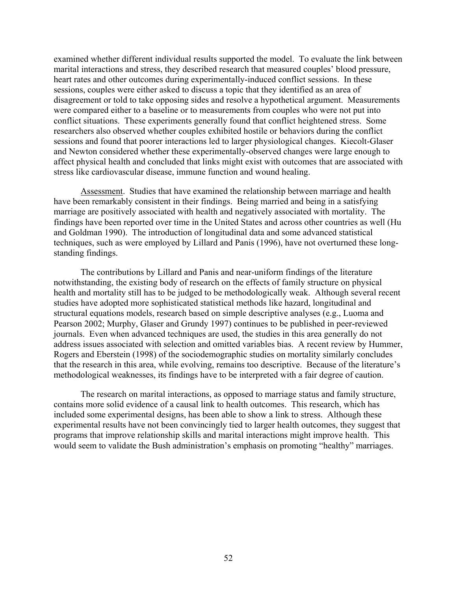examined whether different individual results supported the model. To evaluate the link between marital interactions and stress, they described research that measured couples' blood pressure, heart rates and other outcomes during experimentally-induced conflict sessions. In these sessions, couples were either asked to discuss a topic that they identified as an area of disagreement or told to take opposing sides and resolve a hypothetical argument. Measurements were compared either to a baseline or to measurements from couples who were not put into conflict situations. These experiments generally found that conflict heightened stress. Some researchers also observed whether couples exhibited hostile or behaviors during the conflict sessions and found that poorer interactions led to larger physiological changes. Kiecolt-Glaser and Newton considered whether these experimentally-observed changes were large enough to affect physical health and concluded that links might exist with outcomes that are associated with stress like cardiovascular disease, immune function and wound healing.

Assessment. Studies that have examined the relationship between marriage and health have been remarkably consistent in their findings. Being married and being in a satisfying marriage are positively associated with health and negatively associated with mortality. The findings have been reported over time in the United States and across other countries as well (Hu and Goldman 1990). The introduction of longitudinal data and some advanced statistical techniques, such as were employed by Lillard and Panis (1996), have not overturned these longstanding findings.

The contributions by Lillard and Panis and near-uniform findings of the literature notwithstanding, the existing body of research on the effects of family structure on physical health and mortality still has to be judged to be methodologically weak. Although several recent studies have adopted more sophisticated statistical methods like hazard, longitudinal and structural equations models, research based on simple descriptive analyses (e.g., Luoma and Pearson 2002; Murphy, Glaser and Grundy 1997) continues to be published in peer-reviewed journals. Even when advanced techniques are used, the studies in this area generally do not address issues associated with selection and omitted variables bias. A recent review by Hummer, Rogers and Eberstein (1998) of the sociodemographic studies on mortality similarly concludes that the research in this area, while evolving, remains too descriptive. Because of the literature's methodological weaknesses, its findings have to be interpreted with a fair degree of caution.

The research on marital interactions, as opposed to marriage status and family structure, contains more solid evidence of a causal link to health outcomes. This research, which has included some experimental designs, has been able to show a link to stress. Although these experimental results have not been convincingly tied to larger health outcomes, they suggest that programs that improve relationship skills and marital interactions might improve health. This would seem to validate the Bush administration's emphasis on promoting "healthy" marriages.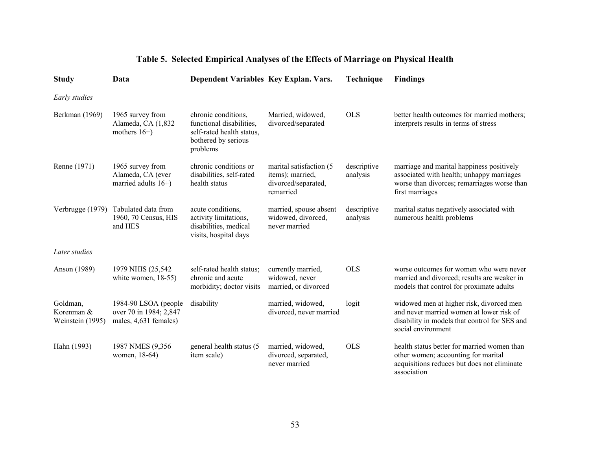| <b>Study</b>                               | Data                                                                    | Dependent Variables Key Explan. Vars.                                                                           |                                                                                  | <b>Technique</b>        | <b>Findings</b>                                                                                                                                             |
|--------------------------------------------|-------------------------------------------------------------------------|-----------------------------------------------------------------------------------------------------------------|----------------------------------------------------------------------------------|-------------------------|-------------------------------------------------------------------------------------------------------------------------------------------------------------|
| Early studies                              |                                                                         |                                                                                                                 |                                                                                  |                         |                                                                                                                                                             |
| Berkman (1969)                             | 1965 survey from<br>Alameda, CA (1,832<br>mothers $16+$ )               | chronic conditions,<br>functional disabilities,<br>self-rated health status,<br>bothered by serious<br>problems | Married, widowed,<br>divorced/separated                                          | <b>OLS</b>              | better health outcomes for married mothers;<br>interprets results in terms of stress                                                                        |
| Renne (1971)                               | 1965 survey from<br>Alameda, CA (ever<br>married adults $16+$ )         | chronic conditions or<br>disabilities, self-rated<br>health status                                              | marital satisfaction (5)<br>items); married,<br>divorced/separated,<br>remarried | descriptive<br>analysis | marriage and marital happiness positively<br>associated with health; unhappy marriages<br>worse than divorces; remarriages worse than<br>first marriages    |
| Verbrugge (1979)                           | Tabulated data from<br>1960, 70 Census, HIS<br>and HES                  | acute conditions,<br>activity limitations,<br>disabilities, medical<br>visits, hospital days                    | married, spouse absent<br>widowed, divorced,<br>never married                    | descriptive<br>analysis | marital status negatively associated with<br>numerous health problems                                                                                       |
| Later studies                              |                                                                         |                                                                                                                 |                                                                                  |                         |                                                                                                                                                             |
| Anson (1989)                               | 1979 NHIS (25,542)<br>white women, $18-55$ )                            | self-rated health status;<br>chronic and acute<br>morbidity; doctor visits                                      | currently married,<br>widowed, never<br>married, or divorced                     | <b>OLS</b>              | worse outcomes for women who were never<br>married and divorced; results are weaker in<br>models that control for proximate adults                          |
| Goldman,<br>Korenman &<br>Weinstein (1995) | 1984-90 LSOA (people<br>over 70 in 1984; 2,847<br>males, 4,631 females) | disability                                                                                                      | married, widowed,<br>divorced, never married                                     | logit                   | widowed men at higher risk, divorced men<br>and never married women at lower risk of<br>disability in models that control for SES and<br>social environment |
| Hahn (1993)                                | 1987 NMES (9,356)<br>women, 18-64)                                      | general health status (5<br>item scale)                                                                         | married, widowed,<br>divorced, separated,<br>never married                       | <b>OLS</b>              | health status better for married women than<br>other women; accounting for marital<br>acquisitions reduces but does not eliminate<br>association            |

# **Table 5. Selected Empirical Analyses of the Effects of Marriage on Physical Health**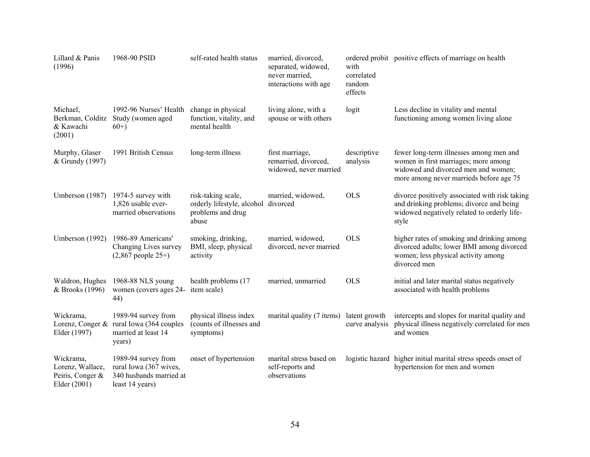| Lillard & Panis<br>(1996)                                         | 1968-90 PSID                                                                                     | self-rated health status                                                                | married, divorced,<br>separated, widowed,<br>never married,<br>interactions with age | with<br>correlated<br>random<br>effects | ordered probit positive effects of marriage on health                                                                                                             |
|-------------------------------------------------------------------|--------------------------------------------------------------------------------------------------|-----------------------------------------------------------------------------------------|--------------------------------------------------------------------------------------|-----------------------------------------|-------------------------------------------------------------------------------------------------------------------------------------------------------------------|
| Michael,<br>& Kawachi<br>(2001)                                   | 1992-96 Nurses' Health<br>Berkman, Colditz Study (women aged<br>$60+)$                           | change in physical<br>function, vitality, and<br>mental health                          | living alone, with a<br>spouse or with others                                        | logit                                   | Less decline in vitality and mental<br>functioning among women living alone                                                                                       |
| Murphy, Glaser<br>& Grundy (1997)                                 | 1991 British Census                                                                              | long-term illness                                                                       | first marriage,<br>remarried, divorced,<br>widowed, never married                    | descriptive<br>analysis                 | fewer long-term illnesses among men and<br>women in first marriages; more among<br>widowed and divorced men and women;<br>more among never marrieds before age 75 |
| Umberson (1987)                                                   | 1974-5 survey with<br>1,826 usable ever-<br>married observations                                 | risk-taking scale,<br>orderly lifestyle, alcohol divorced<br>problems and drug<br>abuse | married, widowed,                                                                    | <b>OLS</b>                              | divorce positively associated with risk taking<br>and drinking problems; divorce and being<br>widowed negatively related to orderly life-<br>style                |
| Umberson (1992)                                                   | 1986-89 Americans'<br>Changing Lives survey<br>$(2,867)$ people $25+)$                           | smoking, drinking,<br>BMI, sleep, physical<br>activity                                  | married, widowed,<br>divorced, never married                                         | <b>OLS</b>                              | higher rates of smoking and drinking among<br>divorced adults; lower BMI among divorced<br>women; less physical activity among<br>divorced men                    |
| Waldron, Hughes<br>& Brooks (1996)                                | 1968-88 NLS young<br>women (covers ages 24-<br>44)                                               | health problems (17<br>item scale)                                                      | married, unmarried                                                                   | <b>OLS</b>                              | initial and later marital status negatively<br>associated with health problems                                                                                    |
| Wickrama,<br>Elder (1997)                                         | 1989-94 survey from<br>Lorenz, Conger & rural Iowa (364 couples<br>married at least 14<br>years) | physical illness index<br>(counts of illnesses and<br>symptoms)                         | marital quality (7 items)                                                            | latent growth<br>curve analysis         | intercepts and slopes for marital quality and<br>physical illness negatively correlated for men<br>and women                                                      |
| Wickrama,<br>Lorenz, Wallace,<br>Peiris, Conger &<br>Elder (2001) | 1989-94 survey from<br>rural Iowa (367 wives,<br>340 husbands married at<br>least 14 years)      | onset of hypertension                                                                   | marital stress based on<br>self-reports and<br>observations                          |                                         | logistic hazard higher initial marital stress speeds onset of<br>hypertension for men and women                                                                   |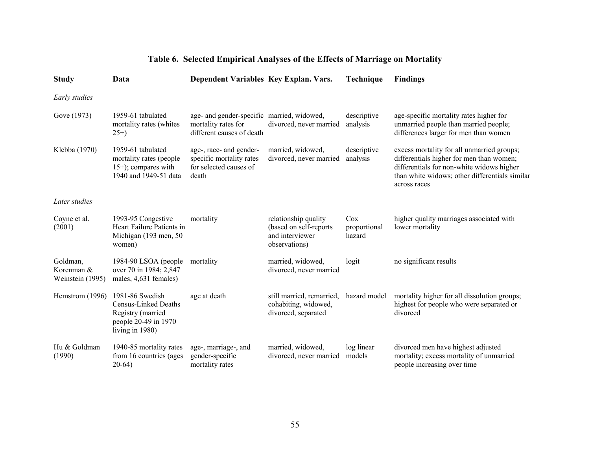# **Table 6. Selected Empirical Analyses of the Effects of Marriage on Mortality**

| <b>Study</b>                               | Data                                                                                                              | Dependent Variables Key Explan. Vars.                                                          |                                                                                    | Technique                     | <b>Findings</b>                                                                                                                                                                                       |
|--------------------------------------------|-------------------------------------------------------------------------------------------------------------------|------------------------------------------------------------------------------------------------|------------------------------------------------------------------------------------|-------------------------------|-------------------------------------------------------------------------------------------------------------------------------------------------------------------------------------------------------|
| Early studies                              |                                                                                                                   |                                                                                                |                                                                                    |                               |                                                                                                                                                                                                       |
| Gove (1973)                                | 1959-61 tabulated<br>mortality rates (whites<br>$25+)$                                                            | age- and gender-specific married, widowed,<br>mortality rates for<br>different causes of death | divorced, never married                                                            | descriptive<br>analysis       | age-specific mortality rates higher for<br>unmarried people than married people;<br>differences larger for men than women                                                                             |
| Klebba (1970)                              | 1959-61 tabulated<br>mortality rates (people<br>15+); compares with<br>1940 and 1949-51 data                      | age-, race- and gender-<br>specific mortality rates<br>for selected causes of<br>death         | married, widowed,<br>divorced, never married                                       | descriptive<br>analysis       | excess mortality for all unmarried groups;<br>differentials higher for men than women;<br>differentials for non-white widows higher<br>than white widows; other differentials similar<br>across races |
| Later studies                              |                                                                                                                   |                                                                                                |                                                                                    |                               |                                                                                                                                                                                                       |
| Coyne et al.<br>(2001)                     | 1993-95 Congestive<br>Heart Failure Patients in<br>Michigan (193 men, 50<br>women)                                | mortality                                                                                      | relationship quality<br>(based on self-reports<br>and interviewer<br>observations) | Cox<br>proportional<br>hazard | higher quality marriages associated with<br>lower mortality                                                                                                                                           |
| Goldman,<br>Korenman &<br>Weinstein (1995) | 1984-90 LSOA (people)<br>over 70 in 1984; 2,847<br>males, 4,631 females)                                          | mortality                                                                                      | married, widowed,<br>divorced, never married                                       | logit                         | no significant results                                                                                                                                                                                |
| Hemstrom (1996)                            | 1981-86 Swedish<br><b>Census-Linked Deaths</b><br>Registry (married<br>people 20-49 in 1970<br>living in $1980$ ) | age at death                                                                                   | still married, remarried,<br>cohabiting, widowed,<br>divorced, separated           | hazard model                  | mortality higher for all dissolution groups;<br>highest for people who were separated or<br>divorced                                                                                                  |
| Hu & Goldman<br>(1990)                     | 1940-85 mortality rates<br>from 16 countries (ages<br>$20-64)$                                                    | age-, marriage-, and<br>gender-specific<br>mortality rates                                     | married, widowed,<br>divorced, never married                                       | log linear<br>models          | divorced men have highest adjusted<br>mortality; excess mortality of unmarried<br>people increasing over time                                                                                         |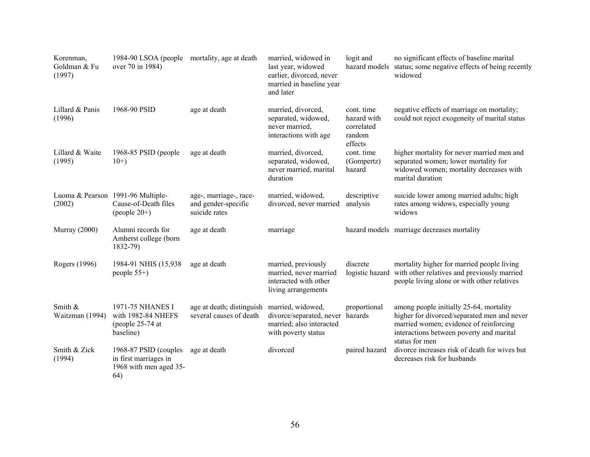| Korenman,<br>Goldman & Fu<br>(1997) | 1984-90 LSOA (people mortality, age at death<br>over 70 in 1984)                |                                                                | married, widowed in<br>last year, widowed<br>earlier, divorced, never<br>married in baseline year<br>and later | logit and<br>hazard models                                   | no significant effects of baseline marital<br>status; some negative effects of being recently<br>widowed                                                                                       |
|-------------------------------------|---------------------------------------------------------------------------------|----------------------------------------------------------------|----------------------------------------------------------------------------------------------------------------|--------------------------------------------------------------|------------------------------------------------------------------------------------------------------------------------------------------------------------------------------------------------|
| Lillard & Panis<br>(1996)           | 1968-90 PSID                                                                    | age at death                                                   | married, divorced,<br>separated, widowed,<br>never married,<br>interactions with age                           | cont. time<br>hazard with<br>correlated<br>random<br>effects | negative effects of marriage on mortality;<br>could not reject exogeneity of marital status                                                                                                    |
| Lillard & Waite<br>(1995)           | 1968-85 PSID (people<br>$10+$                                                   | age at death                                                   | married, divorced,<br>separated, widowed,<br>never married, marital<br>duration                                | cont. time<br>(Gompertz)<br>hazard                           | higher mortality for never married men and<br>separated women; lower mortality for<br>widowed women; mortality decreases with<br>marital duration                                              |
| (2002)                              | Luoma & Pearson 1991-96 Multiple-<br>Cause-of-Death files<br>(people $20+$ )    | age-, marriage-, race-<br>and gender-specific<br>suicide rates | married, widowed,<br>divorced, never married                                                                   | descriptive<br>analysis                                      | suicide lower among married adults; high<br>rates among widows, especially young<br>widows                                                                                                     |
| <b>Murray</b> (2000)                | Alumni records for<br>Amherst college (born<br>1832-79)                         | age at death                                                   | marriage                                                                                                       |                                                              | hazard models marriage decreases mortality                                                                                                                                                     |
| Rogers (1996)                       | 1984-91 NHIS (15,938)<br>people $55+$ )                                         | age at death                                                   | married, previously<br>married, never married<br>interacted with other<br>living arrangements                  | discrete<br>logistic hazard                                  | mortality higher for married people living<br>with other relatives and previously married<br>people living alone or with other relatives                                                       |
| Smith &<br>Waitzman (1994)          | 1971-75 NHANES I<br>with 1982-84 NHEFS<br>(people 25-74 at<br>baseline)         | age at death; distinguish<br>several causes of death           | married, widowed,<br>divorce/separated, never<br>married; also interacted<br>with poverty status               | proportional<br>hazards                                      | among people initially 25-64, mortality<br>higher for divorced/separated men and never<br>married women; evidence of reinforcing<br>interactions between poverty and marital<br>status for men |
| Smith & Zick<br>(1994)              | 1968-87 PSID (couples<br>in first marriages in<br>1968 with men aged 35-<br>64) | age at death                                                   | divorced                                                                                                       | paired hazard                                                | divorce increases risk of death for wives but<br>decreases risk for husbands                                                                                                                   |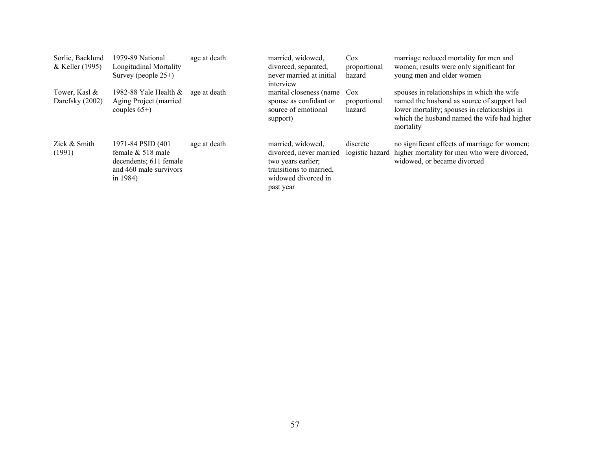| Sorlie, Backlund<br>& Keller (1995) | 1979-89 National<br><b>Longitudinal Mortality</b><br>Survey (people $25+$ )                                  | age at death                                    | married, widowed,<br>divorced, separated,<br>never married at initial<br>interview                                                | $\cos$<br>proportional<br>hazard | marriage reduced mortality for men and<br>women; results were only significant for<br>young men and older women                                                                                      |
|-------------------------------------|--------------------------------------------------------------------------------------------------------------|-------------------------------------------------|-----------------------------------------------------------------------------------------------------------------------------------|----------------------------------|------------------------------------------------------------------------------------------------------------------------------------------------------------------------------------------------------|
| Tower, Kasl &<br>Darefsky (2002)    | 1982-88 Yale Health $&$<br>Aging Project (married<br>couples $65+$ )                                         | age at death<br>source of emotional<br>support) | marital closeness (name Cox<br>spouse as confidant or                                                                             | proportional<br>hazard           | spouses in relationships in which the wife<br>named the husband as source of support had<br>lower mortality; spouses in relationships in<br>which the husband named the wife had higher<br>mortality |
| Zick & Smith<br>(1991)              | 1971-84 PSID (401)<br>female $& 518$ male<br>decendents; 611 female<br>and 460 male survivors<br>in $1984$ ) | age at death                                    | married, widowed,<br>divorced, never married<br>two years earlier;<br>transitions to married,<br>widowed divorced in<br>past year | discrete<br>logistic hazard      | no significant effects of marriage for women;<br>higher mortality for men who were divorced,<br>widowed, or became divorced                                                                          |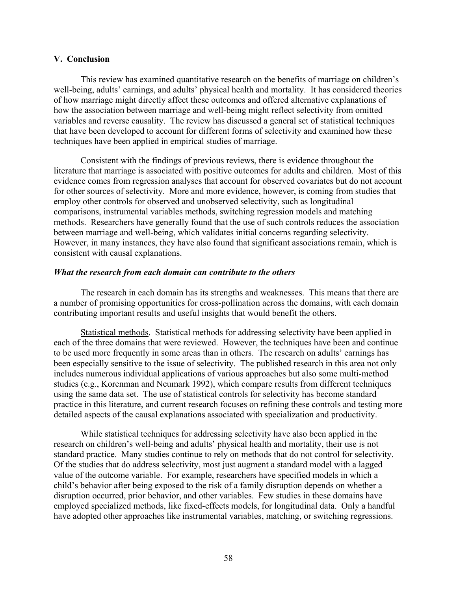#### **V. Conclusion**

This review has examined quantitative research on the benefits of marriage on children's well-being, adults' earnings, and adults' physical health and mortality. It has considered theories of how marriage might directly affect these outcomes and offered alternative explanations of how the association between marriage and well-being might reflect selectivity from omitted variables and reverse causality. The review has discussed a general set of statistical techniques that have been developed to account for different forms of selectivity and examined how these techniques have been applied in empirical studies of marriage.

Consistent with the findings of previous reviews, there is evidence throughout the literature that marriage is associated with positive outcomes for adults and children. Most of this evidence comes from regression analyses that account for observed covariates but do not account for other sources of selectivity. More and more evidence, however, is coming from studies that employ other controls for observed and unobserved selectivity, such as longitudinal comparisons, instrumental variables methods, switching regression models and matching methods. Researchers have generally found that the use of such controls reduces the association between marriage and well-being, which validates initial concerns regarding selectivity. However, in many instances, they have also found that significant associations remain, which is consistent with causal explanations.

#### *What the research from each domain can contribute to the others*

The research in each domain has its strengths and weaknesses. This means that there are a number of promising opportunities for cross-pollination across the domains, with each domain contributing important results and useful insights that would benefit the others.

Statistical methods. Statistical methods for addressing selectivity have been applied in each of the three domains that were reviewed. However, the techniques have been and continue to be used more frequently in some areas than in others. The research on adults' earnings has been especially sensitive to the issue of selectivity. The published research in this area not only includes numerous individual applications of various approaches but also some multi-method studies (e.g., Korenman and Neumark 1992), which compare results from different techniques using the same data set. The use of statistical controls for selectivity has become standard practice in this literature, and current research focuses on refining these controls and testing more detailed aspects of the causal explanations associated with specialization and productivity.

While statistical techniques for addressing selectivity have also been applied in the research on children's well-being and adults' physical health and mortality, their use is not standard practice. Many studies continue to rely on methods that do not control for selectivity. Of the studies that do address selectivity, most just augment a standard model with a lagged value of the outcome variable. For example, researchers have specified models in which a child's behavior after being exposed to the risk of a family disruption depends on whether a disruption occurred, prior behavior, and other variables. Few studies in these domains have employed specialized methods, like fixed-effects models, for longitudinal data. Only a handful have adopted other approaches like instrumental variables, matching, or switching regressions.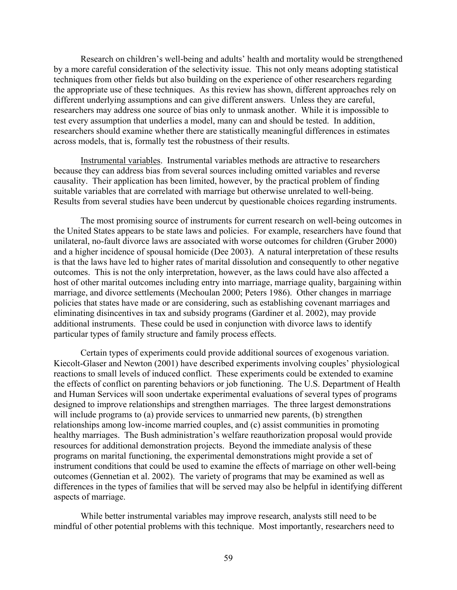Research on children's well-being and adults' health and mortality would be strengthened by a more careful consideration of the selectivity issue. This not only means adopting statistical techniques from other fields but also building on the experience of other researchers regarding the appropriate use of these techniques. As this review has shown, different approaches rely on different underlying assumptions and can give different answers. Unless they are careful, researchers may address one source of bias only to unmask another. While it is impossible to test every assumption that underlies a model, many can and should be tested. In addition, researchers should examine whether there are statistically meaningful differences in estimates across models, that is, formally test the robustness of their results.

Instrumental variables. Instrumental variables methods are attractive to researchers because they can address bias from several sources including omitted variables and reverse causality. Their application has been limited, however, by the practical problem of finding suitable variables that are correlated with marriage but otherwise unrelated to well-being. Results from several studies have been undercut by questionable choices regarding instruments.

The most promising source of instruments for current research on well-being outcomes in the United States appears to be state laws and policies. For example, researchers have found that unilateral, no-fault divorce laws are associated with worse outcomes for children (Gruber 2000) and a higher incidence of spousal homicide (Dee 2003). A natural interpretation of these results is that the laws have led to higher rates of marital dissolution and consequently to other negative outcomes. This is not the only interpretation, however, as the laws could have also affected a host of other marital outcomes including entry into marriage, marriage quality, bargaining within marriage, and divorce settlements (Mechoulan 2000; Peters 1986). Other changes in marriage policies that states have made or are considering, such as establishing covenant marriages and eliminating disincentives in tax and subsidy programs (Gardiner et al. 2002), may provide additional instruments. These could be used in conjunction with divorce laws to identify particular types of family structure and family process effects.

Certain types of experiments could provide additional sources of exogenous variation. Kiecolt-Glaser and Newton (2001) have described experiments involving couples' physiological reactions to small levels of induced conflict. These experiments could be extended to examine the effects of conflict on parenting behaviors or job functioning. The U.S. Department of Health and Human Services will soon undertake experimental evaluations of several types of programs designed to improve relationships and strengthen marriages. The three largest demonstrations will include programs to (a) provide services to unmarried new parents, (b) strengthen relationships among low-income married couples, and (c) assist communities in promoting healthy marriages. The Bush administration's welfare reauthorization proposal would provide resources for additional demonstration projects. Beyond the immediate analysis of these programs on marital functioning, the experimental demonstrations might provide a set of instrument conditions that could be used to examine the effects of marriage on other well-being outcomes (Gennetian et al. 2002). The variety of programs that may be examined as well as differences in the types of families that will be served may also be helpful in identifying different aspects of marriage.

While better instrumental variables may improve research, analysts still need to be mindful of other potential problems with this technique. Most importantly, researchers need to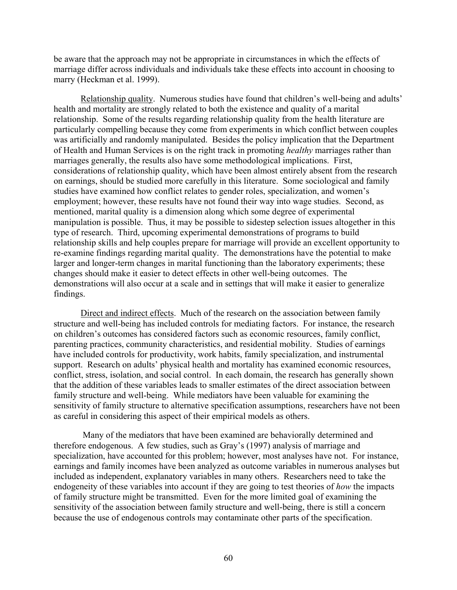be aware that the approach may not be appropriate in circumstances in which the effects of marriage differ across individuals and individuals take these effects into account in choosing to marry (Heckman et al. 1999).

Relationship quality. Numerous studies have found that children's well-being and adults' health and mortality are strongly related to both the existence and quality of a marital relationship. Some of the results regarding relationship quality from the health literature are particularly compelling because they come from experiments in which conflict between couples was artificially and randomly manipulated. Besides the policy implication that the Department of Health and Human Services is on the right track in promoting *healthy* marriages rather than marriages generally, the results also have some methodological implications. First, considerations of relationship quality, which have been almost entirely absent from the research on earnings, should be studied more carefully in this literature. Some sociological and family studies have examined how conflict relates to gender roles, specialization, and women's employment; however, these results have not found their way into wage studies. Second, as mentioned, marital quality is a dimension along which some degree of experimental manipulation is possible. Thus, it may be possible to sidestep selection issues altogether in this type of research. Third, upcoming experimental demonstrations of programs to build relationship skills and help couples prepare for marriage will provide an excellent opportunity to re-examine findings regarding marital quality. The demonstrations have the potential to make larger and longer-term changes in marital functioning than the laboratory experiments; these changes should make it easier to detect effects in other well-being outcomes. The demonstrations will also occur at a scale and in settings that will make it easier to generalize findings.

Direct and indirect effects. Much of the research on the association between family structure and well-being has included controls for mediating factors. For instance, the research on children's outcomes has considered factors such as economic resources, family conflict, parenting practices, community characteristics, and residential mobility. Studies of earnings have included controls for productivity, work habits, family specialization, and instrumental support. Research on adults' physical health and mortality has examined economic resources, conflict, stress, isolation, and social control. In each domain, the research has generally shown that the addition of these variables leads to smaller estimates of the direct association between family structure and well-being. While mediators have been valuable for examining the sensitivity of family structure to alternative specification assumptions, researchers have not been as careful in considering this aspect of their empirical models as others.

 Many of the mediators that have been examined are behaviorally determined and therefore endogenous. A few studies, such as Gray's (1997) analysis of marriage and specialization, have accounted for this problem; however, most analyses have not. For instance, earnings and family incomes have been analyzed as outcome variables in numerous analyses but included as independent, explanatory variables in many others. Researchers need to take the endogeneity of these variables into account if they are going to test theories of *how* the impacts of family structure might be transmitted. Even for the more limited goal of examining the sensitivity of the association between family structure and well-being, there is still a concern because the use of endogenous controls may contaminate other parts of the specification.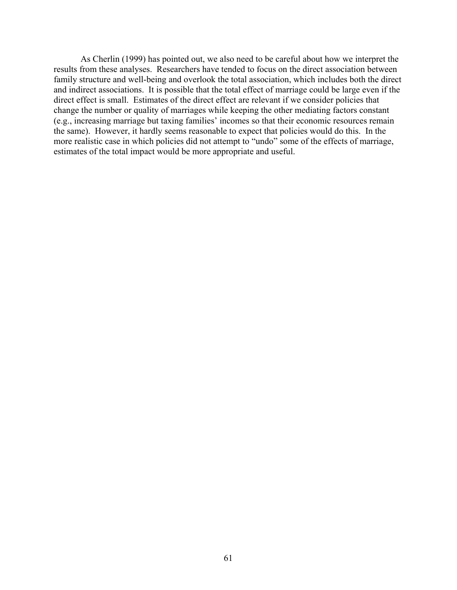As Cherlin (1999) has pointed out, we also need to be careful about how we interpret the results from these analyses. Researchers have tended to focus on the direct association between family structure and well-being and overlook the total association, which includes both the direct and indirect associations. It is possible that the total effect of marriage could be large even if the direct effect is small. Estimates of the direct effect are relevant if we consider policies that change the number or quality of marriages while keeping the other mediating factors constant (e.g., increasing marriage but taxing families' incomes so that their economic resources remain the same). However, it hardly seems reasonable to expect that policies would do this. In the more realistic case in which policies did not attempt to "undo" some of the effects of marriage, estimates of the total impact would be more appropriate and useful.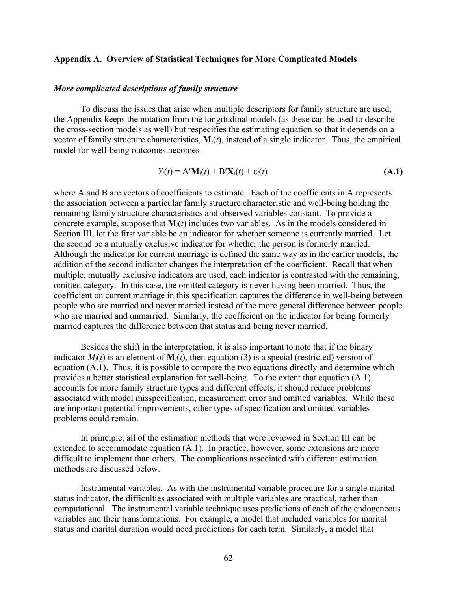#### **Appendix A. Overview of Statistical Techniques for More Complicated Models**

#### *More complicated descriptions of family structure*

To discuss the issues that arise when multiple descriptors for family structure are used, the Appendix keeps the notation from the longitudinal models (as these can be used to describe the cross-section models as well) but respecifies the estimating equation so that it depends on a vector of family structure characteristics, **M***i*(*t*), instead of a single indicator. Thus, the empirical model for well-being outcomes becomes

$$
Y_i(t) = A' \mathbf{M}_i(t) + B' \mathbf{X}_i(t) + \varepsilon_i(t)
$$
\n(A.1)

where Α and Β are vectors of coefficients to estimate. Each of the coefficients in Α represents the association between a particular family structure characteristic and well-being holding the remaining family structure characteristics and observed variables constant. To provide a concrete example, suppose that  $M_i(t)$  includes two variables. As in the models considered in Section III, let the first variable be an indicator for whether someone is currently married. Let the second be a mutually exclusive indicator for whether the person is formerly married. Although the indicator for current marriage is defined the same way as in the earlier models, the addition of the second indicator changes the interpretation of the coefficient. Recall that when multiple, mutually exclusive indicators are used, each indicator is contrasted with the remaining, omitted category. In this case, the omitted category is never having been married. Thus, the coefficient on current marriage in this specification captures the difference in well-being between people who are married and never married instead of the more general difference between people who are married and unmarried. Similarly, the coefficient on the indicator for being formerly married captures the difference between that status and being never married.

Besides the shift in the interpretation, it is also important to note that if the binary indicator  $M_i(t)$  is an element of  $M_i(t)$ , then equation (3) is a special (restricted) version of equation (A.1). Thus, it is possible to compare the two equations directly and determine which provides a better statistical explanation for well-being. To the extent that equation (A.1) accounts for more family structure types and different effects, it should reduce problems associated with model misspecification, measurement error and omitted variables. While these are important potential improvements, other types of specification and omitted variables problems could remain.

In principle, all of the estimation methods that were reviewed in Section III can be extended to accommodate equation (A.1). In practice, however, some extensions are more difficult to implement than others. The complications associated with different estimation methods are discussed below.

Instrumental variables. As with the instrumental variable procedure for a single marital status indicator, the difficulties associated with multiple variables are practical, rather than computational. The instrumental variable technique uses predictions of each of the endogeneous variables and their transformations. For example, a model that included variables for marital status and marital duration would need predictions for each term. Similarly, a model that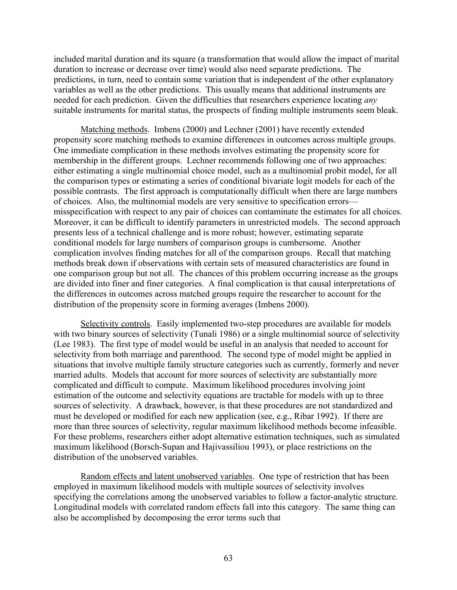included marital duration and its square (a transformation that would allow the impact of marital duration to increase or decrease over time) would also need separate predictions. The predictions, in turn, need to contain some variation that is independent of the other explanatory variables as well as the other predictions. This usually means that additional instruments are needed for each prediction. Given the difficulties that researchers experience locating *any* suitable instruments for marital status, the prospects of finding multiple instruments seem bleak.

Matching methods. Imbens (2000) and Lechner (2001) have recently extended propensity score matching methods to examine differences in outcomes across multiple groups. One immediate complication in these methods involves estimating the propensity score for membership in the different groups. Lechner recommends following one of two approaches: either estimating a single multinomial choice model, such as a multinomial probit model, for all the comparison types or estimating a series of conditional bivariate logit models for each of the possible contrasts. The first approach is computationally difficult when there are large numbers of choices. Also, the multinomial models are very sensitive to specification errors misspecification with respect to any pair of choices can contaminate the estimates for all choices. Moreover, it can be difficult to identify parameters in unrestricted models. The second approach presents less of a technical challenge and is more robust; however, estimating separate conditional models for large numbers of comparison groups is cumbersome. Another complication involves finding matches for all of the comparison groups. Recall that matching methods break down if observations with certain sets of measured characteristics are found in one comparison group but not all. The chances of this problem occurring increase as the groups are divided into finer and finer categories. A final complication is that causal interpretations of the differences in outcomes across matched groups require the researcher to account for the distribution of the propensity score in forming averages (Imbens 2000).

Selectivity controls. Easily implemented two-step procedures are available for models with two binary sources of selectivity (Tunali 1986) or a single multinomial source of selectivity (Lee 1983). The first type of model would be useful in an analysis that needed to account for selectivity from both marriage and parenthood. The second type of model might be applied in situations that involve multiple family structure categories such as currently, formerly and never married adults. Models that account for more sources of selectivity are substantially more complicated and difficult to compute. Maximum likelihood procedures involving joint estimation of the outcome and selectivity equations are tractable for models with up to three sources of selectivity. A drawback, however, is that these procedures are not standardized and must be developed or modified for each new application (see, e.g., Ribar 1992). If there are more than three sources of selectivity, regular maximum likelihood methods become infeasible. For these problems, researchers either adopt alternative estimation techniques, such as simulated maximum likelihood (Borsch-Supan and Hajivassiliou 1993), or place restrictions on the distribution of the unobserved variables.

Random effects and latent unobserved variables. One type of restriction that has been employed in maximum likelihood models with multiple sources of selectivity involves specifying the correlations among the unobserved variables to follow a factor-analytic structure. Longitudinal models with correlated random effects fall into this category. The same thing can also be accomplished by decomposing the error terms such that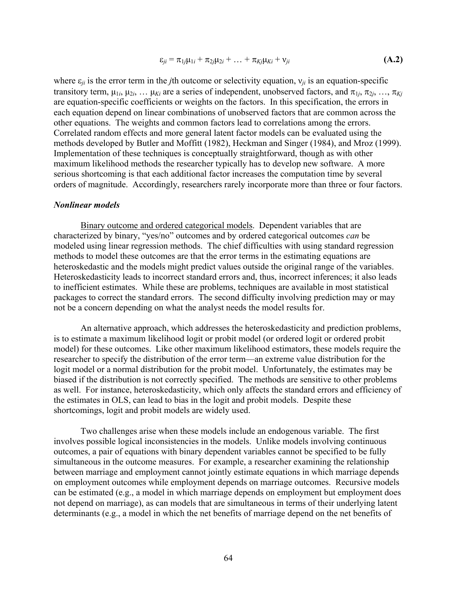$$
\varepsilon_{ji} = \pi_{1j}\mu_{1i} + \pi_{2j}\mu_{2i} + \ldots + \pi_{Kj}\mu_{Ki} + \nu_{ji}
$$
\n(A.2)

where  $\varepsilon_{ii}$  is the error term in the *j*th outcome or selectivity equation,  $v_{ii}$  is an equation-specific transitory term,  $\mu_{1i}$ ,  $\mu_{2i}$ , …  $\mu_{Ki}$  are a series of independent, unobserved factors, and  $\pi_{1i}$ ,  $\pi_{2i}$ , …,  $\pi_{Ki}$ are equation-specific coefficients or weights on the factors. In this specification, the errors in each equation depend on linear combinations of unobserved factors that are common across the other equations. The weights and common factors lead to correlations among the errors. Correlated random effects and more general latent factor models can be evaluated using the methods developed by Butler and Moffitt (1982), Heckman and Singer (1984), and Mroz (1999). Implementation of these techniques is conceptually straightforward, though as with other maximum likelihood methods the researcher typically has to develop new software. A more serious shortcoming is that each additional factor increases the computation time by several orders of magnitude. Accordingly, researchers rarely incorporate more than three or four factors.

## *Nonlinear models*

Binary outcome and ordered categorical models. Dependent variables that are characterized by binary, "yes/no" outcomes and by ordered categorical outcomes *can* be modeled using linear regression methods. The chief difficulties with using standard regression methods to model these outcomes are that the error terms in the estimating equations are heteroskedastic and the models might predict values outside the original range of the variables. Heteroskedasticity leads to incorrect standard errors and, thus, incorrect inferences; it also leads to inefficient estimates. While these are problems, techniques are available in most statistical packages to correct the standard errors. The second difficulty involving prediction may or may not be a concern depending on what the analyst needs the model results for.

An alternative approach, which addresses the heteroskedasticity and prediction problems, is to estimate a maximum likelihood logit or probit model (or ordered logit or ordered probit model) for these outcomes. Like other maximum likelihood estimators, these models require the researcher to specify the distribution of the error term—an extreme value distribution for the logit model or a normal distribution for the probit model. Unfortunately, the estimates may be biased if the distribution is not correctly specified. The methods are sensitive to other problems as well. For instance, heteroskedasticity, which only affects the standard errors and efficiency of the estimates in OLS, can lead to bias in the logit and probit models. Despite these shortcomings, logit and probit models are widely used.

Two challenges arise when these models include an endogenous variable. The first involves possible logical inconsistencies in the models. Unlike models involving continuous outcomes, a pair of equations with binary dependent variables cannot be specified to be fully simultaneous in the outcome measures. For example, a researcher examining the relationship between marriage and employment cannot jointly estimate equations in which marriage depends on employment outcomes while employment depends on marriage outcomes. Recursive models can be estimated (e.g., a model in which marriage depends on employment but employment does not depend on marriage), as can models that are simultaneous in terms of their underlying latent determinants (e.g., a model in which the net benefits of marriage depend on the net benefits of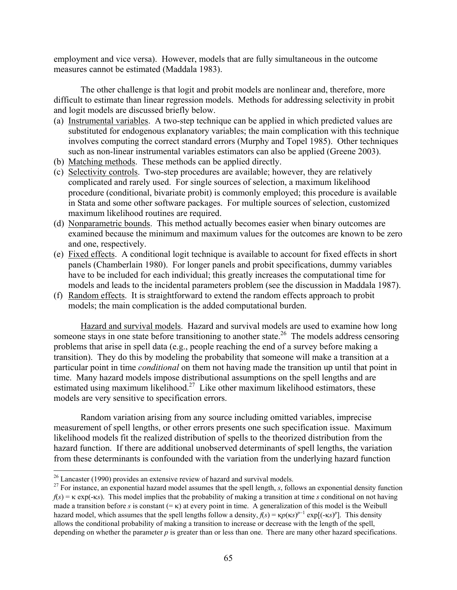employment and vice versa). However, models that are fully simultaneous in the outcome measures cannot be estimated (Maddala 1983).

The other challenge is that logit and probit models are nonlinear and, therefore, more difficult to estimate than linear regression models. Methods for addressing selectivity in probit and logit models are discussed briefly below.

- (a) Instrumental variables. A two-step technique can be applied in which predicted values are substituted for endogenous explanatory variables; the main complication with this technique involves computing the correct standard errors (Murphy and Topel 1985). Other techniques such as non-linear instrumental variables estimators can also be applied (Greene 2003).
- (b) Matching methods. These methods can be applied directly.
- (c) Selectivity controls. Two-step procedures are available; however, they are relatively complicated and rarely used. For single sources of selection, a maximum likelihood procedure (conditional, bivariate probit) is commonly employed; this procedure is available in Stata and some other software packages. For multiple sources of selection, customized maximum likelihood routines are required.
- (d) Nonparametric bounds. This method actually becomes easier when binary outcomes are examined because the minimum and maximum values for the outcomes are known to be zero and one, respectively.
- (e) Fixed effects. A conditional logit technique is available to account for fixed effects in short panels (Chamberlain 1980). For longer panels and probit specifications, dummy variables have to be included for each individual; this greatly increases the computational time for models and leads to the incidental parameters problem (see the discussion in Maddala 1987).
- (f) Random effects. It is straightforward to extend the random effects approach to probit models; the main complication is the added computational burden.

Hazard and survival models. Hazard and survival models are used to examine how long someone stays in one state before transitioning to another state.<sup>26</sup> The models address censoring problems that arise in spell data (e.g., people reaching the end of a survey before making a transition). They do this by modeling the probability that someone will make a transition at a particular point in time *conditional* on them not having made the transition up until that point in time. Many hazard models impose distributional assumptions on the spell lengths and are estimated using maximum likelihood.<sup>27</sup> Like other maximum likelihood estimators, these models are very sensitive to specification errors.

Random variation arising from any source including omitted variables, imprecise measurement of spell lengths, or other errors presents one such specification issue. Maximum likelihood models fit the realized distribution of spells to the theorized distribution from the hazard function. If there are additional unobserved determinants of spell lengths, the variation from these determinants is confounded with the variation from the underlying hazard function

 $26$  Lancaster (1990) provides an extensive review of hazard and survival models.

<sup>&</sup>lt;sup>27</sup> For instance, an exponential hazard model assumes that the spell length,  $s$ , follows an exponential density function  $f(s) = \kappa \exp(-\kappa s)$ . This model implies that the probability of making a transition at time *s* conditional on not having made a transition before *s* is constant  $(=\kappa)$  at every point in time. A generalization of this model is the Weibull hazard model, which assumes that the spell lengths follow a density,  $f(s) = \kappa p(\kappa s)^{p-1} \exp[(-\kappa s)^p]$ . This density allows the conditional probability of making a transition to increase or decrease with the length of the spell, depending on whether the parameter *p* is greater than or less than one. There are many other hazard specifications.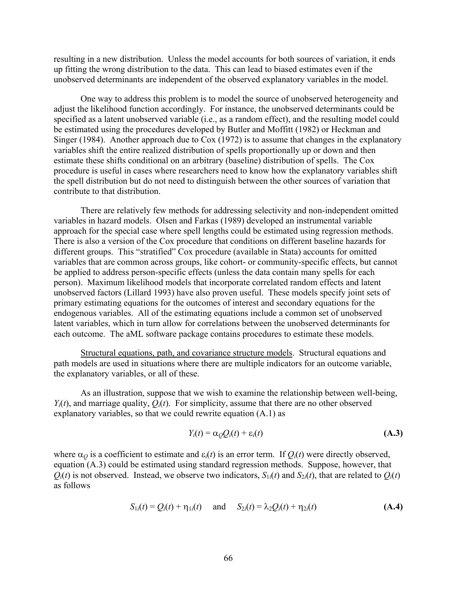resulting in a new distribution. Unless the model accounts for both sources of variation, it ends up fitting the wrong distribution to the data. This can lead to biased estimates even if the unobserved determinants are independent of the observed explanatory variables in the model.

One way to address this problem is to model the source of unobserved heterogeneity and adjust the likelihood function accordingly. For instance, the unobserved determinants could be specified as a latent unobserved variable (i.e., as a random effect), and the resulting model could be estimated using the procedures developed by Butler and Moffitt (1982) or Heckman and Singer (1984). Another approach due to Cox (1972) is to assume that changes in the explanatory variables shift the entire realized distribution of spells proportionally up or down and then estimate these shifts conditional on an arbitrary (baseline) distribution of spells. The Cox procedure is useful in cases where researchers need to know how the explanatory variables shift the spell distribution but do not need to distinguish between the other sources of variation that contribute to that distribution.

There are relatively few methods for addressing selectivity and non-independent omitted variables in hazard models. Olsen and Farkas (1989) developed an instrumental variable approach for the special case where spell lengths could be estimated using regression methods. There is also a version of the Cox procedure that conditions on different baseline hazards for different groups. This "stratified" Cox procedure (available in Stata) accounts for omitted variables that are common across groups, like cohort- or community-specific effects, but cannot be applied to address person-specific effects (unless the data contain many spells for each person). Maximum likelihood models that incorporate correlated random effects and latent unobserved factors (Lillard 1993) have also proven useful. These models specify joint sets of primary estimating equations for the outcomes of interest and secondary equations for the endogenous variables. All of the estimating equations include a common set of unobserved latent variables, which in turn allow for correlations between the unobserved determinants for each outcome. The aML software package contains procedures to estimate these models.

Structural equations, path, and covariance structure models. Structural equations and path models are used in situations where there are multiple indicators for an outcome variable, the explanatory variables, or all of these.

As an illustration, suppose that we wish to examine the relationship between well-being,  $Y_i(t)$ , and marriage quality,  $Q_i(t)$ . For simplicity, assume that there are no other observed explanatory variables, so that we could rewrite equation (A.1) as

$$
Y_i(t) = \alpha_Q Q_i(t) + \varepsilon_i(t)
$$
 (A.3)

where  $\alpha$ <sup>*Q*</sup> is a coefficient to estimate and  $\varepsilon$ <sub>*i*</sub>(*t*) is an error term. If  $Q$ <sup>*i*</sup>(*t*) were directly observed, equation (A.3) could be estimated using standard regression methods. Suppose, however, that  $Q_i(t)$  is not observed. Instead, we observe two indicators,  $S_{1i}(t)$  and  $S_{2i}(t)$ , that are related to  $Q_i(t)$ as follows

$$
S_{1i}(t) = Q_i(t) + \eta_{1i}(t) \quad \text{and} \quad S_{2i}(t) = \lambda_2 Q_i(t) + \eta_{2i}(t) \tag{A.4}
$$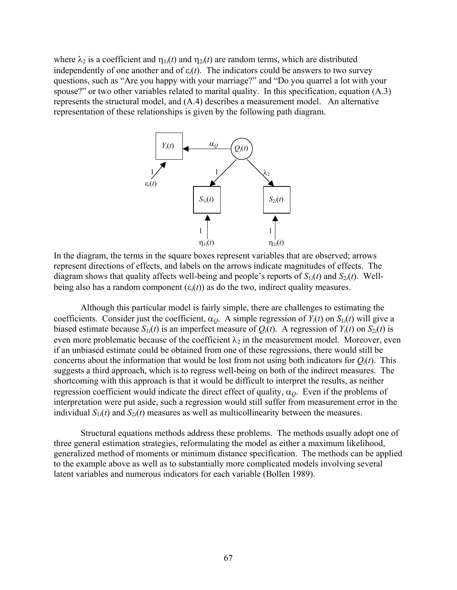where  $\lambda_2$  is a coefficient and  $\eta_{1i}(t)$  and  $\eta_{2i}(t)$  are random terms, which are distributed independently of one another and of  $\varepsilon_i(t)$ . The indicators could be answers to two survey questions, such as "Are you happy with your marriage?" and "Do you quarrel a lot with your spouse?" or two other variables related to marital quality. In this specification, equation (A.3) represents the structural model, and (A.4) describes a measurement model. An alternative representation of these relationships is given by the following path diagram.



In the diagram, the terms in the square boxes represent variables that are observed; arrows represent directions of effects, and labels on the arrows indicate magnitudes of effects. The diagram shows that quality affects well-being and people's reports of  $S_{1i}(t)$  and  $S_{2i}(t)$ . Wellbeing also has a random component  $(\varepsilon_i(t))$  as do the two, indirect quality measures.

Although this particular model is fairly simple, there are challenges to estimating the coefficients. Consider just the coefficient,  $\alpha_O$ . A simple regression of  $Y_i(t)$  on  $S_{1i}(t)$  will give a biased estimate because  $S_{1i}(t)$  is an imperfect measure of  $Q_i(t)$ . A regression of  $Y_i(t)$  on  $S_{2i}(t)$  is even more problematic because of the coefficient  $\lambda_2$  in the measurement model. Moreover, even if an unbiased estimate could be obtained from one of these regressions, there would still be concerns about the information that would be lost from not using both indicators for  $Q_i(t)$ . This suggests a third approach, which is to regress well-being on both of the indirect measures. The shortcoming with this approach is that it would be difficult to interpret the results, as neither regression coefficient would indicate the direct effect of quality, α*Q*. Even if the problems of interpretation were put aside, such a regression would still suffer from measurement error in the individual  $S_{1i}(t)$  and  $S_{2i}(t)$  measures as well as multicollinearity between the measures.

Structural equations methods address these problems. The methods usually adopt one of three general estimation strategies, reformulating the model as either a maximum likelihood, generalized method of moments or minimum distance specification. The methods can be applied to the example above as well as to substantially more complicated models involving several latent variables and numerous indicators for each variable (Bollen 1989).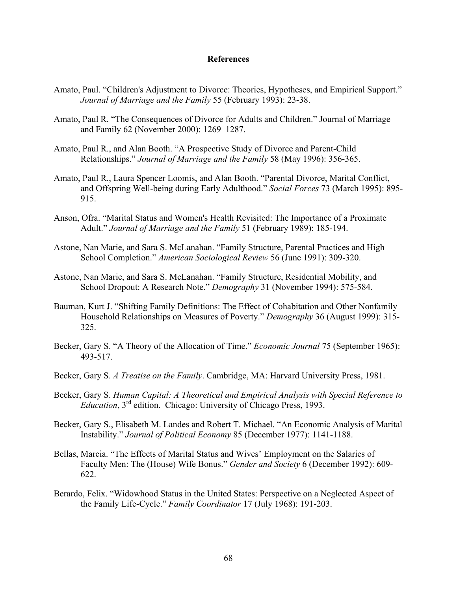## **References**

- Amato, Paul. "Children's Adjustment to Divorce: Theories, Hypotheses, and Empirical Support." *Journal of Marriage and the Family* 55 (February 1993): 23-38.
- Amato, Paul R. "The Consequences of Divorce for Adults and Children." Journal of Marriage and Family 62 (November 2000): 1269–1287.
- Amato, Paul R., and Alan Booth. "A Prospective Study of Divorce and Parent-Child Relationships." *Journal of Marriage and the Family* 58 (May 1996): 356-365.
- Amato, Paul R., Laura Spencer Loomis, and Alan Booth. "Parental Divorce, Marital Conflict, and Offspring Well-being during Early Adulthood." *Social Forces* 73 (March 1995): 895- 915.
- Anson, Ofra. "Marital Status and Women's Health Revisited: The Importance of a Proximate Adult." *Journal of Marriage and the Family* 51 (February 1989): 185-194.
- Astone, Nan Marie, and Sara S. McLanahan. "Family Structure, Parental Practices and High School Completion." *American Sociological Review* 56 (June 1991): 309-320.
- Astone, Nan Marie, and Sara S. McLanahan. "Family Structure, Residential Mobility, and School Dropout: A Research Note." *Demography* 31 (November 1994): 575-584.
- Bauman, Kurt J. "Shifting Family Definitions: The Effect of Cohabitation and Other Nonfamily Household Relationships on Measures of Poverty." *Demography* 36 (August 1999): 315- 325.
- Becker, Gary S. "A Theory of the Allocation of Time." *Economic Journal* 75 (September 1965): 493-517.
- Becker, Gary S. *A Treatise on the Family*. Cambridge, MA: Harvard University Press, 1981.
- Becker, Gary S. *Human Capital: A Theoretical and Empirical Analysis with Special Reference to Education*, 3rd edition. Chicago: University of Chicago Press, 1993.
- Becker, Gary S., Elisabeth M. Landes and Robert T. Michael. "An Economic Analysis of Marital Instability." *Journal of Political Economy* 85 (December 1977): 1141-1188.
- Bellas, Marcia. "The Effects of Marital Status and Wives' Employment on the Salaries of Faculty Men: The (House) Wife Bonus." *Gender and Society* 6 (December 1992): 609- 622.
- Berardo, Felix. "Widowhood Status in the United States: Perspective on a Neglected Aspect of the Family Life-Cycle." *Family Coordinator* 17 (July 1968): 191-203.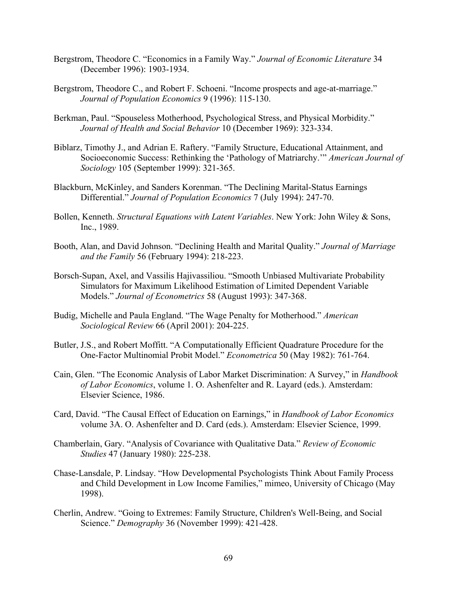- Bergstrom, Theodore C. "Economics in a Family Way." *Journal of Economic Literature* 34 (December 1996): 1903-1934.
- Bergstrom, Theodore C., and Robert F. Schoeni. "Income prospects and age-at-marriage." *Journal of Population Economics* 9 (1996): 115-130.
- Berkman, Paul. "Spouseless Motherhood, Psychological Stress, and Physical Morbidity." *Journal of Health and Social Behavior* 10 (December 1969): 323-334.
- Biblarz, Timothy J., and Adrian E. Raftery. "Family Structure, Educational Attainment, and Socioeconomic Success: Rethinking the 'Pathology of Matriarchy.'" *American Journal of Sociology* 105 (September 1999): 321-365.
- Blackburn, McKinley, and Sanders Korenman. "The Declining Marital-Status Earnings Differential." *Journal of Population Economics* 7 (July 1994): 247-70.
- Bollen, Kenneth. *Structural Equations with Latent Variables*. New York: John Wiley & Sons, Inc., 1989.
- Booth, Alan, and David Johnson. "Declining Health and Marital Quality." *Journal of Marriage and the Family* 56 (February 1994): 218-223.
- Borsch-Supan, Axel, and Vassilis Hajivassiliou. "Smooth Unbiased Multivariate Probability Simulators for Maximum Likelihood Estimation of Limited Dependent Variable Models." *Journal of Econometrics* 58 (August 1993): 347-368.
- Budig, Michelle and Paula England. "The Wage Penalty for Motherhood." *American Sociological Review* 66 (April 2001): 204-225.
- Butler, J.S., and Robert Moffitt. "A Computationally Efficient Quadrature Procedure for the One-Factor Multinomial Probit Model." *Econometrica* 50 (May 1982): 761-764.
- Cain, Glen. "The Economic Analysis of Labor Market Discrimination: A Survey," in *Handbook of Labor Economics*, volume 1. O. Ashenfelter and R. Layard (eds.). Amsterdam: Elsevier Science, 1986.
- Card, David. "The Causal Effect of Education on Earnings," in *Handbook of Labor Economics* volume 3A. O. Ashenfelter and D. Card (eds.). Amsterdam: Elsevier Science, 1999.
- Chamberlain, Gary. "Analysis of Covariance with Qualitative Data." *Review of Economic Studies* 47 (January 1980): 225-238.
- Chase-Lansdale, P. Lindsay. "How Developmental Psychologists Think About Family Process and Child Development in Low Income Families," mimeo, University of Chicago (May 1998).
- Cherlin, Andrew. "Going to Extremes: Family Structure, Children's Well-Being, and Social Science." *Demography* 36 (November 1999): 421-428.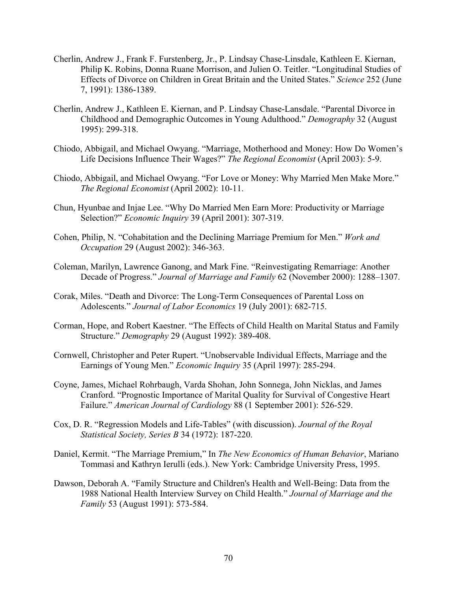- Cherlin, Andrew J., Frank F. Furstenberg, Jr., P. Lindsay Chase-Linsdale, Kathleen E. Kiernan, Philip K. Robins, Donna Ruane Morrison, and Julien O. Teitler. "Longitudinal Studies of Effects of Divorce on Children in Great Britain and the United States." *Science* 252 (June 7, 1991): 1386-1389.
- Cherlin, Andrew J., Kathleen E. Kiernan, and P. Lindsay Chase-Lansdale. "Parental Divorce in Childhood and Demographic Outcomes in Young Adulthood." *Demography* 32 (August 1995): 299-318.
- Chiodo, Abbigail, and Michael Owyang. "Marriage, Motherhood and Money: How Do Women's Life Decisions Influence Their Wages?" *The Regional Economist* (April 2003): 5-9.
- Chiodo, Abbigail, and Michael Owyang. "For Love or Money: Why Married Men Make More." *The Regional Economist* (April 2002): 10-11.
- Chun, Hyunbae and Injae Lee. "Why Do Married Men Earn More: Productivity or Marriage Selection?" *Economic Inquiry* 39 (April 2001): 307-319.
- Cohen, Philip, N. "Cohabitation and the Declining Marriage Premium for Men." *Work and Occupation* 29 (August 2002): 346-363.
- Coleman, Marilyn, Lawrence Ganong, and Mark Fine. "Reinvestigating Remarriage: Another Decade of Progress." *Journal of Marriage and Family* 62 (November 2000): 1288–1307.
- Corak, Miles. "Death and Divorce: The Long-Term Consequences of Parental Loss on Adolescents." *Journal of Labor Economics* 19 (July 2001): 682-715.
- Corman, Hope, and Robert Kaestner. "The Effects of Child Health on Marital Status and Family Structure." *Demography* 29 (August 1992): 389-408.
- Cornwell, Christopher and Peter Rupert. "Unobservable Individual Effects, Marriage and the Earnings of Young Men." *Economic Inquiry* 35 (April 1997): 285-294.
- Coyne, James, Michael Rohrbaugh, Varda Shohan, John Sonnega, John Nicklas, and James Cranford. "Prognostic Importance of Marital Quality for Survival of Congestive Heart Failure." *American Journal of Cardiology* 88 (1 September 2001): 526-529.
- Cox, D. R. "Regression Models and Life-Tables" (with discussion). *Journal of the Royal Statistical Society, Series B* 34 (1972): 187-220.
- Daniel, Kermit. "The Marriage Premium," In *The New Economics of Human Behavior*, Mariano Tommasi and Kathryn Ierulli (eds.). New York: Cambridge University Press, 1995.
- Dawson, Deborah A. "Family Structure and Children's Health and Well-Being: Data from the 1988 National Health Interview Survey on Child Health." *Journal of Marriage and the Family* 53 (August 1991): 573-584.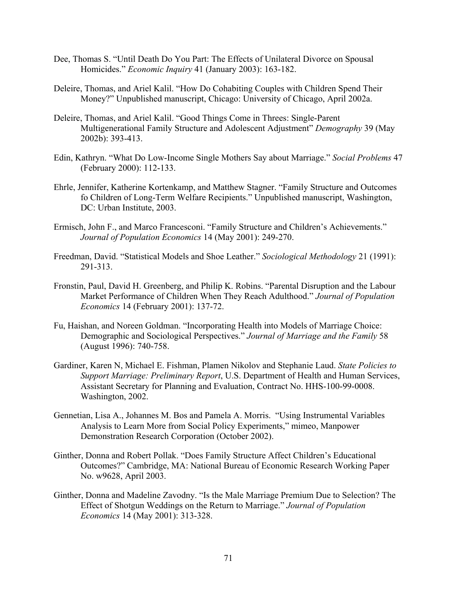- Dee, Thomas S. "Until Death Do You Part: The Effects of Unilateral Divorce on Spousal Homicides." *Economic Inquiry* 41 (January 2003): 163-182.
- Deleire, Thomas, and Ariel Kalil. "How Do Cohabiting Couples with Children Spend Their Money?" Unpublished manuscript, Chicago: University of Chicago, April 2002a.
- Deleire, Thomas, and Ariel Kalil. "Good Things Come in Threes: Single-Parent Multigenerational Family Structure and Adolescent Adjustment" *Demography* 39 (May 2002b): 393-413.
- Edin, Kathryn. "What Do Low-Income Single Mothers Say about Marriage." *Social Problems* 47 (February 2000): 112-133.
- Ehrle, Jennifer, Katherine Kortenkamp, and Matthew Stagner. "Family Structure and Outcomes fo Children of Long-Term Welfare Recipients." Unpublished manuscript, Washington, DC: Urban Institute, 2003.
- Ermisch, John F., and Marco Francesconi. "Family Structure and Children's Achievements." *Journal of Population Economics* 14 (May 2001): 249-270.
- Freedman, David. "Statistical Models and Shoe Leather." *Sociological Methodology* 21 (1991): 291-313.
- Fronstin, Paul, David H. Greenberg, and Philip K. Robins. "Parental Disruption and the Labour Market Performance of Children When They Reach Adulthood." *Journal of Population Economics* 14 (February 2001): 137-72.
- Fu, Haishan, and Noreen Goldman. "Incorporating Health into Models of Marriage Choice: Demographic and Sociological Perspectives." *Journal of Marriage and the Family* 58 (August 1996): 740-758.
- Gardiner, Karen N, Michael E. Fishman, Plamen Nikolov and Stephanie Laud. *State Policies to Support Marriage: Preliminary Report*, U.S. Department of Health and Human Services, Assistant Secretary for Planning and Evaluation, Contract No. HHS-100-99-0008. Washington, 2002.
- Gennetian, Lisa A., Johannes M. Bos and Pamela A. Morris. "Using Instrumental Variables Analysis to Learn More from Social Policy Experiments," mimeo, Manpower Demonstration Research Corporation (October 2002).
- Ginther, Donna and Robert Pollak. "Does Family Structure Affect Children's Educational Outcomes?" Cambridge, MA: National Bureau of Economic Research Working Paper No. w9628, April 2003.
- Ginther, Donna and Madeline Zavodny. "Is the Male Marriage Premium Due to Selection? The Effect of Shotgun Weddings on the Return to Marriage." *Journal of Population Economics* 14 (May 2001): 313-328.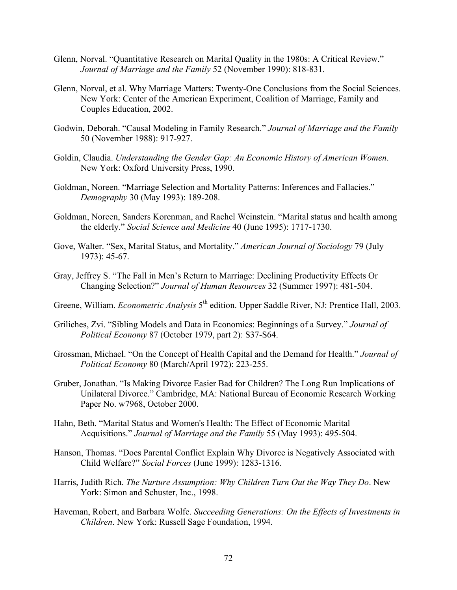- Glenn, Norval. "Quantitative Research on Marital Quality in the 1980s: A Critical Review." *Journal of Marriage and the Family* 52 (November 1990): 818-831.
- Glenn, Norval, et al. Why Marriage Matters: Twenty-One Conclusions from the Social Sciences. New York: Center of the American Experiment, Coalition of Marriage, Family and Couples Education, 2002.
- Godwin, Deborah. "Causal Modeling in Family Research." *Journal of Marriage and the Family* 50 (November 1988): 917-927.
- Goldin, Claudia. *Understanding the Gender Gap: An Economic History of American Women*. New York: Oxford University Press, 1990.
- Goldman, Noreen. "Marriage Selection and Mortality Patterns: Inferences and Fallacies." *Demography* 30 (May 1993): 189-208.
- Goldman, Noreen, Sanders Korenman, and Rachel Weinstein. "Marital status and health among the elderly." *Social Science and Medicine* 40 (June 1995): 1717-1730.
- Gove, Walter. "Sex, Marital Status, and Mortality." *American Journal of Sociology* 79 (July 1973): 45-67.
- Gray, Jeffrey S. "The Fall in Men's Return to Marriage: Declining Productivity Effects Or Changing Selection?" *Journal of Human Resources* 32 (Summer 1997): 481-504.
- Greene, William. *Econometric Analysis* 5<sup>th</sup> edition. Upper Saddle River, NJ: Prentice Hall, 2003.
- Griliches, Zvi. "Sibling Models and Data in Economics: Beginnings of a Survey." *Journal of Political Economy* 87 (October 1979, part 2): S37-S64.
- Grossman, Michael. "On the Concept of Health Capital and the Demand for Health." *Journal of Political Economy* 80 (March/April 1972): 223-255.
- Gruber, Jonathan. "Is Making Divorce Easier Bad for Children? The Long Run Implications of Unilateral Divorce." Cambridge, MA: National Bureau of Economic Research Working Paper No. w7968, October 2000.
- Hahn, Beth. "Marital Status and Women's Health: The Effect of Economic Marital Acquisitions." *Journal of Marriage and the Family* 55 (May 1993): 495-504.
- Hanson, Thomas. "Does Parental Conflict Explain Why Divorce is Negatively Associated with Child Welfare?" *Social Forces* (June 1999): 1283-1316.
- Harris, Judith Rich. *The Nurture Assumption: Why Children Turn Out the Way They Do*. New York: Simon and Schuster, Inc., 1998.
- Haveman, Robert, and Barbara Wolfe. *Succeeding Generations: On the Effects of Investments in Children*. New York: Russell Sage Foundation, 1994.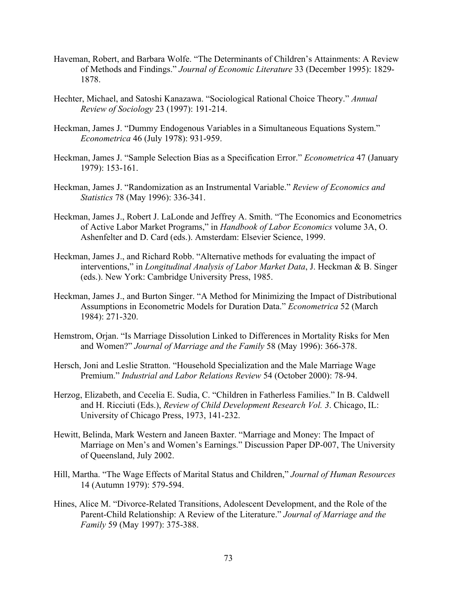- Haveman, Robert, and Barbara Wolfe. "The Determinants of Children's Attainments: A Review of Methods and Findings." *Journal of Economic Literature* 33 (December 1995): 1829- 1878.
- Hechter, Michael, and Satoshi Kanazawa. "Sociological Rational Choice Theory." *Annual Review of Sociology* 23 (1997): 191-214.
- Heckman, James J. "Dummy Endogenous Variables in a Simultaneous Equations System." *Econometrica* 46 (July 1978): 931-959.
- Heckman, James J. "Sample Selection Bias as a Specification Error." *Econometrica* 47 (January 1979): 153-161.
- Heckman, James J. "Randomization as an Instrumental Variable." *Review of Economics and Statistics* 78 (May 1996): 336-341.
- Heckman, James J., Robert J. LaLonde and Jeffrey A. Smith. "The Economics and Econometrics of Active Labor Market Programs," in *Handbook of Labor Economics* volume 3A, O. Ashenfelter and D. Card (eds.). Amsterdam: Elsevier Science, 1999.
- Heckman, James J., and Richard Robb. "Alternative methods for evaluating the impact of interventions," in *Longitudinal Analysis of Labor Market Data*, J. Heckman & B. Singer (eds.). New York: Cambridge University Press, 1985.
- Heckman, James J., and Burton Singer. "A Method for Minimizing the Impact of Distributional Assumptions in Econometric Models for Duration Data." *Econometrica* 52 (March 1984): 271-320.
- Hemstrom, Orjan. "Is Marriage Dissolution Linked to Differences in Mortality Risks for Men and Women?" *Journal of Marriage and the Family* 58 (May 1996): 366-378.
- Hersch, Joni and Leslie Stratton. "Household Specialization and the Male Marriage Wage Premium." *Industrial and Labor Relations Review* 54 (October 2000): 78-94.
- Herzog, Elizabeth, and Cecelia E. Sudia, C. "Children in Fatherless Families." In B. Caldwell and H. Ricciuti (Eds.), *Review of Child Development Research Vol. 3*. Chicago, IL: University of Chicago Press, 1973, 141-232.
- Hewitt, Belinda, Mark Western and Janeen Baxter. "Marriage and Money: The Impact of Marriage on Men's and Women's Earnings." Discussion Paper DP-007, The University of Queensland, July 2002.
- Hill, Martha. "The Wage Effects of Marital Status and Children," *Journal of Human Resources* 14 (Autumn 1979): 579-594.
- Hines, Alice M. "Divorce-Related Transitions, Adolescent Development, and the Role of the Parent-Child Relationship: A Review of the Literature." *Journal of Marriage and the Family* 59 (May 1997): 375-388.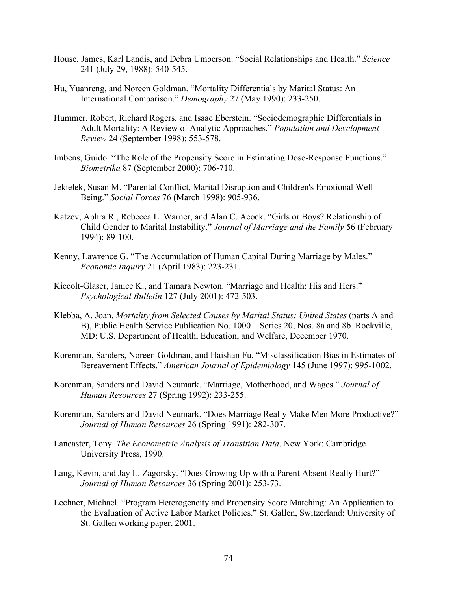- House, James, Karl Landis, and Debra Umberson. "Social Relationships and Health." *Science* 241 (July 29, 1988): 540-545.
- Hu, Yuanreng, and Noreen Goldman. "Mortality Differentials by Marital Status: An International Comparison." *Demography* 27 (May 1990): 233-250.
- Hummer, Robert, Richard Rogers, and Isaac Eberstein. "Sociodemographic Differentials in Adult Mortality: A Review of Analytic Approaches." *Population and Development Review* 24 (September 1998): 553-578.
- Imbens, Guido. "The Role of the Propensity Score in Estimating Dose-Response Functions." *Biometrika* 87 (September 2000): 706-710.
- Jekielek, Susan M. "Parental Conflict, Marital Disruption and Children's Emotional Well-Being." *Social Forces* 76 (March 1998): 905-936.
- Katzev, Aphra R., Rebecca L. Warner, and Alan C. Acock. "Girls or Boys? Relationship of Child Gender to Marital Instability." *Journal of Marriage and the Family* 56 (February 1994): 89-100.
- Kenny, Lawrence G. "The Accumulation of Human Capital During Marriage by Males." *Economic Inquiry* 21 (April 1983): 223-231.
- Kiecolt-Glaser, Janice K., and Tamara Newton. "Marriage and Health: His and Hers." *Psychological Bulletin* 127 (July 2001): 472-503.
- Klebba, A. Joan. *Mortality from Selected Causes by Marital Status: United States* (parts A and B), Public Health Service Publication No. 1000 – Series 20, Nos. 8a and 8b. Rockville, MD: U.S. Department of Health, Education, and Welfare, December 1970.
- Korenman, Sanders, Noreen Goldman, and Haishan Fu. "Misclassification Bias in Estimates of Bereavement Effects." *American Journal of Epidemiology* 145 (June 1997): 995-1002.
- Korenman, Sanders and David Neumark. "Marriage, Motherhood, and Wages." *Journal of Human Resources* 27 (Spring 1992): 233-255.
- Korenman, Sanders and David Neumark. "Does Marriage Really Make Men More Productive?" *Journal of Human Resources* 26 (Spring 1991): 282-307.
- Lancaster, Tony. *The Econometric Analysis of Transition Data*. New York: Cambridge University Press, 1990.
- Lang, Kevin, and Jay L. Zagorsky. "Does Growing Up with a Parent Absent Really Hurt?" *Journal of Human Resources* 36 (Spring 2001): 253-73.
- Lechner, Michael. "Program Heterogeneity and Propensity Score Matching: An Application to the Evaluation of Active Labor Market Policies." St. Gallen, Switzerland: University of St. Gallen working paper, 2001.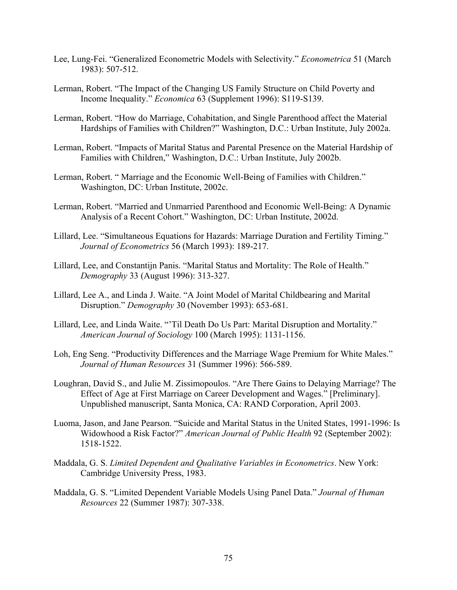- Lee, Lung-Fei. "Generalized Econometric Models with Selectivity." *Econometrica* 51 (March 1983): 507-512.
- Lerman, Robert. "The Impact of the Changing US Family Structure on Child Poverty and Income Inequality." *Economica* 63 (Supplement 1996): S119-S139.
- Lerman, Robert. "How do Marriage, Cohabitation, and Single Parenthood affect the Material Hardships of Families with Children?" Washington, D.C.: Urban Institute, July 2002a.
- Lerman, Robert. "Impacts of Marital Status and Parental Presence on the Material Hardship of Families with Children," Washington, D.C.: Urban Institute, July 2002b.
- Lerman, Robert. " Marriage and the Economic Well-Being of Families with Children." Washington, DC: Urban Institute, 2002c.
- Lerman, Robert. "Married and Unmarried Parenthood and Economic Well-Being: A Dynamic Analysis of a Recent Cohort." Washington, DC: Urban Institute, 2002d.
- Lillard, Lee. "Simultaneous Equations for Hazards: Marriage Duration and Fertility Timing." *Journal of Econometrics* 56 (March 1993): 189-217.
- Lillard, Lee, and Constantijn Panis. "Marital Status and Mortality: The Role of Health." *Demography* 33 (August 1996): 313-327.
- Lillard, Lee A., and Linda J. Waite. "A Joint Model of Marital Childbearing and Marital Disruption." *Demography* 30 (November 1993): 653-681.
- Lillard, Lee, and Linda Waite. "'Til Death Do Us Part: Marital Disruption and Mortality." *American Journal of Sociology* 100 (March 1995): 1131-1156.
- Loh, Eng Seng. "Productivity Differences and the Marriage Wage Premium for White Males." *Journal of Human Resources* 31 (Summer 1996): 566-589.
- Loughran, David S., and Julie M. Zissimopoulos. "Are There Gains to Delaying Marriage? The Effect of Age at First Marriage on Career Development and Wages." [Preliminary]. Unpublished manuscript, Santa Monica, CA: RAND Corporation, April 2003.
- Luoma, Jason, and Jane Pearson. "Suicide and Marital Status in the United States, 1991-1996: Is Widowhood a Risk Factor?" *American Journal of Public Health* 92 (September 2002): 1518-1522.
- Maddala, G. S. *Limited Dependent and Qualitative Variables in Econometrics*. New York: Cambridge University Press, 1983.
- Maddala, G. S. "Limited Dependent Variable Models Using Panel Data." *Journal of Human Resources* 22 (Summer 1987): 307-338.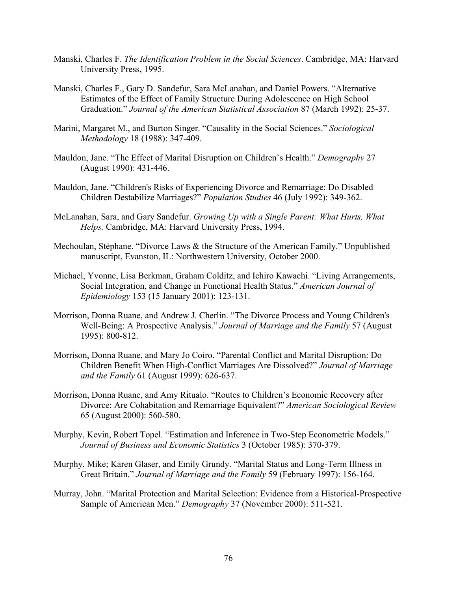- Manski, Charles F. *The Identification Problem in the Social Sciences*. Cambridge, MA: Harvard University Press, 1995.
- Manski, Charles F., Gary D. Sandefur, Sara McLanahan, and Daniel Powers. "Alternative Estimates of the Effect of Family Structure During Adolescence on High School Graduation." *Journal of the American Statistical Association* 87 (March 1992): 25-37.
- Marini, Margaret M., and Burton Singer. "Causality in the Social Sciences." *Sociological Methodology* 18 (1988): 347-409.
- Mauldon, Jane. "The Effect of Marital Disruption on Children's Health." *Demography* 27 (August 1990): 431-446.
- Mauldon, Jane. "Children's Risks of Experiencing Divorce and Remarriage: Do Disabled Children Destabilize Marriages?" *Population Studies* 46 (July 1992): 349-362.
- McLanahan, Sara, and Gary Sandefur. *Growing Up with a Single Parent: What Hurts, What Helps.* Cambridge, MA: Harvard University Press, 1994.
- Mechoulan, Stéphane. "Divorce Laws & the Structure of the American Family." Unpublished manuscript, Evanston, IL: Northwestern University, October 2000.
- Michael, Yvonne, Lisa Berkman, Graham Colditz, and Ichiro Kawachi. "Living Arrangements, Social Integration, and Change in Functional Health Status." *American Journal of Epidemiology* 153 (15 January 2001): 123-131.
- Morrison, Donna Ruane, and Andrew J. Cherlin. "The Divorce Process and Young Children's Well-Being: A Prospective Analysis." *Journal of Marriage and the Family* 57 (August 1995): 800-812.
- Morrison, Donna Ruane, and Mary Jo Coiro. "Parental Conflict and Marital Disruption: Do Children Benefit When High-Conflict Marriages Are Dissolved?" *Journal of Marriage and the Family* 61 (August 1999): 626-637.
- Morrison, Donna Ruane, and Amy Ritualo. "Routes to Children's Economic Recovery after Divorce: Are Cohabitation and Remarriage Equivalent?" *American Sociological Review* 65 (August 2000): 560-580.
- Murphy, Kevin, Robert Topel. "Estimation and Inference in Two-Step Econometric Models." *Journal of Business and Economic Statistics* 3 (October 1985): 370-379.
- Murphy, Mike; Karen Glaser, and Emily Grundy. "Marital Status and Long-Term Illness in Great Britain." *Journal of Marriage and the Family* 59 (February 1997): 156-164.
- Murray, John. "Marital Protection and Marital Selection: Evidence from a Historical-Prospective Sample of American Men." *Demography* 37 (November 2000): 511-521.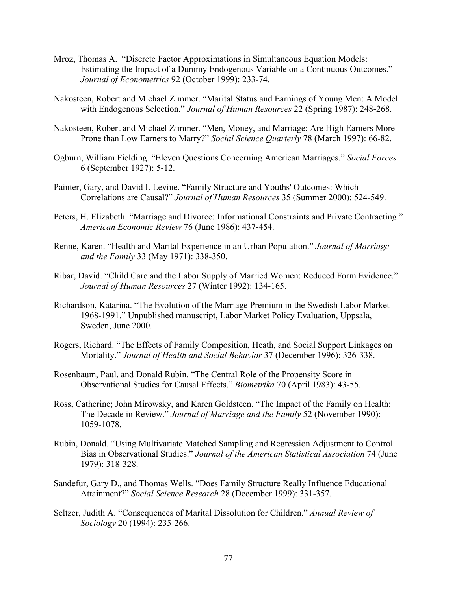- Mroz, Thomas A. "Discrete Factor Approximations in Simultaneous Equation Models: Estimating the Impact of a Dummy Endogenous Variable on a Continuous Outcomes." *Journal of Econometrics* 92 (October 1999): 233-74.
- Nakosteen, Robert and Michael Zimmer. "Marital Status and Earnings of Young Men: A Model with Endogenous Selection." *Journal of Human Resources* 22 (Spring 1987): 248-268.
- Nakosteen, Robert and Michael Zimmer. "Men, Money, and Marriage: Are High Earners More Prone than Low Earners to Marry?" *Social Science Quarterly* 78 (March 1997): 66-82.
- Ogburn, William Fielding. "Eleven Questions Concerning American Marriages." *Social Forces* 6 (September 1927): 5-12.
- Painter, Gary, and David I. Levine. "Family Structure and Youths' Outcomes: Which Correlations are Causal?" *Journal of Human Resources* 35 (Summer 2000): 524-549.
- Peters, H. Elizabeth. "Marriage and Divorce: Informational Constraints and Private Contracting." *American Economic Review* 76 (June 1986): 437-454.
- Renne, Karen. "Health and Marital Experience in an Urban Population." *Journal of Marriage and the Family* 33 (May 1971): 338-350.
- Ribar, David. "Child Care and the Labor Supply of Married Women: Reduced Form Evidence." *Journal of Human Resources* 27 (Winter 1992): 134-165.
- Richardson, Katarina. "The Evolution of the Marriage Premium in the Swedish Labor Market 1968-1991." Unpublished manuscript, Labor Market Policy Evaluation, Uppsala, Sweden, June 2000.
- Rogers, Richard. "The Effects of Family Composition, Heath, and Social Support Linkages on Mortality." *Journal of Health and Social Behavior* 37 (December 1996): 326-338.
- Rosenbaum, Paul, and Donald Rubin. "The Central Role of the Propensity Score in Observational Studies for Causal Effects." *Biometrika* 70 (April 1983): 43-55.
- Ross, Catherine; John Mirowsky, and Karen Goldsteen. "The Impact of the Family on Health: The Decade in Review." *Journal of Marriage and the Family* 52 (November 1990): 1059-1078.
- Rubin, Donald. "Using Multivariate Matched Sampling and Regression Adjustment to Control Bias in Observational Studies." *Journal of the American Statistical Association* 74 (June 1979): 318-328.
- Sandefur, Gary D., and Thomas Wells. "Does Family Structure Really Influence Educational Attainment?" *Social Science Research* 28 (December 1999): 331-357.
- Seltzer, Judith A. "Consequences of Marital Dissolution for Children." *Annual Review of Sociology* 20 (1994): 235-266.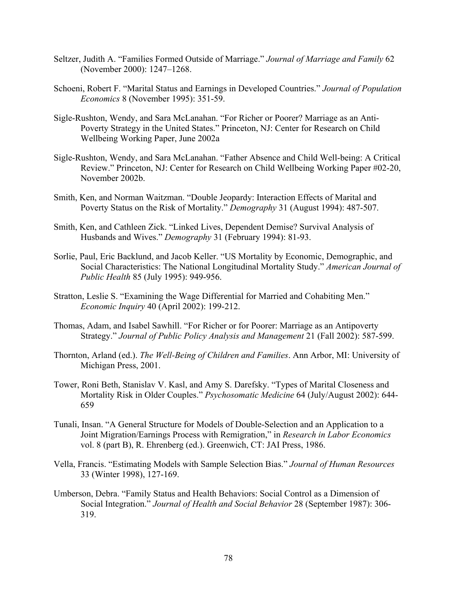- Seltzer, Judith A. "Families Formed Outside of Marriage." *Journal of Marriage and Family* 62 (November 2000): 1247–1268.
- Schoeni, Robert F. "Marital Status and Earnings in Developed Countries." *Journal of Population Economics* 8 (November 1995): 351-59.
- Sigle-Rushton, Wendy, and Sara McLanahan. "For Richer or Poorer? Marriage as an Anti-Poverty Strategy in the United States." Princeton, NJ: Center for Research on Child Wellbeing Working Paper, June 2002a
- Sigle-Rushton, Wendy, and Sara McLanahan. "Father Absence and Child Well-being: A Critical Review." Princeton, NJ: Center for Research on Child Wellbeing Working Paper #02-20, November 2002b.
- Smith, Ken, and Norman Waitzman. "Double Jeopardy: Interaction Effects of Marital and Poverty Status on the Risk of Mortality." *Demography* 31 (August 1994): 487-507.
- Smith, Ken, and Cathleen Zick. "Linked Lives, Dependent Demise? Survival Analysis of Husbands and Wives." *Demography* 31 (February 1994): 81-93.
- Sorlie, Paul, Eric Backlund, and Jacob Keller. "US Mortality by Economic, Demographic, and Social Characteristics: The National Longitudinal Mortality Study." *American Journal of Public Health* 85 (July 1995): 949-956.
- Stratton, Leslie S. "Examining the Wage Differential for Married and Cohabiting Men." *Economic Inquiry* 40 (April 2002): 199-212.
- Thomas, Adam, and Isabel Sawhill. "For Richer or for Poorer: Marriage as an Antipoverty Strategy." *Journal of Public Policy Analysis and Management* 21 (Fall 2002): 587-599.
- Thornton, Arland (ed.). *The Well-Being of Children and Families*. Ann Arbor, MI: University of Michigan Press, 2001.
- Tower, Roni Beth, Stanislav V. Kasl, and Amy S. Darefsky. "Types of Marital Closeness and Mortality Risk in Older Couples." *Psychosomatic Medicine* 64 (July/August 2002): 644- 659
- Tunali, Insan. "A General Structure for Models of Double-Selection and an Application to a Joint Migration/Earnings Process with Remigration," in *Research in Labor Economics* vol. 8 (part B), R. Ehrenberg (ed.). Greenwich, CT: JAI Press, 1986.
- Vella, Francis. "Estimating Models with Sample Selection Bias." *Journal of Human Resources* 33 (Winter 1998), 127-169.
- Umberson, Debra. "Family Status and Health Behaviors: Social Control as a Dimension of Social Integration." *Journal of Health and Social Behavior* 28 (September 1987): 306- 319.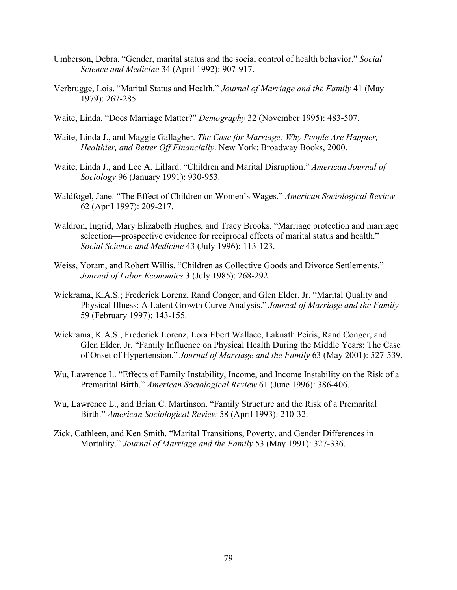- Umberson, Debra. "Gender, marital status and the social control of health behavior." *Social Science and Medicine* 34 (April 1992): 907-917.
- Verbrugge, Lois. "Marital Status and Health." *Journal of Marriage and the Family* 41 (May 1979): 267-285.
- Waite, Linda. "Does Marriage Matter?" *Demography* 32 (November 1995): 483-507.
- Waite, Linda J., and Maggie Gallagher. *The Case for Marriage: Why People Are Happier, Healthier, and Better Off Financially*. New York: Broadway Books, 2000.
- Waite, Linda J., and Lee A. Lillard. "Children and Marital Disruption." *American Journal of Sociology* 96 (January 1991): 930-953.
- Waldfogel, Jane. "The Effect of Children on Women's Wages." *American Sociological Review* 62 (April 1997): 209-217.
- Waldron, Ingrid, Mary Elizabeth Hughes, and Tracy Brooks. "Marriage protection and marriage selection—prospective evidence for reciprocal effects of marital status and health." *Social Science and Medicine* 43 (July 1996): 113-123.
- Weiss, Yoram, and Robert Willis. "Children as Collective Goods and Divorce Settlements." *Journal of Labor Economics* 3 (July 1985): 268-292.
- Wickrama, K.A.S.; Frederick Lorenz, Rand Conger, and Glen Elder, Jr. "Marital Quality and Physical Illness: A Latent Growth Curve Analysis." *Journal of Marriage and the Family* 59 (February 1997): 143-155.
- Wickrama, K.A.S., Frederick Lorenz, Lora Ebert Wallace, Laknath Peiris, Rand Conger, and Glen Elder, Jr. "Family Influence on Physical Health During the Middle Years: The Case of Onset of Hypertension." *Journal of Marriage and the Family* 63 (May 2001): 527-539.
- Wu, Lawrence L. "Effects of Family Instability, Income, and Income Instability on the Risk of a Premarital Birth." *American Sociological Review* 61 (June 1996): 386-406.
- Wu, Lawrence L., and Brian C. Martinson. "Family Structure and the Risk of a Premarital Birth." *American Sociological Review* 58 (April 1993): 210-32.
- Zick, Cathleen, and Ken Smith. "Marital Transitions, Poverty, and Gender Differences in Mortality." *Journal of Marriage and the Family* 53 (May 1991): 327-336.